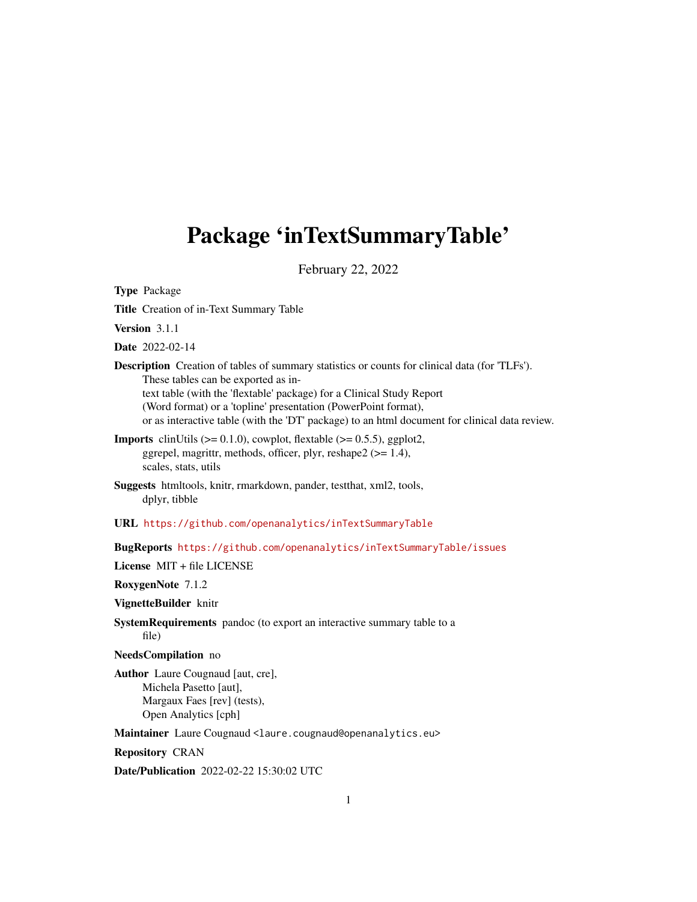# <span id="page-0-0"></span>Package 'inTextSummaryTable'

February 22, 2022

Type Package

Title Creation of in-Text Summary Table

Version 3.1.1

Date 2022-02-14

Description Creation of tables of summary statistics or counts for clinical data (for 'TLFs'). These tables can be exported as intext table (with the 'flextable' package) for a Clinical Study Report (Word format) or a 'topline' presentation (PowerPoint format), or as interactive table (with the 'DT' package) to an html document for clinical data review.

- **Imports** clinUtils  $(>= 0.1.0)$ , cowplot, flextable  $(>= 0.5.5)$ , ggplot2, ggrepel, magrittr, methods, officer, plyr, reshape2 (>= 1.4), scales, stats, utils
- Suggests htmltools, knitr, rmarkdown, pander, testthat, xml2, tools, dplyr, tibble

URL <https://github.com/openanalytics/inTextSummaryTable>

BugReports <https://github.com/openanalytics/inTextSummaryTable/issues>

License MIT + file LICENSE

RoxygenNote 7.1.2

VignetteBuilder knitr

SystemRequirements pandoc (to export an interactive summary table to a file)

NeedsCompilation no

Author Laure Cougnaud [aut, cre], Michela Pasetto [aut], Margaux Faes [rev] (tests), Open Analytics [cph]

Maintainer Laure Cougnaud <laure.cougnaud@openanalytics.eu>

Repository CRAN

Date/Publication 2022-02-22 15:30:02 UTC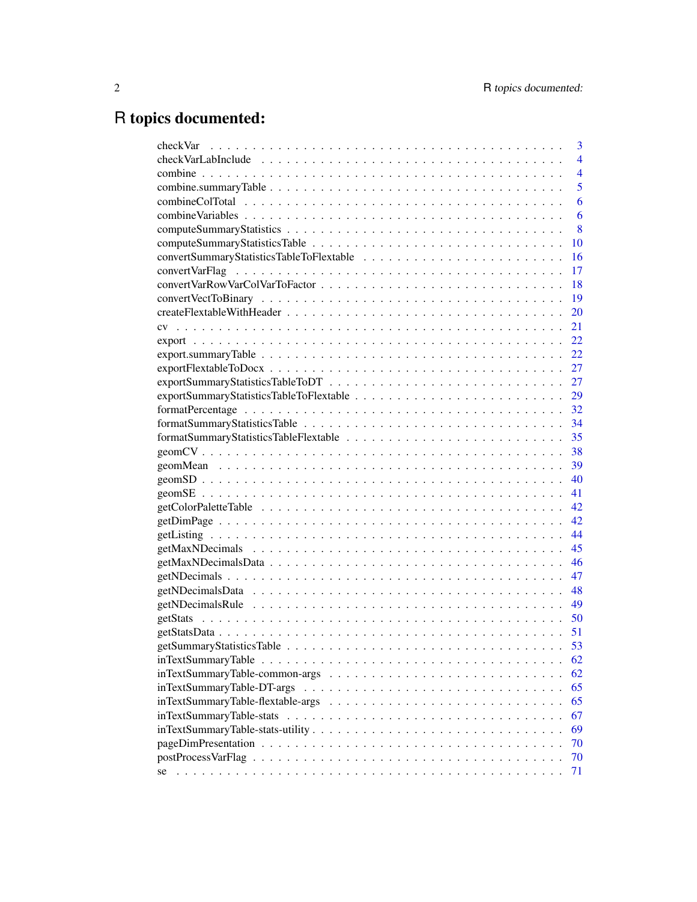# R topics documented:

| checkVar | 3              |
|----------|----------------|
|          | $\overline{4}$ |
|          | $\overline{4}$ |
|          | 5              |
|          | 6              |
|          | 6              |
|          | 8              |
|          | 10             |
|          | 16             |
|          | 17             |
|          | 18             |
|          | 19             |
|          | 20             |
|          | 21             |
|          | 22             |
|          | 22             |
|          | 27             |
|          | 27             |
|          | 29             |
|          | 32             |
|          | 34             |
|          | 35             |
|          | 38             |
|          | 39             |
|          | 40             |
|          | 41             |
|          | 42             |
|          | 42             |
|          | 44             |
|          | 45             |
|          | 46             |
|          | 47             |
|          | 48             |
|          | 49             |
|          | 50             |
|          | 51             |
|          | 53             |
|          | 62             |
|          | 62             |
|          | 65             |
|          | 65             |
|          | 67             |
|          | 69             |
|          | 70             |
|          | 70             |
| se       | 71             |
|          |                |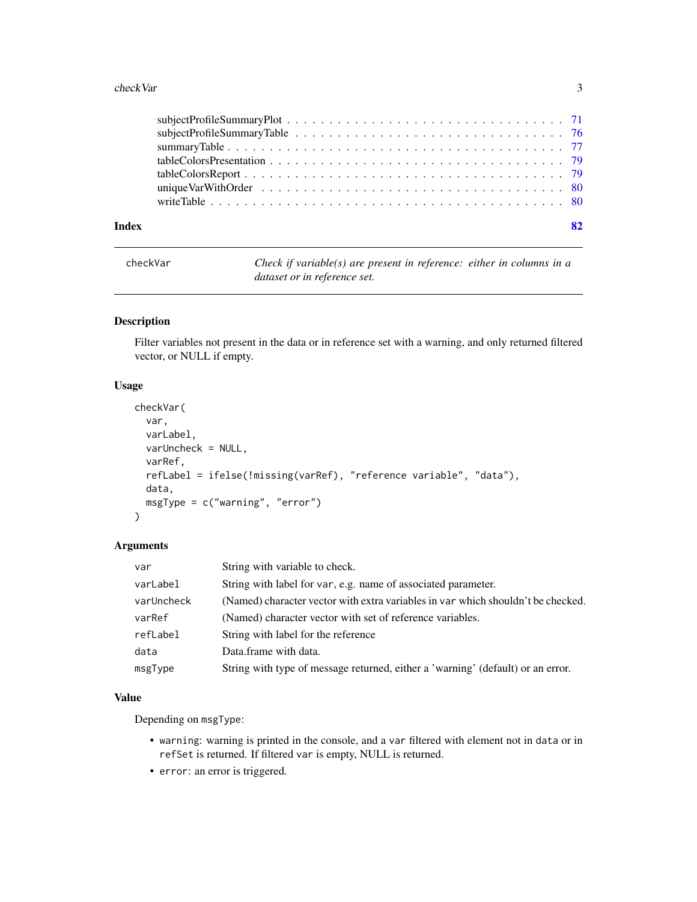#### <span id="page-2-0"></span>checkVar 3

| Index | 82 |
|-------|----|
|       |    |
|       |    |
|       |    |
|       |    |
|       |    |
|       |    |
|       |    |

checkVar *Check if variable(s) are present in reference: either in columns in a dataset or in reference set.*

# Description

Filter variables not present in the data or in reference set with a warning, and only returned filtered vector, or NULL if empty.

#### Usage

```
checkVar(
  var,
  varLabel,
  varUncheck = NULL,
  varRef,
  refLabel = ifelse(!missing(varRef), "reference variable", "data"),
  data,
  msgType = c("warning", "error")
)
```
# Arguments

| var        | String with variable to check.                                                   |
|------------|----------------------------------------------------------------------------------|
| varLabel   | String with label for var, e.g. name of associated parameter.                    |
| varUncheck | (Named) character vector with extra variables in var which shouldn't be checked. |
| varRef     | (Named) character vector with set of reference variables.                        |
| refLabel   | String with label for the reference                                              |
| data       | Data.frame with data.                                                            |
| msgType    | String with type of message returned, either a 'warning' (default) or an error.  |

#### Value

Depending on msgType:

- warning: warning is printed in the console, and a var filtered with element not in data or in refSet is returned. If filtered var is empty, NULL is returned.
- error: an error is triggered.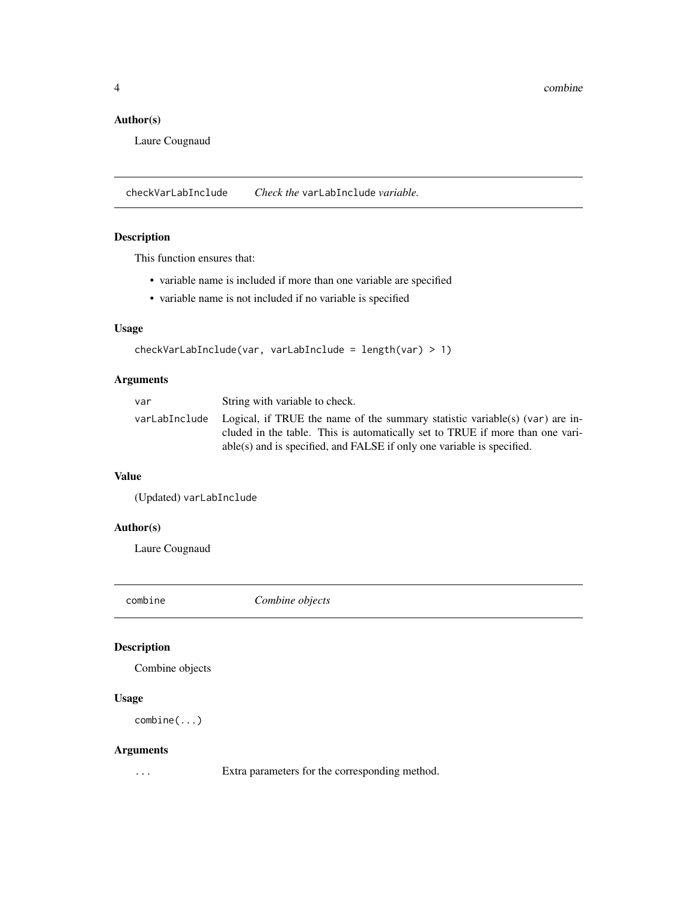<span id="page-3-0"></span>4 combine

#### Author(s)

Laure Cougnaud

checkVarLabInclude *Check the* varLabInclude *variable.*

# Description

This function ensures that:

- variable name is included if more than one variable are specified
- variable name is not included if no variable is specified

# Usage

```
checkVarLabInclude(var, varLabInclude = length(var) > 1)
```
# Arguments

| var | String with variable to check.                                                                                                                                              |
|-----|-----------------------------------------------------------------------------------------------------------------------------------------------------------------------------|
|     | varLabInclude Logical, if TRUE the name of the summary statistic variable(s) (var) are in-<br>cluded in the table. This is automatically set to TRUE if more than one vari- |
|     | able(s) and is specified, and FALSE if only one variable is specified.                                                                                                      |

# Value

(Updated) varLabInclude

# Author(s)

Laure Cougnaud

combine *Combine objects*

# Description

Combine objects

# Usage

combine(...)

# Arguments

... Extra parameters for the corresponding method.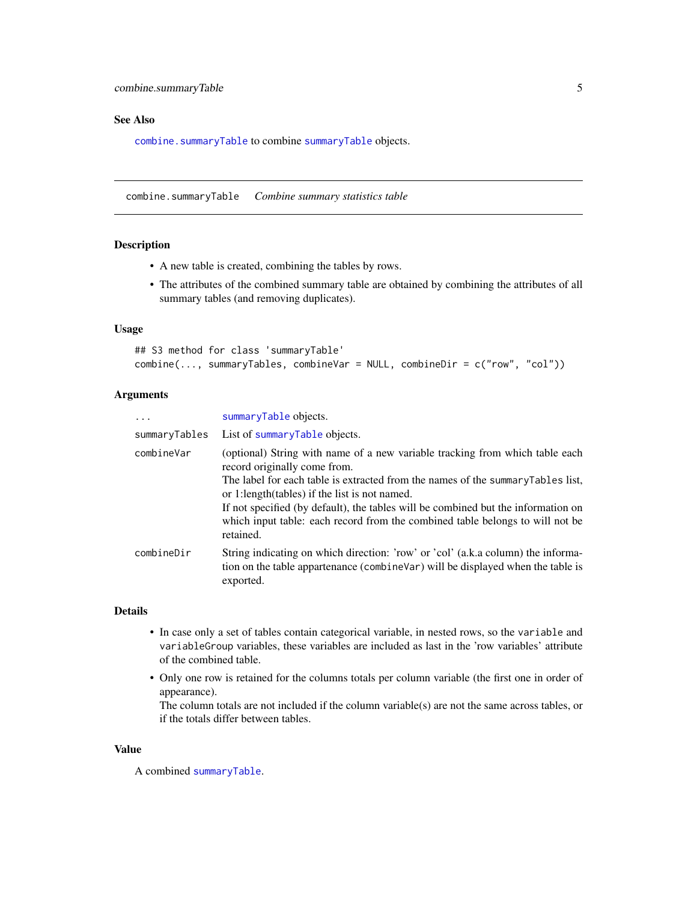#### <span id="page-4-0"></span>See Also

[combine.summaryTable](#page-4-1) to combine [summaryTable](#page-76-1) objects.

<span id="page-4-1"></span>combine.summaryTable *Combine summary statistics table*

# Description

- A new table is created, combining the tables by rows.
- The attributes of the combined summary table are obtained by combining the attributes of all summary tables (and removing duplicates).

#### Usage

```
## S3 method for class 'summaryTable'
combine(..., summaryTables, combineVar = NULL, combineDir = c("row", "col"))
```
# Arguments

| summaryTable objects.                                                                                                                                                                                                                                                                                                                                                                                                                |
|--------------------------------------------------------------------------------------------------------------------------------------------------------------------------------------------------------------------------------------------------------------------------------------------------------------------------------------------------------------------------------------------------------------------------------------|
| List of summaryTable objects.                                                                                                                                                                                                                                                                                                                                                                                                        |
| (optional) String with name of a new variable tracking from which table each<br>record originally come from.<br>The label for each table is extracted from the names of the summary Tables list,<br>or 1:length(tables) if the list is not named.<br>If not specified (by default), the tables will be combined but the information on<br>which input table: each record from the combined table belongs to will not be<br>retained. |
| String indicating on which direction: 'row' or 'col' (a.k.a column) the informa-<br>tion on the table appartenance (combineVar) will be displayed when the table is<br>exported.                                                                                                                                                                                                                                                     |
|                                                                                                                                                                                                                                                                                                                                                                                                                                      |

#### Details

- In case only a set of tables contain categorical variable, in nested rows, so the variable and variableGroup variables, these variables are included as last in the 'row variables' attribute of the combined table.
- Only one row is retained for the columns totals per column variable (the first one in order of appearance).

The column totals are not included if the column variable(s) are not the same across tables, or if the totals differ between tables.

#### Value

A combined [summaryTable](#page-76-1).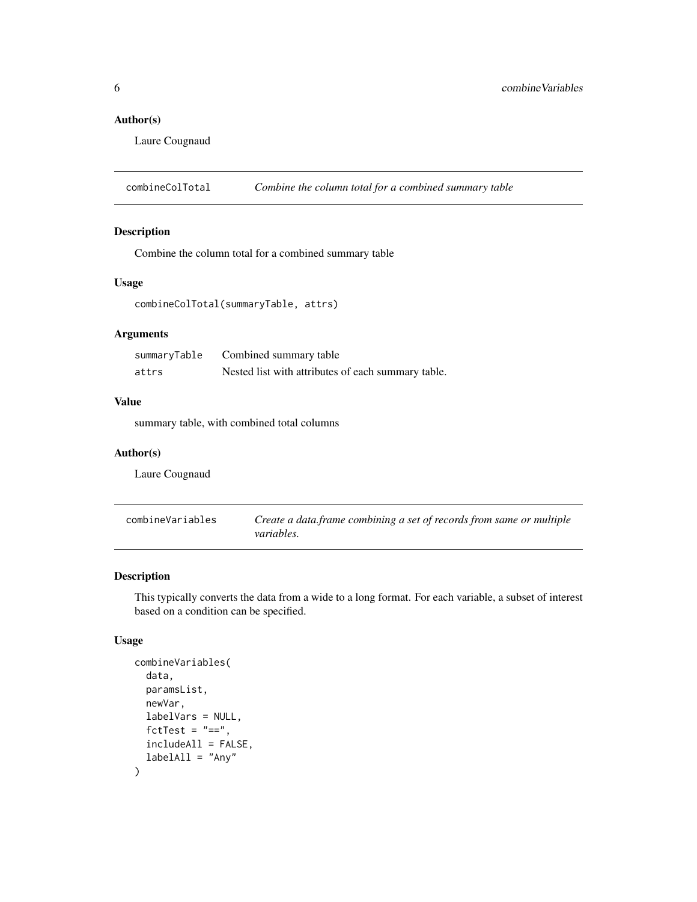# <span id="page-5-0"></span>Author(s)

Laure Cougnaud

combineColTotal *Combine the column total for a combined summary table*

# Description

Combine the column total for a combined summary table

#### Usage

```
combineColTotal(summaryTable, attrs)
```
# Arguments

| summaryTable | Combined summary table                             |
|--------------|----------------------------------------------------|
| attrs        | Nested list with attributes of each summary table. |

# Value

summary table, with combined total columns

#### Author(s)

Laure Cougnaud

| combineVariables | Create a data.frame combining a set of records from same or multiple |
|------------------|----------------------------------------------------------------------|
|                  | <i>variables.</i>                                                    |

# Description

This typically converts the data from a wide to a long format. For each variable, a subset of interest based on a condition can be specified.

#### Usage

```
combineVariables(
  data,
  paramsList,
  newVar,
  labelVars = NULL,
  fctTest = "==",includeAll = FALSE,
  labelAll = "Any"\mathcal{E}
```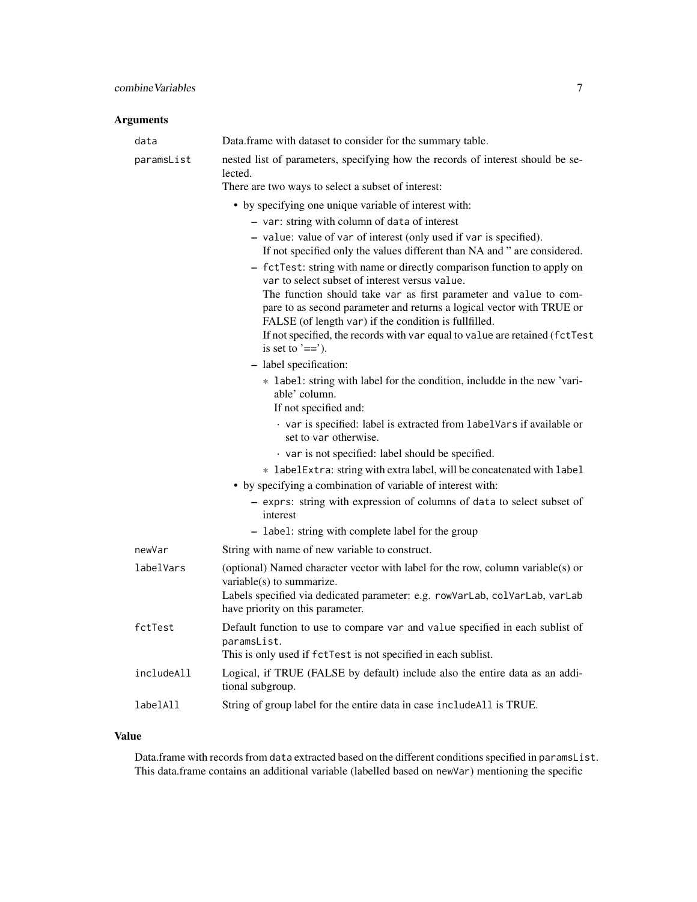# Arguments

| data       | Data.frame with dataset to consider for the summary table.                                                                                                                                          |
|------------|-----------------------------------------------------------------------------------------------------------------------------------------------------------------------------------------------------|
| paramsList | nested list of parameters, specifying how the records of interest should be se-<br>lected.                                                                                                          |
|            | There are two ways to select a subset of interest:                                                                                                                                                  |
|            | • by specifying one unique variable of interest with:                                                                                                                                               |
|            | - var: string with column of data of interest                                                                                                                                                       |
|            | - value: value of var of interest (only used if var is specified).<br>If not specified only the values different than NA and " are considered.                                                      |
|            | - fctTest: string with name or directly comparison function to apply on<br>var to select subset of interest versus value.                                                                           |
|            | The function should take var as first parameter and value to com-<br>pare to as second parameter and returns a logical vector with TRUE or<br>FALSE (of length var) if the condition is fullfilled. |
|            | If not specified, the records with var equal to value are retained (fctTest<br>is set to $'==$ .                                                                                                    |
|            | - label specification:                                                                                                                                                                              |
|            | * label: string with label for the condition, includde in the new 'vari-<br>able' column.                                                                                                           |
|            | If not specified and:                                                                                                                                                                               |
|            | · var is specified: label is extracted from labelVars if available or<br>set to var otherwise.                                                                                                      |
|            | var is not specified: label should be specified.                                                                                                                                                    |
|            | * labelExtra: string with extra label, will be concatenated with label                                                                                                                              |
|            | • by specifying a combination of variable of interest with:                                                                                                                                         |
|            | - exprs: string with expression of columns of data to select subset of<br>interest                                                                                                                  |
|            | - label: string with complete label for the group                                                                                                                                                   |
| newVar     | String with name of new variable to construct.                                                                                                                                                      |
| labelVars  | (optional) Named character vector with label for the row, column variable(s) or<br>variable(s) to summarize.                                                                                        |
|            | Labels specified via dedicated parameter: e.g. rowVarLab, colVarLab, varLab<br>have priority on this parameter.                                                                                     |
| fctTest    | Default function to use to compare var and value specified in each sublist of<br>paramsList.                                                                                                        |
|            | This is only used if fctTest is not specified in each sublist.                                                                                                                                      |
| includeAll | Logical, if TRUE (FALSE by default) include also the entire data as an addi-<br>tional subgroup.                                                                                                    |
| labelAll   | String of group label for the entire data in case includeAll is TRUE.                                                                                                                               |
|            |                                                                                                                                                                                                     |

# Value

Data.frame with records from data extracted based on the different conditions specified in paramsList. This data.frame contains an additional variable (labelled based on newVar) mentioning the specific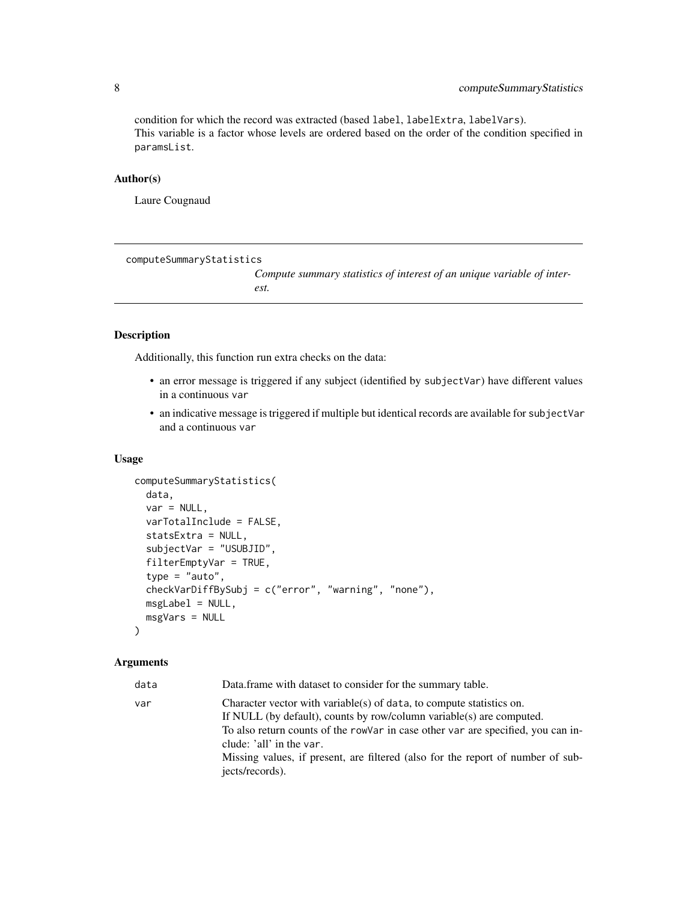condition for which the record was extracted (based label, labelExtra, labelVars). This variable is a factor whose levels are ordered based on the order of the condition specified in paramsList.

#### Author(s)

Laure Cougnaud

computeSummaryStatistics

*Compute summary statistics of interest of an unique variable of interest.*

#### Description

Additionally, this function run extra checks on the data:

- an error message is triggered if any subject (identified by subjectVar) have different values in a continuous var
- an indicative message is triggered if multiple but identical records are available for subjectVar and a continuous var

#### Usage

```
computeSummaryStatistics(
  data,
 var = NULL,varTotalInclude = FALSE,
  statsExtra = NULL,
  subjectVar = "USUBJID",
  filterEmptyVar = TRUE,
  type = "auto",checkVarDiffBySubj = c("error", "warning", "none"),
 msgLabel = NULL,msgVars = NULL
)
```

| Data frame with dataset to consider for the summary table.                                                                                                                                                                                                                                                                                                         |
|--------------------------------------------------------------------------------------------------------------------------------------------------------------------------------------------------------------------------------------------------------------------------------------------------------------------------------------------------------------------|
| Character vector with variable(s) of data, to compute statistics on.<br>If NULL (by default), counts by row/column variable(s) are computed.<br>To also return counts of the rowVar in case other var are specified, you can in-<br>clude: 'all' in the var.<br>Missing values, if present, are filtered (also for the report of number of sub-<br>jects/records). |
|                                                                                                                                                                                                                                                                                                                                                                    |

<span id="page-7-0"></span>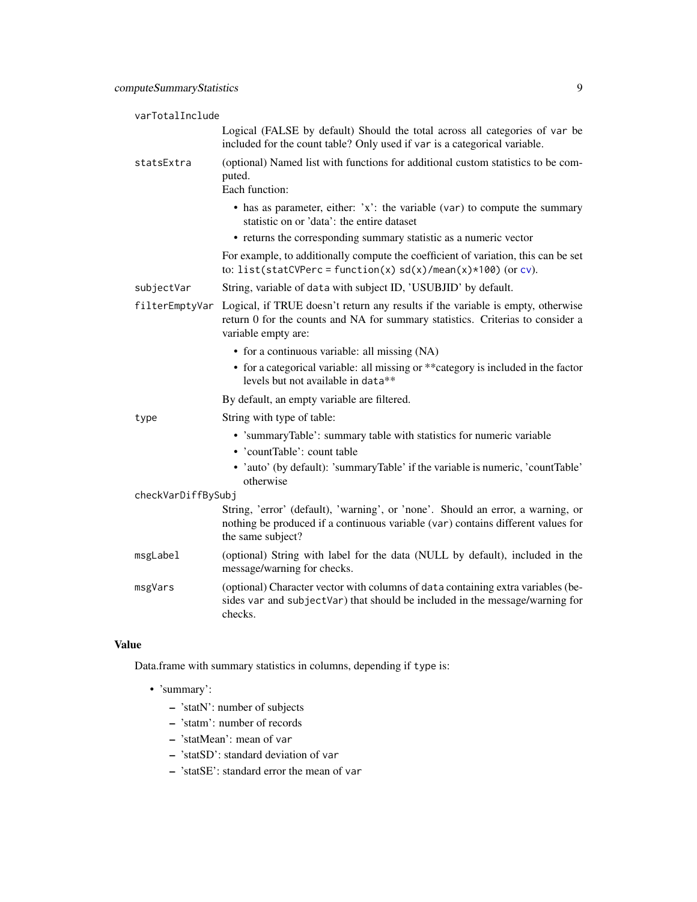| varTotalInclude    |                                                                                                                                                                                          |
|--------------------|------------------------------------------------------------------------------------------------------------------------------------------------------------------------------------------|
|                    | Logical (FALSE by default) Should the total across all categories of var be<br>included for the count table? Only used if var is a categorical variable.                                 |
| statsExtra         | (optional) Named list with functions for additional custom statistics to be com-<br>puted.<br>Each function:                                                                             |
|                    | • has as parameter, either: $x$ : the variable (var) to compute the summary<br>statistic on or 'data': the entire dataset                                                                |
|                    | • returns the corresponding summary statistic as a numeric vector                                                                                                                        |
|                    | For example, to additionally compute the coefficient of variation, this can be set<br>to: list(statCVPerc = function(x) $sd(x)/mean(x)*100$ (or cv).                                     |
| subjectVar         | String, variable of data with subject ID, 'USUBJID' by default.                                                                                                                          |
| filterEmptyVar     | Logical, if TRUE doesn't return any results if the variable is empty, otherwise<br>return 0 for the counts and NA for summary statistics. Criterias to consider a<br>variable empty are: |
|                    | • for a continuous variable: all missing (NA)                                                                                                                                            |
|                    | • for a categorical variable: all missing or ** category is included in the factor<br>levels but not available in data**                                                                 |
|                    | By default, an empty variable are filtered.                                                                                                                                              |
| type               | String with type of table:                                                                                                                                                               |
|                    | • 'summaryTable': summary table with statistics for numeric variable<br>• 'countTable': count table                                                                                      |
|                    | • 'auto' (by default): 'summaryTable' if the variable is numeric, 'countTable'<br>otherwise                                                                                              |
| checkVarDiffBySubj |                                                                                                                                                                                          |
|                    | String, 'error' (default), 'warning', or 'none'. Should an error, a warning, or<br>nothing be produced if a continuous variable (var) contains different values for<br>the same subject? |
| msgLabel           | (optional) String with label for the data (NULL by default), included in the<br>message/warning for checks.                                                                              |
| msgVars            | (optional) Character vector with columns of data containing extra variables (be-<br>sides var and subjectVar) that should be included in the message/warning for<br>checks.              |

Data.frame with summary statistics in columns, depending if type is:

- 'summary':
	- 'statN': number of subjects
	- 'statm': number of records
	- 'statMean': mean of var
	- 'statSD': standard deviation of var
	- 'statSE': standard error the mean of var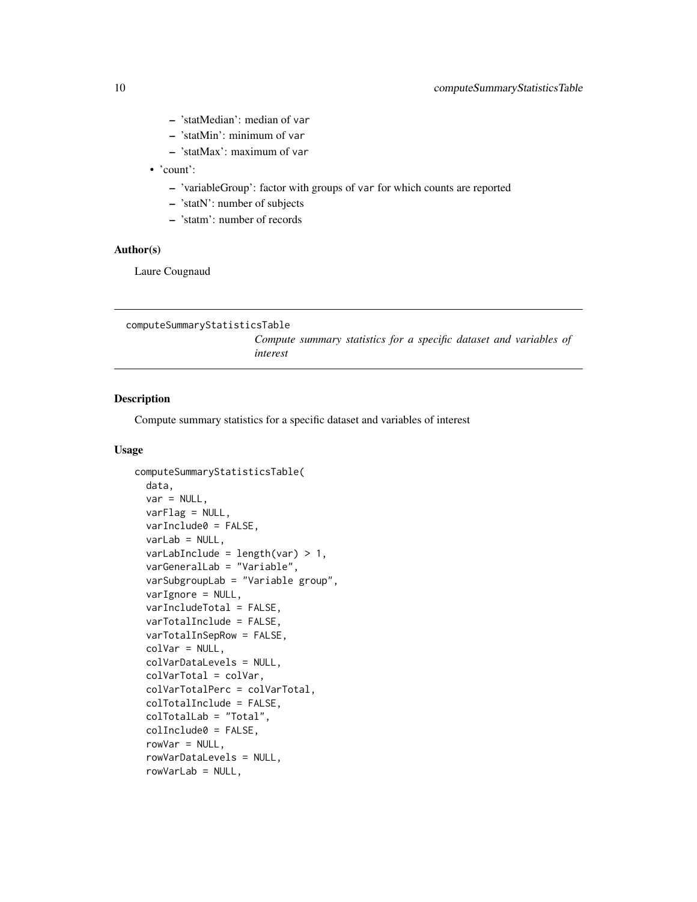- <span id="page-9-0"></span>– 'statMedian': median of var
- 'statMin': minimum of var
- 'statMax': maximum of var
- 'count':
	- 'variableGroup': factor with groups of var for which counts are reported
	- 'statN': number of subjects
	- 'statm': number of records

# Author(s)

Laure Cougnaud

<span id="page-9-1"></span>computeSummaryStatisticsTable

*Compute summary statistics for a specific dataset and variables of interest*

## Description

Compute summary statistics for a specific dataset and variables of interest

#### Usage

```
computeSummaryStatisticsTable(
  data,
  var = NULL,varFlag = NULL,
  varInclude0 = FALSE,
  varLab = NULL,
  varLabInclude = length(var) > 1,
  varGeneralLab = "Variable",
  varSubgroupLab = "Variable group",
  varIgnore = NULL,
  varIncludeTotal = FALSE,
  varTotalInclude = FALSE,
  varTotalInSepRow = FALSE,
  colVar = NULL,colVarDataLevels = NULL,
  colVarTotal = colVar,
  colVarTotalPerc = colVarTotal,
  colTotalInclude = FALSE,
  colTotalLab = "Total",
  colInclude0 = FALSE,
  rowVar = NULL,rowVarDataLevels = NULL,
  rowVarLab = NULL,
```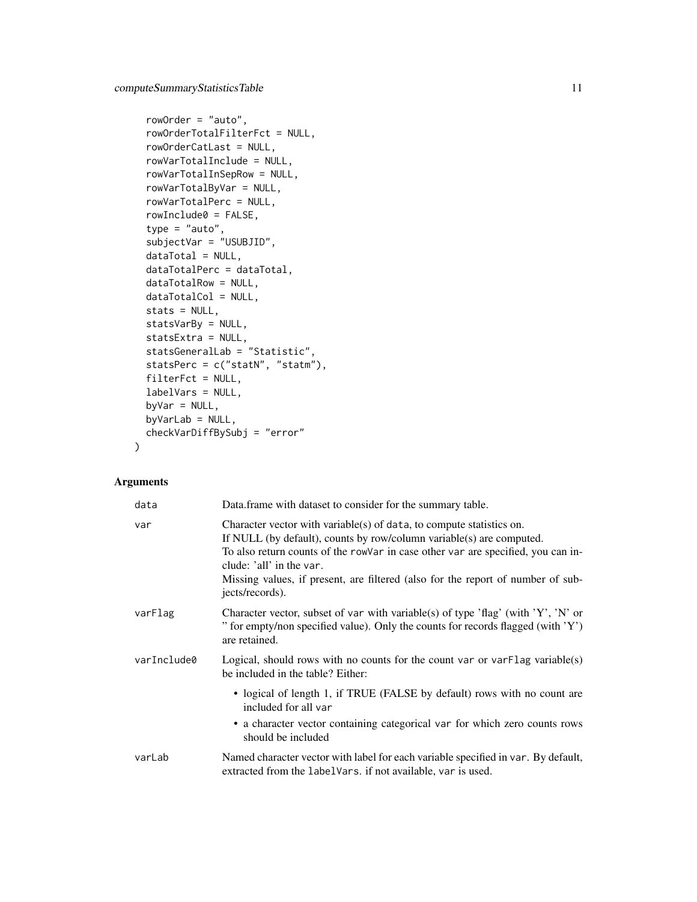```
rowOrder = "auto",
rowOrderTotalFilterFct = NULL,
rowOrderCatLast = NULL,
rowVarTotalInclude = NULL,
rowVarTotalInSepRow = NULL,
rowVarTotalByVar = NULL,
rowVarTotalPerc = NULL,
rowInclude0 = FALSE,
type = "auto",subjectVar = "USUBJID",
dataTotal = NULL,dataTotalPerc = dataTotal,
dataTotalRow = NULL,
dataTotalCol = NULL,
stats = NULL,
statsVarBy = NULL,
statsExtra = NULL,
statsGeneralLab = "Statistic",
statsPerc = c("statN", "statm"),
filterFct = NULL,
labelVars = NULL,
byVar = NULL,
byVarLab = NULL,
checkVarDiffBySubj = "error"
```
# Arguments

 $\mathcal{L}$ 

| data        | Data.frame with dataset to consider for the summary table.                                                                                                                                                                                                                                                                                                         |
|-------------|--------------------------------------------------------------------------------------------------------------------------------------------------------------------------------------------------------------------------------------------------------------------------------------------------------------------------------------------------------------------|
| var         | Character vector with variable(s) of data, to compute statistics on.<br>If NULL (by default), counts by row/column variable(s) are computed.<br>To also return counts of the rowVar in case other var are specified, you can in-<br>clude: 'all' in the var.<br>Missing values, if present, are filtered (also for the report of number of sub-<br>jects/records). |
| varFlag     | Character vector, subset of var with variable(s) of type 'flag' (with 'Y', 'N' or<br>" for empty/non specified value). Only the counts for records flagged (with 'Y')<br>are retained.                                                                                                                                                                             |
| varInclude0 | Logical, should rows with no counts for the count var or var $\text{Flag}\$ variable(s)<br>be included in the table? Either:                                                                                                                                                                                                                                       |
|             | • logical of length 1, if TRUE (FALSE by default) rows with no count are<br>included for all var                                                                                                                                                                                                                                                                   |
|             | • a character vector containing categorical var for which zero counts rows<br>should be included                                                                                                                                                                                                                                                                   |
| varLab      | Named character vector with label for each variable specified in var. By default,<br>extracted from the label Vars. if not available, var is used.                                                                                                                                                                                                                 |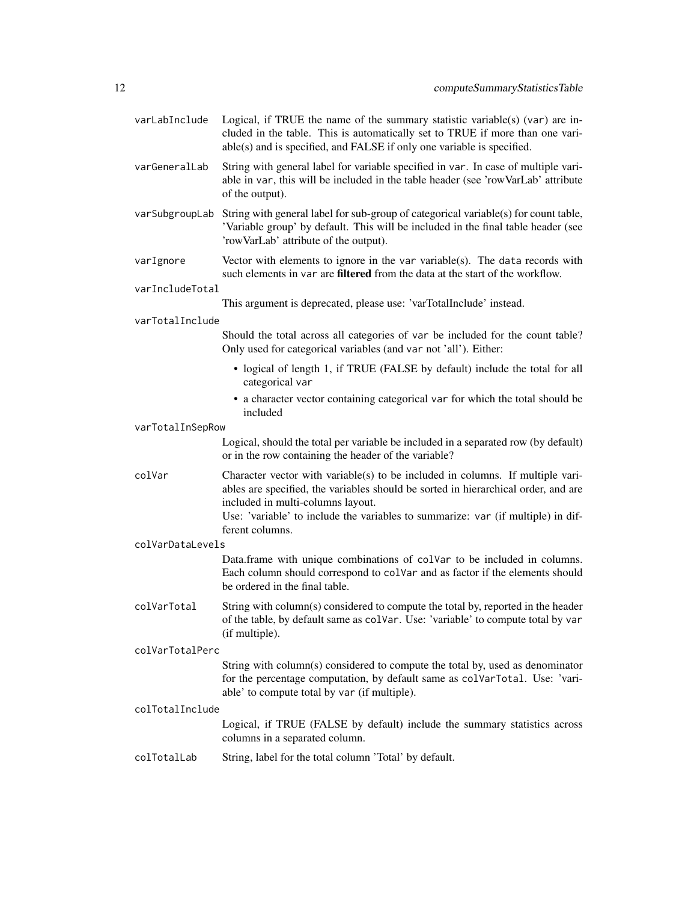- varLabInclude Logical, if TRUE the name of the summary statistic variable(s) (var) are included in the table. This is automatically set to TRUE if more than one variable(s) and is specified, and FALSE if only one variable is specified.
- varGeneralLab String with general label for variable specified in var. In case of multiple variable in var, this will be included in the table header (see 'rowVarLab' attribute of the output).
- varSubgroupLab String with general label for sub-group of categorical variable(s) for count table, 'Variable group' by default. This will be included in the final table header (see 'rowVarLab' attribute of the output).
- varIgnore Vector with elements to ignore in the var variable(s). The data records with such elements in var are filtered from the data at the start of the workflow.

#### varIncludeTotal

This argument is deprecated, please use: 'varTotalInclude' instead.

#### varTotalInclude

Should the total across all categories of var be included for the count table? Only used for categorical variables (and var not 'all'). Either:

- logical of length 1, if TRUE (FALSE by default) include the total for all categorical var
- a character vector containing categorical var for which the total should be included

varTotalInSepRow

Logical, should the total per variable be included in a separated row (by default) or in the row containing the header of the variable?

colVar Character vector with variable(s) to be included in columns. If multiple variables are specified, the variables should be sorted in hierarchical order, and are included in multi-columns layout.

> Use: 'variable' to include the variables to summarize: var (if multiple) in different columns.

colVarDataLevels

Data.frame with unique combinations of colVar to be included in columns. Each column should correspond to colVar and as factor if the elements should be ordered in the final table.

colVarTotal String with column(s) considered to compute the total by, reported in the header of the table, by default same as colVar. Use: 'variable' to compute total by var (if multiple).

#### colVarTotalPerc

String with column(s) considered to compute the total by, used as denominator for the percentage computation, by default same as colVarTotal. Use: 'variable' to compute total by var (if multiple).

#### colTotalInclude

Logical, if TRUE (FALSE by default) include the summary statistics across columns in a separated column.

colTotalLab String, label for the total column 'Total' by default.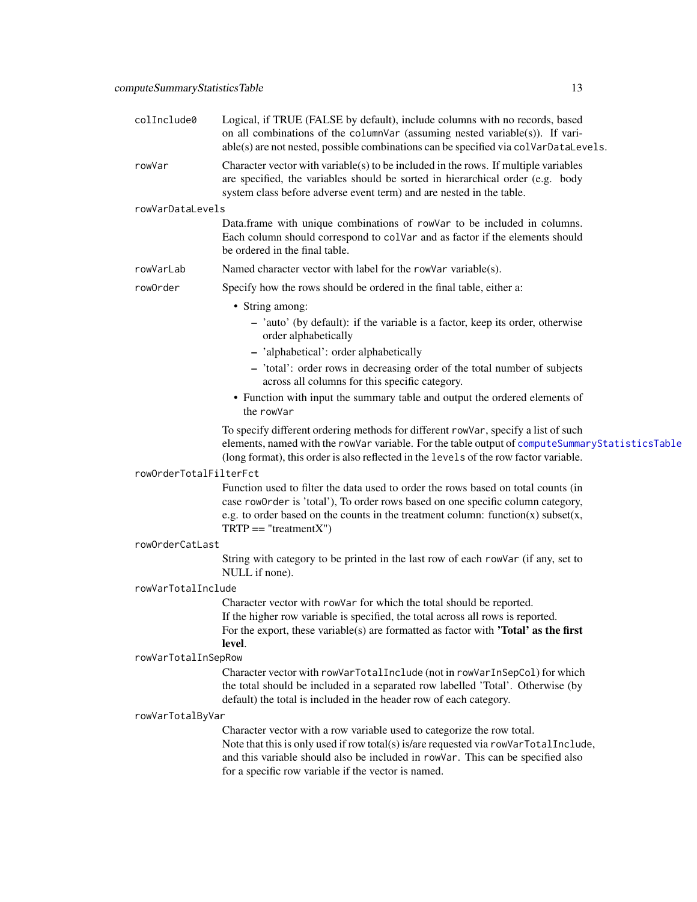| colInclude0            | Logical, if TRUE (FALSE by default), include columns with no records, based<br>on all combinations of the columnVar (assuming nested variable(s)). If vari-<br>able(s) are not nested, possible combinations can be specified via colVarDataLevels.                            |
|------------------------|--------------------------------------------------------------------------------------------------------------------------------------------------------------------------------------------------------------------------------------------------------------------------------|
| rowVar                 | Character vector with variable(s) to be included in the rows. If multiple variables<br>are specified, the variables should be sorted in hierarchical order (e.g. body<br>system class before adverse event term) and are nested in the table.                                  |
| rowVarDataLevels       |                                                                                                                                                                                                                                                                                |
|                        | Data.frame with unique combinations of rowVar to be included in columns.<br>Each column should correspond to colVar and as factor if the elements should<br>be ordered in the final table.                                                                                     |
| rowVarLab              | Named character vector with label for the rowVar variable(s).                                                                                                                                                                                                                  |
| rowOrder               | Specify how the rows should be ordered in the final table, either a:                                                                                                                                                                                                           |
|                        | • String among:                                                                                                                                                                                                                                                                |
|                        | - 'auto' (by default): if the variable is a factor, keep its order, otherwise<br>order alphabetically                                                                                                                                                                          |
|                        | - 'alphabetical': order alphabetically                                                                                                                                                                                                                                         |
|                        | - 'total': order rows in decreasing order of the total number of subjects<br>across all columns for this specific category.                                                                                                                                                    |
|                        | • Function with input the summary table and output the ordered elements of<br>the rowVar                                                                                                                                                                                       |
|                        | To specify different ordering methods for different rowVar, specify a list of such<br>elements, named with the rowVar variable. For the table output of computeSummaryStatisticsTable<br>(long format), this order is also reflected in the levels of the row factor variable. |
| rowOrderTotalFilterFct |                                                                                                                                                                                                                                                                                |
|                        | Function used to filter the data used to order the rows based on total counts (in                                                                                                                                                                                              |
|                        | case row0rder is 'total'), To order rows based on one specific column category,                                                                                                                                                                                                |
|                        | e.g. to order based on the counts in the treatment column: function(x) subset(x,<br>$TRTP == "treatmentX")$                                                                                                                                                                    |
| rowOrderCatLast        |                                                                                                                                                                                                                                                                                |
|                        | String with category to be printed in the last row of each rowVar (if any, set to<br>NULL if none).                                                                                                                                                                            |
| rowVarTotalInclude     |                                                                                                                                                                                                                                                                                |
|                        | Character vector with rowVar for which the total should be reported.<br>If the higher row variable is specified, the total across all rows is reported.<br>For the export, these variable(s) are formatted as factor with <b>'Total'</b> as the first<br>level.                |
| rowVarTotalInSepRow    |                                                                                                                                                                                                                                                                                |
|                        | Character vector with rowVarTotalInclude (not in rowVarInSepCol) for which<br>the total should be included in a separated row labelled 'Total'. Otherwise (by                                                                                                                  |
|                        | default) the total is included in the header row of each category.                                                                                                                                                                                                             |
| rowVarTotalByVar       |                                                                                                                                                                                                                                                                                |
|                        | Character vector with a row variable used to categorize the row total.<br>Note that this is only used if row total(s) is/are requested via rowVarTotalInclude,<br>and this variable should also be included in rowVar. This can be specified also                              |
|                        | for a specific row variable if the vector is named.                                                                                                                                                                                                                            |
|                        |                                                                                                                                                                                                                                                                                |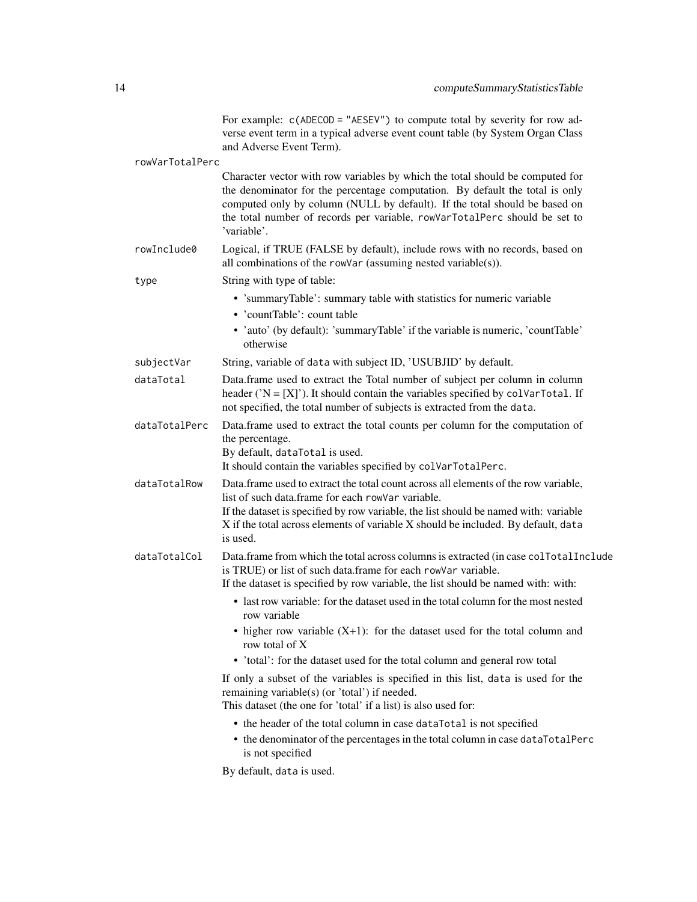|                 | For example: $c$ (ADECOD = "AESEV") to compute total by severity for row ad-<br>verse event term in a typical adverse event count table (by System Organ Class<br>and Adverse Event Term).                                                                                                                                               |
|-----------------|------------------------------------------------------------------------------------------------------------------------------------------------------------------------------------------------------------------------------------------------------------------------------------------------------------------------------------------|
| rowVarTotalPerc |                                                                                                                                                                                                                                                                                                                                          |
|                 | Character vector with row variables by which the total should be computed for<br>the denominator for the percentage computation. By default the total is only<br>computed only by column (NULL by default). If the total should be based on<br>the total number of records per variable, rowVarTotalPerc should be set to<br>'variable'. |
| rowInclude0     | Logical, if TRUE (FALSE by default), include rows with no records, based on<br>all combinations of the rowVar (assuming nested variable(s)).                                                                                                                                                                                             |
| type            | String with type of table:                                                                                                                                                                                                                                                                                                               |
|                 | • 'summaryTable': summary table with statistics for numeric variable<br>• 'countTable': count table<br>• 'auto' (by default): 'summaryTable' if the variable is numeric, 'countTable'<br>otherwise                                                                                                                                       |
| subjectVar      | String, variable of data with subject ID, 'USUBJID' by default.                                                                                                                                                                                                                                                                          |
| dataTotal       | Data.frame used to extract the Total number of subject per column in column<br>header (' $N = [X]$ '). It should contain the variables specified by colvar Total. If<br>not specified, the total number of subjects is extracted from the data.                                                                                          |
| dataTotalPerc   | Data.frame used to extract the total counts per column for the computation of<br>the percentage.<br>By default, dataTotal is used.<br>It should contain the variables specified by colVarTotalPerc.                                                                                                                                      |
| dataTotalRow    | Data.frame used to extract the total count across all elements of the row variable,<br>list of such data.frame for each rowVar variable.<br>If the dataset is specified by row variable, the list should be named with: variable<br>X if the total across elements of variable X should be included. By default, data<br>is used.        |
| dataTotalCol    | Data.frame from which the total across columns is extracted (in case collotal Include<br>is TRUE) or list of such data.frame for each rowVar variable.<br>If the dataset is specified by row variable, the list should be named with: with:                                                                                              |
|                 | • last row variable: for the dataset used in the total column for the most nested<br>row variable                                                                                                                                                                                                                                        |
|                 | $\bullet$ higher row variable $(X+1)$ : for the dataset used for the total column and<br>row total of X                                                                                                                                                                                                                                  |
|                 | • 'total': for the dataset used for the total column and general row total                                                                                                                                                                                                                                                               |
|                 | If only a subset of the variables is specified in this list, data is used for the<br>remaining variable(s) (or 'total') if needed.<br>This dataset (the one for 'total' if a list) is also used for:                                                                                                                                     |
|                 | • the header of the total column in case dataTotal is not specified                                                                                                                                                                                                                                                                      |
|                 | • the denominator of the percentages in the total column in case dataTotalPerc<br>is not specified                                                                                                                                                                                                                                       |
|                 | By default, data is used.                                                                                                                                                                                                                                                                                                                |
|                 |                                                                                                                                                                                                                                                                                                                                          |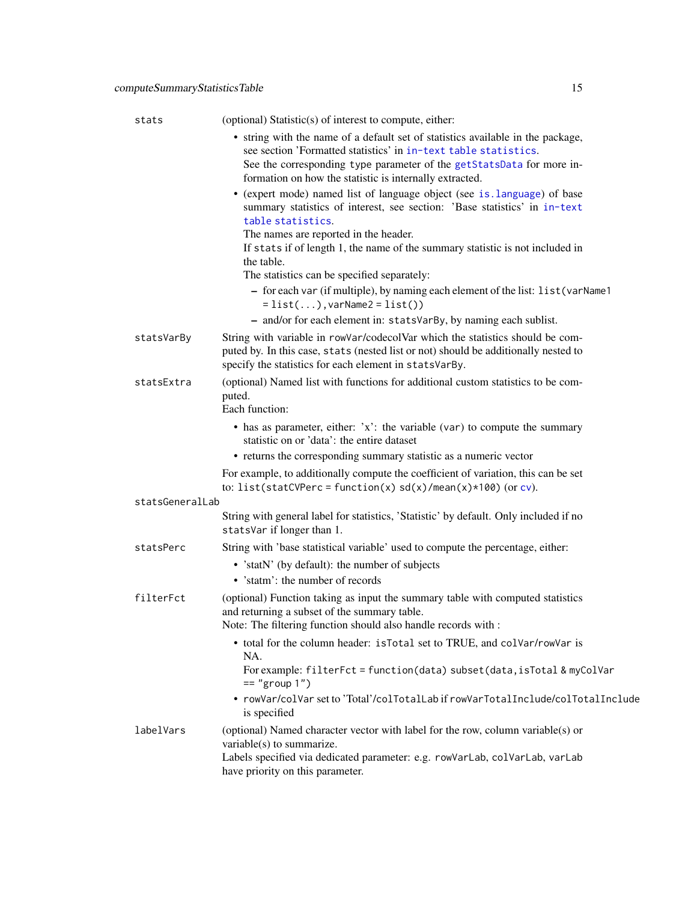| stats           | (optional) Statistic(s) of interest to compute, either:                                                                                                                                                                                                                                |
|-----------------|----------------------------------------------------------------------------------------------------------------------------------------------------------------------------------------------------------------------------------------------------------------------------------------|
|                 | • string with the name of a default set of statistics available in the package,<br>see section 'Formatted statistics' in in-text table statistics.<br>See the corresponding type parameter of the getStatsData for more in-<br>formation on how the statistic is internally extracted. |
|                 | • (expert mode) named list of language object (see is. language) of base<br>summary statistics of interest, see section: 'Base statistics' in in-text<br>table statistics.                                                                                                             |
|                 | The names are reported in the header.<br>If stats if of length 1, the name of the summary statistic is not included in<br>the table.                                                                                                                                                   |
|                 | The statistics can be specified separately:                                                                                                                                                                                                                                            |
|                 | - for each var (if multiple), by naming each element of the list: list (varName1<br>$= list(), variable2 = list())$                                                                                                                                                                    |
|                 | - and/or for each element in: statsVarBy, by naming each sublist.                                                                                                                                                                                                                      |
| statsVarBy      | String with variable in rowVar/codecolVar which the statistics should be com-<br>puted by. In this case, stats (nested list or not) should be additionally nested to<br>specify the statistics for each element in statsVarBy.                                                         |
| statsExtra      | (optional) Named list with functions for additional custom statistics to be com-<br>puted.<br>Each function:                                                                                                                                                                           |
|                 | • has as parameter, either: $x$ : the variable (var) to compute the summary<br>statistic on or 'data': the entire dataset                                                                                                                                                              |
|                 | • returns the corresponding summary statistic as a numeric vector                                                                                                                                                                                                                      |
|                 | For example, to additionally compute the coefficient of variation, this can be set<br>to: list(statCVPerc = function(x) $sd(x)/mean(x)*100$ (or cv).                                                                                                                                   |
| statsGeneralLab |                                                                                                                                                                                                                                                                                        |
|                 | String with general label for statistics, 'Statistic' by default. Only included if no<br>statsVar if longer than 1.                                                                                                                                                                    |
| statsPerc       | String with 'base statistical variable' used to compute the percentage, either:                                                                                                                                                                                                        |
|                 | • 'statN' (by default): the number of subjects<br>• 'statm': the number of records                                                                                                                                                                                                     |
| filterFct       | (optional) Function taking as input the summary table with computed statistics<br>and returning a subset of the summary table.<br>Note: The filtering function should also handle records with :                                                                                       |
|                 | • total for the column header: is Total set to TRUE, and colVar/rowVar is                                                                                                                                                                                                              |
|                 | NA.<br>For example: filterFct = function(data) subset(data, isTotal & myColVar<br>$==$ "group $1"$ )                                                                                                                                                                                   |
|                 | • rowVar/colVar set to 'Total'/colTotalLab if rowVarTotalInclude/colTotalInclude<br>is specified                                                                                                                                                                                       |
| labelVars       | (optional) Named character vector with label for the row, column variable(s) or<br>variable(s) to summarize.                                                                                                                                                                           |
|                 | Labels specified via dedicated parameter: e.g. rowVarLab, colVarLab, varLab<br>have priority on this parameter.                                                                                                                                                                        |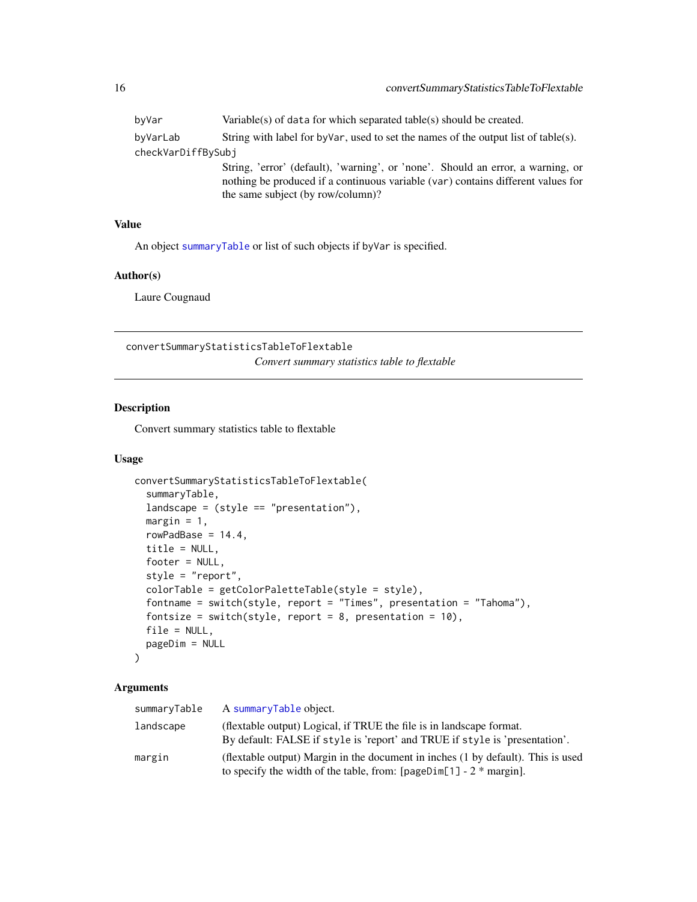<span id="page-15-0"></span>

| byVar              | Variable(s) of data for which separated table(s) should be created.                                                                                                                                      |
|--------------------|----------------------------------------------------------------------------------------------------------------------------------------------------------------------------------------------------------|
| byVarLab           | String with label for by Var, used to set the names of the output list of table(s).                                                                                                                      |
| checkVarDiffBySubj |                                                                                                                                                                                                          |
|                    | String, 'error' (default), 'warning', or 'none'. Should an error, a warning, or<br>nothing be produced if a continuous variable (var) contains different values for<br>the same subject (by row/column)? |

An object [summaryTable](#page-76-1) or list of such objects if byVar is specified.

# Author(s)

Laure Cougnaud

convertSummaryStatisticsTableToFlextable

*Convert summary statistics table to flextable*

#### Description

Convert summary statistics table to flextable

#### Usage

```
convertSummaryStatisticsTableToFlextable(
  summaryTable,
 landscape = (style == "presentation"),margin = 1,
 rowPadBase = 14.4,
 title = NULL,
  footer = NULL,
  style = "report",
  colorTable = getColorPaletteTable(style = style),
  fontname = switch(style, report = "Times", presentation = "Tahoma"),
  fontsize = switch(style, report = 8, presentation = 10),
  file = NULL,
 pageDim = NULL
)
```

| summaryTable | A summaryTable object.                                                                                                                                     |
|--------------|------------------------------------------------------------------------------------------------------------------------------------------------------------|
| landscape    | (flextable output) Logical, if TRUE the file is in landscape format.<br>By default: FALSE if style is 'report' and TRUE if style is 'presentation'.        |
| margin       | (flextable output) Margin in the document in inches (1 by default). This is used<br>to specify the width of the table, from: $[pageDim[1] - 2 * margin]$ . |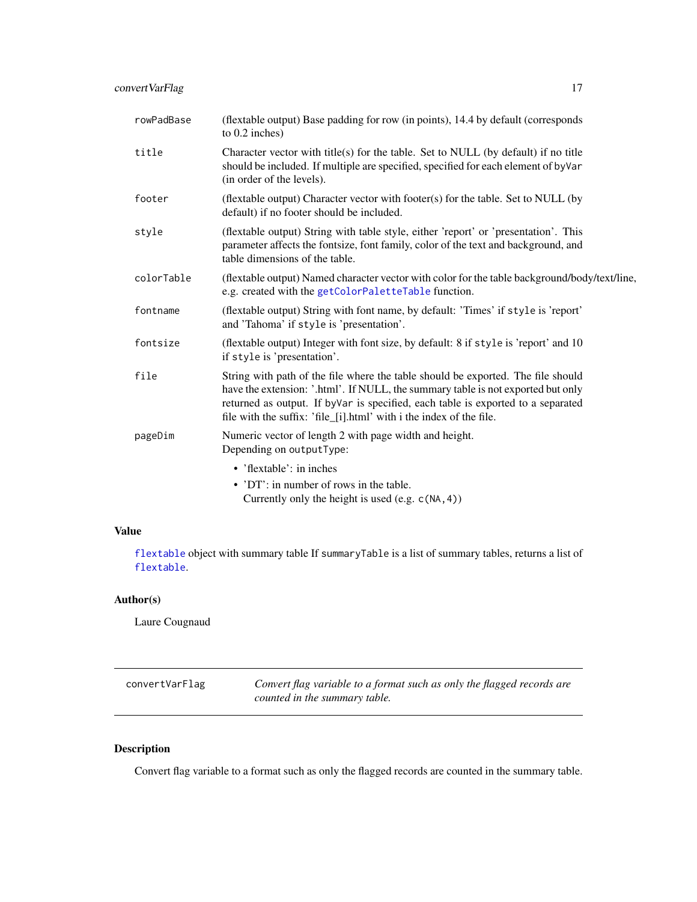<span id="page-16-0"></span>

| rowPadBase | (flextable output) Base padding for row (in points), 14.4 by default (corresponds<br>to $0.2$ inches)                                                                                                                                                                                                                            |
|------------|----------------------------------------------------------------------------------------------------------------------------------------------------------------------------------------------------------------------------------------------------------------------------------------------------------------------------------|
| title      | Character vector with title(s) for the table. Set to NULL (by default) if no title<br>should be included. If multiple are specified, specified for each element of by Var<br>(in order of the levels).                                                                                                                           |
| footer     | (flextable output) Character vector with footer(s) for the table. Set to NULL (by<br>default) if no footer should be included.                                                                                                                                                                                                   |
| style      | (flextable output) String with table style, either 'report' or 'presentation'. This<br>parameter affects the fontsize, font family, color of the text and background, and<br>table dimensions of the table.                                                                                                                      |
| colorTable | (flextable output) Named character vector with color for the table background/body/text/line,<br>e.g. created with the getColorPaletteTable function.                                                                                                                                                                            |
| fontname   | (flextable output) String with font name, by default: 'Times' if style is 'report'<br>and 'Tahoma' if style is 'presentation'.                                                                                                                                                                                                   |
| fontsize   | (flextable output) Integer with font size, by default: 8 if style is 'report' and 10<br>if style is 'presentation'.                                                                                                                                                                                                              |
| file       | String with path of the file where the table should be exported. The file should<br>have the extension: '.html'. If NULL, the summary table is not exported but only<br>returned as output. If by Var is specified, each table is exported to a separated<br>file with the suffix: 'file_[i].html' with i the index of the file. |
| pageDim    | Numeric vector of length 2 with page width and height.<br>Depending on outputType:                                                                                                                                                                                                                                               |
|            | • 'flextable': in inches                                                                                                                                                                                                                                                                                                         |
|            | • 'DT': in number of rows in the table.<br>Currently only the height is used (e.g. $c(NA, 4)$ )                                                                                                                                                                                                                                  |

[flextable](#page-0-0) object with summary table If summaryTable is a list of summary tables, returns a list of [flextable](#page-0-0).

# Author(s)

Laure Cougnaud

| convertVarFlag | Convert flag variable to a format such as only the flagged records are |
|----------------|------------------------------------------------------------------------|
|                | counted in the summary table.                                          |

# Description

Convert flag variable to a format such as only the flagged records are counted in the summary table.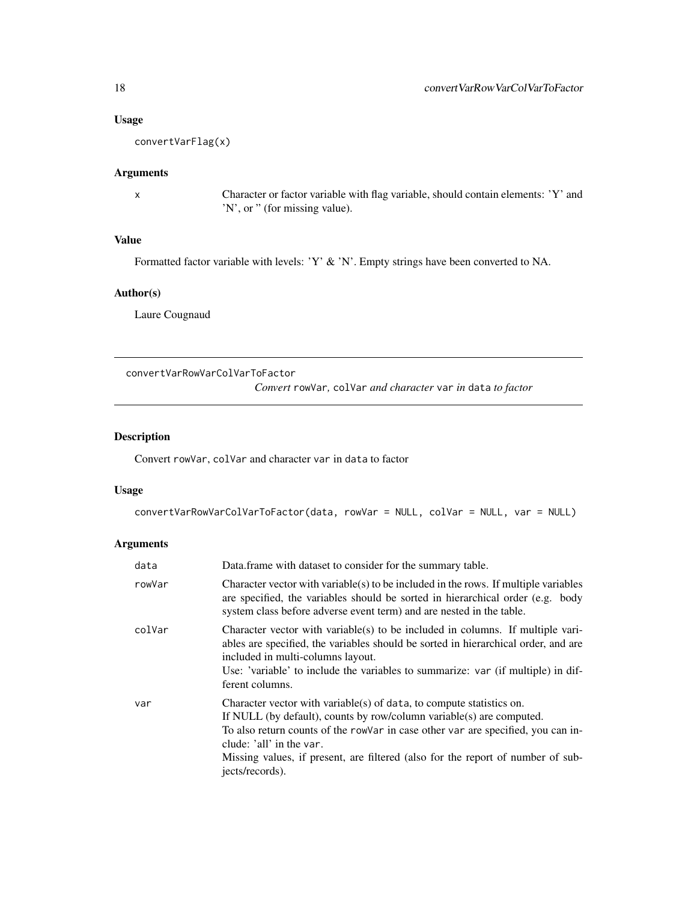#### Usage

convertVarFlag(x)

# Arguments

x Character or factor variable with flag variable, should contain elements: 'Y' and 'N', or " (for missing value).

# Value

Formatted factor variable with levels: 'Y' & 'N'. Empty strings have been converted to NA.

#### Author(s)

Laure Cougnaud

convertVarRowVarColVarToFactor

*Convert* rowVar*,* colVar *and character* var *in* data *to factor*

# Description

Convert rowVar, colVar and character var in data to factor

#### Usage

```
convertVarRowVarColVarToFactor(data, rowVar = NULL, colVar = NULL, var = NULL)
```

| data   | Data. frame with dataset to consider for the summary table.                                                                                                                                                                                                                                                                                                        |
|--------|--------------------------------------------------------------------------------------------------------------------------------------------------------------------------------------------------------------------------------------------------------------------------------------------------------------------------------------------------------------------|
| rowVar | Character vector with variable $(s)$ to be included in the rows. If multiple variables<br>are specified, the variables should be sorted in hierarchical order (e.g. body<br>system class before adverse event term) and are nested in the table.                                                                                                                   |
| colVar | Character vector with variable(s) to be included in columns. If multiple vari-<br>ables are specified, the variables should be sorted in hierarchical order, and are<br>included in multi-columns layout.<br>Use: 'variable' to include the variables to summarize: var (if multiple) in dif-<br>ferent columns.                                                   |
| var    | Character vector with variable(s) of data, to compute statistics on.<br>If NULL (by default), counts by row/column variable(s) are computed.<br>To also return counts of the rowVar in case other var are specified, you can in-<br>clude: 'all' in the var.<br>Missing values, if present, are filtered (also for the report of number of sub-<br>jects/records). |

<span id="page-17-0"></span>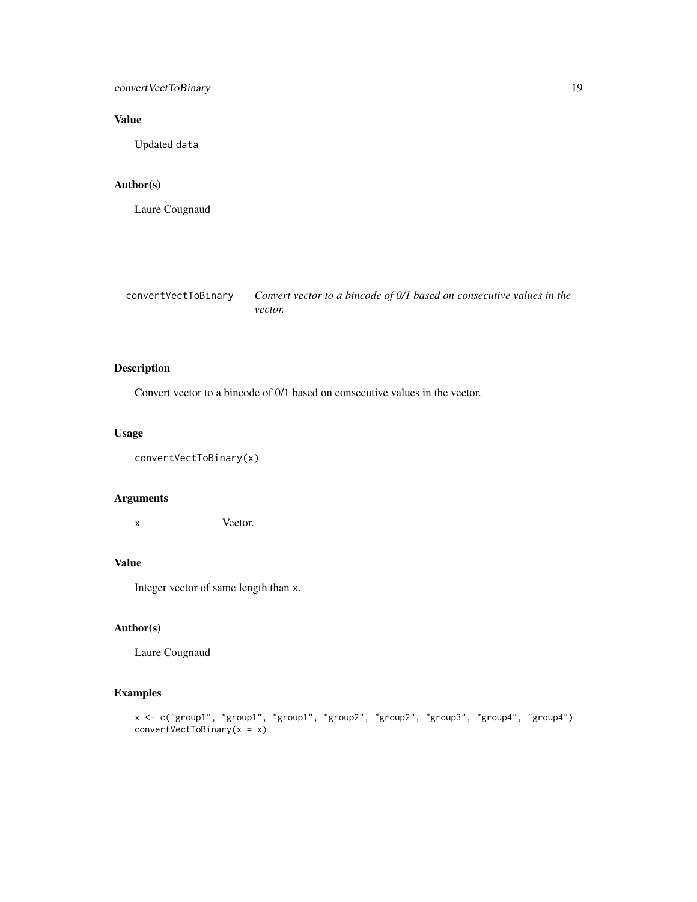# <span id="page-18-0"></span>convertVectToBinary 19

# Value

Updated data

#### Author(s)

Laure Cougnaud

| convertVectToBinarv | Convert vector to a bincode of 0/1 based on consecutive values in the |
|---------------------|-----------------------------------------------------------------------|
|                     | <i>vector.</i>                                                        |

# Description

Convert vector to a bincode of 0/1 based on consecutive values in the vector.

# Usage

```
convertVectToBinary(x)
```
#### Arguments

x Vector.

# Value

Integer vector of same length than x.

#### Author(s)

Laure Cougnaud

# Examples

```
x <- c("group1", "group1", "group1", "group2", "group2", "group3", "group4", "group4")
convertVectToBinary(x = x)
```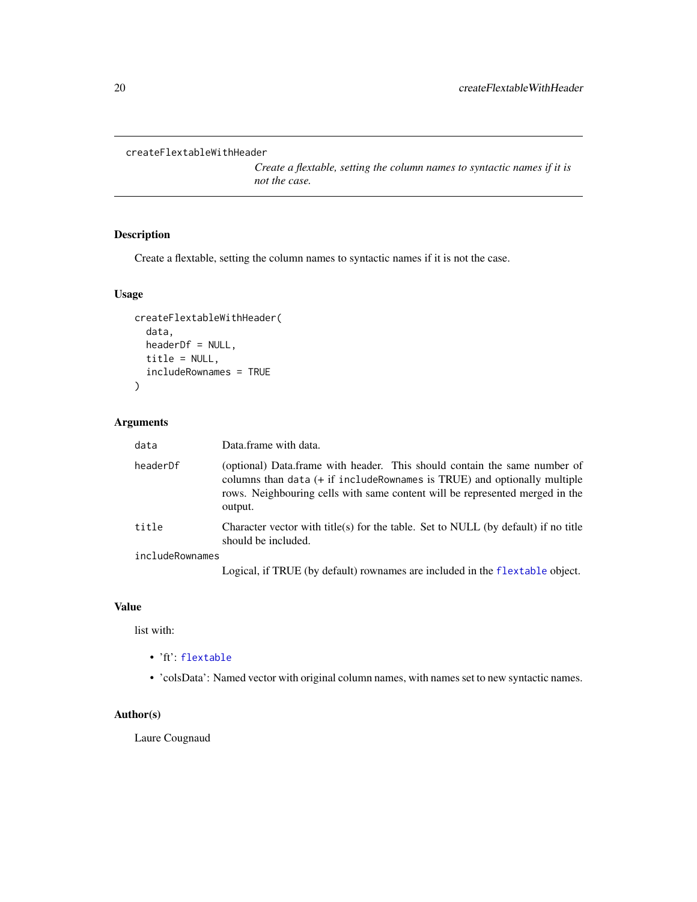```
createFlextableWithHeader
```
*Create a flextable, setting the column names to syntactic names if it is not the case.*

# Description

Create a flextable, setting the column names to syntactic names if it is not the case.

# Usage

```
createFlextableWithHeader(
  data,
 headerDf = NULL,
 title = NULL,
  includeRownames = TRUE
)
```
# Arguments

| data            | Data.frame with data.                                                                                                                                                                                                                                                                                       |
|-----------------|-------------------------------------------------------------------------------------------------------------------------------------------------------------------------------------------------------------------------------------------------------------------------------------------------------------|
| headerDf        | (optional) Data.frame with header. This should contain the same number of<br>columns than data $(+$ if include Rownames is TRUE) and optionally multiple<br>rows. Neighbouring cells with same content will be represented merged in the<br>output.                                                         |
| title           | Character vector with title(s) for the table. Set to NULL (by default) if no title<br>should be included.                                                                                                                                                                                                   |
| includeRownames |                                                                                                                                                                                                                                                                                                             |
|                 | $\mathbf{r}$ , $\mathbf{r}$ , $\mathbf{r}$ , $\mathbf{r}$ , $\mathbf{r}$ , $\mathbf{r}$ , $\mathbf{r}$ , $\mathbf{r}$ , $\mathbf{r}$ , $\mathbf{r}$ , $\mathbf{r}$ , $\mathbf{r}$ , $\mathbf{r}$ , $\mathbf{r}$ , $\mathbf{r}$ , $\mathbf{r}$ , $\mathbf{r}$ , $\mathbf{r}$ , $\mathbf{r}$ , $\mathbf{r}$ , |

Logical, if TRUE (by default) rownames are included in the [flextable](#page-0-0) object.

#### Value

list with:

- 'ft': [flextable](#page-0-0)
- 'colsData': Named vector with original column names, with names set to new syntactic names.

# Author(s)

Laure Cougnaud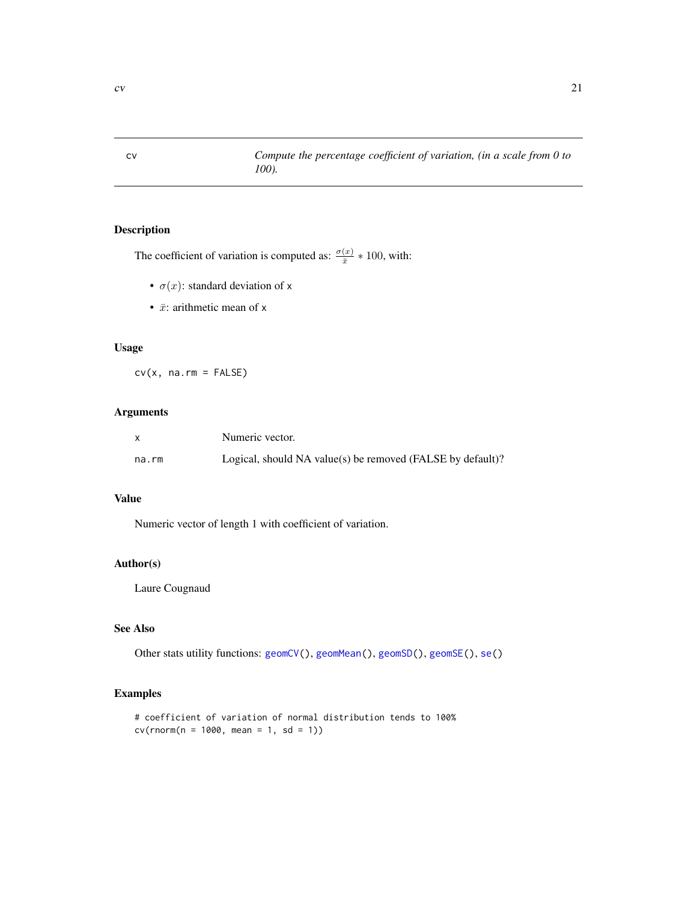<span id="page-20-1"></span><span id="page-20-0"></span>cv *Compute the percentage coefficient of variation, (in a scale from 0 to 100).*

# Description

The coefficient of variation is computed as:  $\frac{\sigma(x)}{\bar{x}} * 100$ , with:

- $\sigma(x)$ : standard deviation of x
- $\bar{x}$ : arithmetic mean of x

# Usage

 $cv(x, na.rm = FALSE)$ 

# Arguments

|       | Numeric vector.                                            |
|-------|------------------------------------------------------------|
| na.rm | Logical, should NA value(s) be removed (FALSE by default)? |

#### Value

Numeric vector of length 1 with coefficient of variation.

# Author(s)

Laure Cougnaud

# See Also

Other stats utility functions: [geomCV\(](#page-37-1)), [geomMean\(](#page-38-1)), [geomSD\(](#page-39-1)), [geomSE\(](#page-40-1)), [se\(](#page-70-1))

# Examples

```
# coefficient of variation of normal distribution tends to 100%
cv(rnorm(n = 1000, mean = 1, sd = 1))
```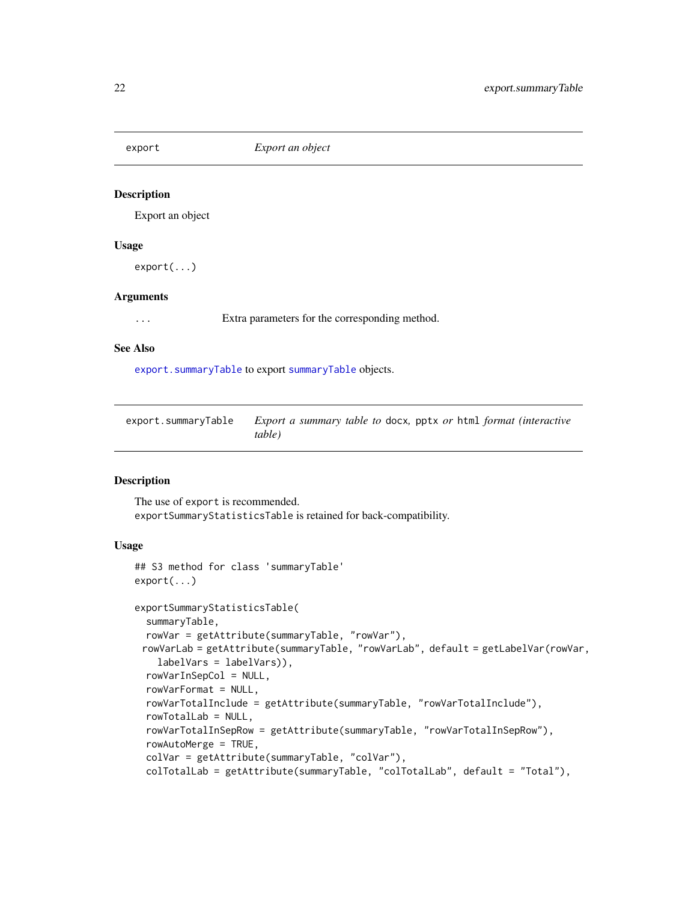<span id="page-21-0"></span>

#### Description

Export an object

#### Usage

export(...)

#### Arguments

... Extra parameters for the corresponding method.

#### See Also

[export.summaryTable](#page-21-1) to export [summaryTable](#page-76-1) objects.

<span id="page-21-1"></span>

| export.summaryTable | <i>Export a summary table to docx, pptx or html format (interactive</i> |
|---------------------|-------------------------------------------------------------------------|
|                     | table)                                                                  |

#### Description

The use of export is recommended. exportSummaryStatisticsTable is retained for back-compatibility.

# Usage

```
## S3 method for class 'summaryTable'
export(...)
exportSummaryStatisticsTable(
  summaryTable,
 rowVar = getAttribute(summaryTable, "rowVar"),
 rowVarLab = getAttribute(summaryTable, "rowVarLab", default = getLabelVar(rowVar,
    labelVars = labelVars)),
  rowVarInSepCol = NULL,
  rowVarFormat = NULL,
  rowVarTotalInclude = getAttribute(summaryTable, "rowVarTotalInclude"),
  rowTotalLab = NULL,
  rowVarTotalInSepRow = getAttribute(summaryTable, "rowVarTotalInSepRow"),
  rowAutoMerge = TRUE,
  colVar = getAttribute(summaryTable, "colVar"),
  colTotalLab = getAttribute(summaryTable, "colTotalLab", default = "Total"),
```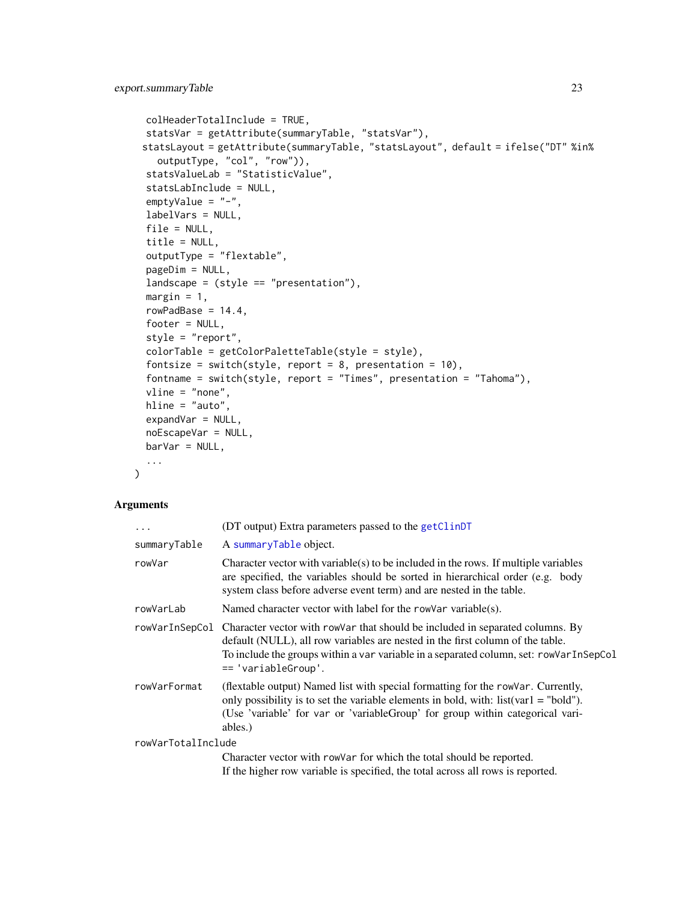```
colHeaderTotalInclude = TRUE,
  statsVar = getAttribute(summaryTable, "statsVar"),
 statsLayout = getAttribute(summaryTable, "statsLayout", default = ifelse("DT" %in%
   outputType, "col", "row")),
  statsValueLab = "StatisticValue",
  statsLabInclude = NULL,
  emptyValue = "-",
 labelVars = NULL,
 file = NULL,
  title = NULL,
 outputType = "flextable",
 pageDim = NULL,
  landscape = (style == "presentation"),
 margin = 1,
 rowPadBase = 14.4,footer = NULL,style = "report",
 colorTable = getColorPaletteTable(style = style),
  fontsize = switch(style, report = 8, presentation = 10),
  fontname = switch(style, report = "Times", presentation = "Tahoma"),
 vline = "none",
 hline = "auto",
 expandVar = NULL,
 noEscapeVar = NULL,
 bar = NULL,...
\mathcal{L}
```

| $\cdots$           | (DT output) Extra parameters passed to the getClinDT                                                                                                                                                                                                                                            |
|--------------------|-------------------------------------------------------------------------------------------------------------------------------------------------------------------------------------------------------------------------------------------------------------------------------------------------|
| summaryTable       | A summaryTable object.                                                                                                                                                                                                                                                                          |
| rowVar             | Character vector with variable $(s)$ to be included in the rows. If multiple variables<br>are specified, the variables should be sorted in hierarchical order (e.g. body<br>system class before adverse event term) and are nested in the table.                                                |
| rowVarLab          | Named character vector with label for the rowVar variable(s).                                                                                                                                                                                                                                   |
|                    | rowVarInSepCol Character vector with rowVar that should be included in separated columns. By<br>default (NULL), all row variables are nested in the first column of the table.<br>To include the groups within a var variable in a separated column, set: rowVarInSepCol<br>== 'variableGroup'. |
| rowVarFormat       | (flextable output) Named list with special formatting for the row Var. Currently,<br>only possibility is to set the variable elements in bold, with: $list(var1 = "bold")$ .<br>(Use 'variable' for var or 'variableGroup' for group within categorical vari-<br>ables.)                        |
| rowVarTotalInclude |                                                                                                                                                                                                                                                                                                 |
|                    | Character vector with rowVar for which the total should be reported.                                                                                                                                                                                                                            |
|                    | If the higher row variable is specified, the total across all rows is reported.                                                                                                                                                                                                                 |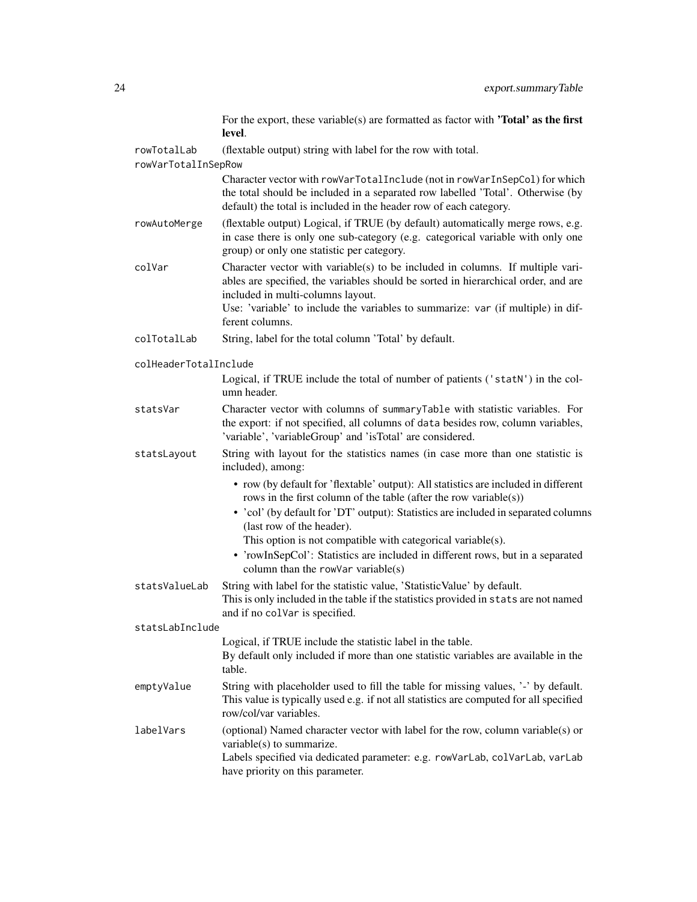For the export, these variable(s) are formatted as factor with **'Total' as the first** level.

rowTotalLab (flextable output) string with label for the row with total.

rowVarTotalInSepRow

Character vector with rowVarTotalInclude (not in rowVarInSepCol) for which the total should be included in a separated row labelled 'Total'. Otherwise (by default) the total is included in the header row of each category.

- rowAutoMerge (flextable output) Logical, if TRUE (by default) automatically merge rows, e.g. in case there is only one sub-category (e.g. categorical variable with only one group) or only one statistic per category.
- $colVar$  Character vector with variable(s) to be included in columns. If multiple variables are specified, the variables should be sorted in hierarchical order, and are included in multi-columns layout.

Use: 'variable' to include the variables to summarize: var (if multiple) in different columns.

colTotalLab String, label for the total column 'Total' by default.

colHeaderTotalInclude

Logical, if TRUE include the total of number of patients ('statN') in the column header.

statsVar Character vector with columns of summaryTable with statistic variables. For the export: if not specified, all columns of data besides row, column variables, 'variable', 'variableGroup' and 'isTotal' are considered.

statsLayout String with layout for the statistics names (in case more than one statistic is included), among:

- row (by default for 'flextable' output): All statistics are included in different rows in the first column of the table (after the row variable(s))
- 'col' (by default for 'DT' output): Statistics are included in separated columns (last row of the header).

This option is not compatible with categorical variable(s).

• 'rowInSepCol': Statistics are included in different rows, but in a separated column than the rowVar variable(s)

statsValueLab String with label for the statistic value, 'StatisticValue' by default. This is only included in the table if the statistics provided in stats are not named and if no colVar is specified.

statsLabInclude

Logical, if TRUE include the statistic label in the table. By default only included if more than one statistic variables are available in the table.

- emptyValue String with placeholder used to fill the table for missing values, '-' by default. This value is typically used e.g. if not all statistics are computed for all specified row/col/var variables.
- labelVars (optional) Named character vector with label for the row, column variable(s) or variable(s) to summarize. Labels specified via dedicated parameter: e.g. rowVarLab, colVarLab, varLab

have priority on this parameter.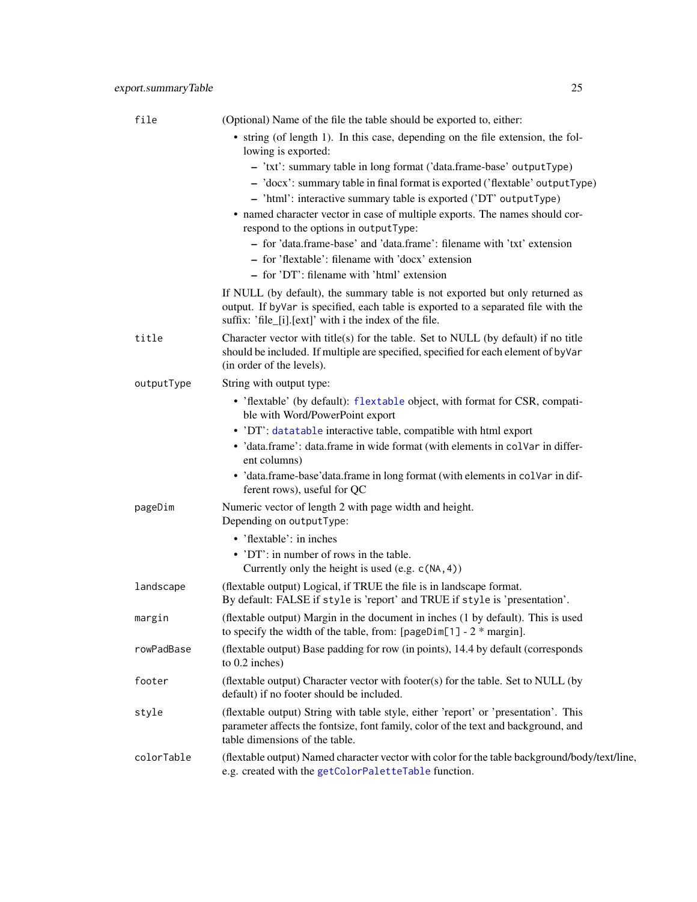| file       | (Optional) Name of the file the table should be exported to, either:                                                                                                                                                                                                                                                                               |
|------------|----------------------------------------------------------------------------------------------------------------------------------------------------------------------------------------------------------------------------------------------------------------------------------------------------------------------------------------------------|
|            | • string (of length 1). In this case, depending on the file extension, the fol-<br>lowing is exported:                                                                                                                                                                                                                                             |
|            | - 'txt': summary table in long format ('data.frame-base' outputType)<br>- 'docx': summary table in final format is exported ('flextable' output Type)<br>- 'html': interactive summary table is exported ('DT' outputType)<br>• named character vector in case of multiple exports. The names should cor-<br>respond to the options in outputType: |
|            | - for 'data.frame-base' and 'data.frame': filename with 'txt' extension<br>- for 'flextable': filename with 'docx' extension                                                                                                                                                                                                                       |
|            | - for 'DT': filename with 'html' extension                                                                                                                                                                                                                                                                                                         |
|            | If NULL (by default), the summary table is not exported but only returned as<br>output. If by Var is specified, each table is exported to a separated file with the<br>suffix: 'file_[i].[ext]' with i the index of the file.                                                                                                                      |
| title      | Character vector with title(s) for the table. Set to NULL (by default) if no title<br>should be included. If multiple are specified, specified for each element of byVar<br>(in order of the levels).                                                                                                                                              |
| outputType | String with output type:                                                                                                                                                                                                                                                                                                                           |
|            | • 'flextable' (by default): flextable object, with format for CSR, compati-<br>ble with Word/PowerPoint export                                                                                                                                                                                                                                     |
|            | • 'DT': datatable interactive table, compatible with html export                                                                                                                                                                                                                                                                                   |
|            | · 'data.frame': data.frame in wide format (with elements in colvar in differ-<br>ent columns)                                                                                                                                                                                                                                                      |
|            | • 'data.frame-base'data.frame in long format (with elements in colvar in dif-<br>ferent rows), useful for QC                                                                                                                                                                                                                                       |
| pageDim    | Numeric vector of length 2 with page width and height.<br>Depending on outputType:                                                                                                                                                                                                                                                                 |
|            | • 'flextable': in inches                                                                                                                                                                                                                                                                                                                           |
|            | • 'DT': in number of rows in the table.<br>Currently only the height is used (e.g. $c(NA, 4)$ )                                                                                                                                                                                                                                                    |
| landscape  | (flextable output) Logical, if TRUE the file is in landscape format.<br>By default: FALSE if style is 'report' and TRUE if style is 'presentation'.                                                                                                                                                                                                |
| margin     | (flextable output) Margin in the document in inches (1 by default). This is used<br>to specify the width of the table, from: $[pageDim[1] - 2 * margin]$ .                                                                                                                                                                                         |
| rowPadBase | (flextable output) Base padding for row (in points), 14.4 by default (corresponds<br>to 0.2 inches)                                                                                                                                                                                                                                                |
| footer     | (flextable output) Character vector with footer(s) for the table. Set to NULL (by<br>default) if no footer should be included.                                                                                                                                                                                                                     |
| style      | (flextable output) String with table style, either 'report' or 'presentation'. This<br>parameter affects the fontsize, font family, color of the text and background, and<br>table dimensions of the table.                                                                                                                                        |
| colorTable | (flextable output) Named character vector with color for the table background/body/text/line,<br>e.g. created with the getColorPaletteTable function.                                                                                                                                                                                              |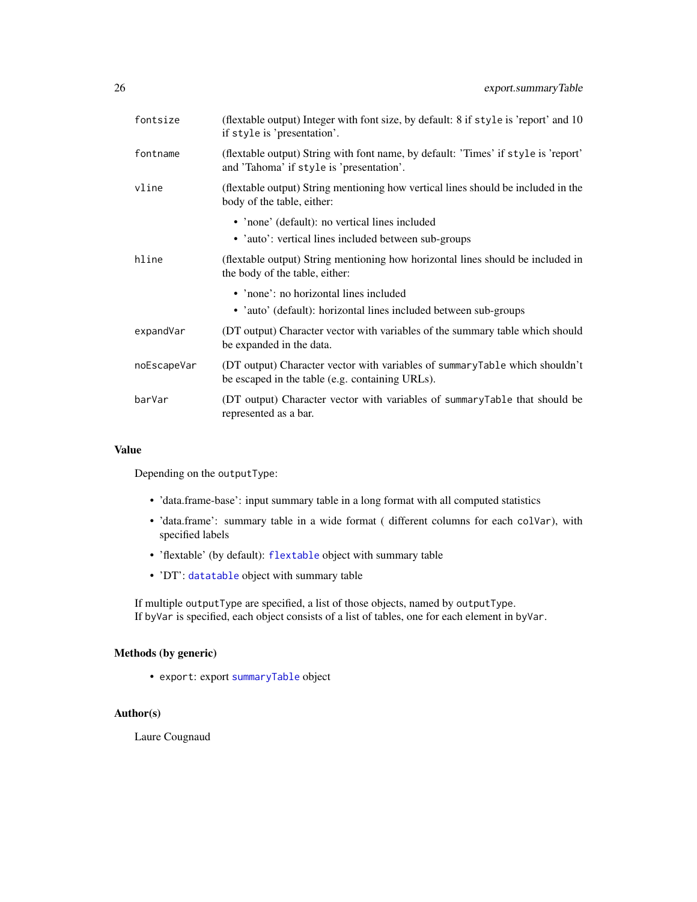| fontsize    | (flextable output) Integer with font size, by default: 8 if style is 'report' and 10<br>if style is 'presentation'.            |
|-------------|--------------------------------------------------------------------------------------------------------------------------------|
| fontname    | (flextable output) String with font name, by default: 'Times' if style is 'report'<br>and 'Tahoma' if style is 'presentation'. |
| vline       | (flextable output) String mentioning how vertical lines should be included in the<br>body of the table, either:                |
|             | • 'none' (default): no vertical lines included                                                                                 |
|             | • 'auto': vertical lines included between sub-groups                                                                           |
| hline       | (flextable output) String mentioning how horizontal lines should be included in<br>the body of the table, either:              |
|             | • 'none': no horizontal lines included                                                                                         |
|             | • 'auto' (default): horizontal lines included between sub-groups                                                               |
| expandVar   | (DT output) Character vector with variables of the summary table which should<br>be expanded in the data.                      |
| noEscapeVar | (DT output) Character vector with variables of summaryTable which shouldn't<br>be escaped in the table (e.g. containing URLs). |
| barVar      | (DT output) Character vector with variables of summary Table that should be<br>represented as a bar.                           |

Depending on the outputType:

- 'data.frame-base': input summary table in a long format with all computed statistics
- 'data.frame': summary table in a wide format ( different columns for each colVar), with specified labels
- 'flextable' (by default): [flextable](#page-0-0) object with summary table
- 'DT': [datatable](#page-0-0) object with summary table

If multiple outputType are specified, a list of those objects, named by outputType. If byVar is specified, each object consists of a list of tables, one for each element in byVar.

#### Methods (by generic)

• export: export [summaryTable](#page-76-1) object

#### Author(s)

Laure Cougnaud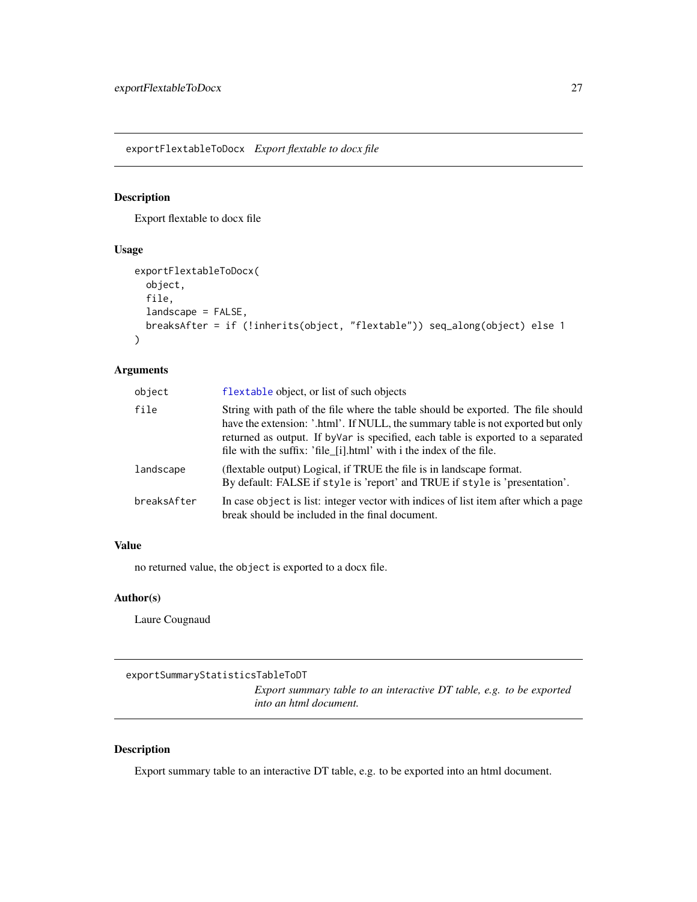<span id="page-26-0"></span>exportFlextableToDocx *Export flextable to docx file*

#### Description

Export flextable to docx file

# Usage

```
exportFlextableToDocx(
  object,
  file,
  landscape = FALSE,
 breaksAfter = if (!inherits(object, "flextable")) seq_along(object) else 1
)
```
# Arguments

| object      | flextable object, or list of such objects                                                                                                                                                                                                                                                                                        |  |
|-------------|----------------------------------------------------------------------------------------------------------------------------------------------------------------------------------------------------------------------------------------------------------------------------------------------------------------------------------|--|
| file        | String with path of the file where the table should be exported. The file should<br>have the extension: '.html'. If NULL, the summary table is not exported but only<br>returned as output. If by Var is specified, each table is exported to a separated<br>file with the suffix: 'file [i].html' with i the index of the file. |  |
| landscape   | (flextable output) Logical, if TRUE the file is in landscape format.<br>By default: FALSE if style is 'report' and TRUE if style is 'presentation'.                                                                                                                                                                              |  |
| breaksAfter | In case object is list: integer vector with indices of list item after which a page<br>break should be included in the final document.                                                                                                                                                                                           |  |

# Value

no returned value, the object is exported to a docx file.

# Author(s)

Laure Cougnaud

```
exportSummaryStatisticsTableToDT
```
*Export summary table to an interactive DT table, e.g. to be exported into an html document.*

# Description

Export summary table to an interactive DT table, e.g. to be exported into an html document.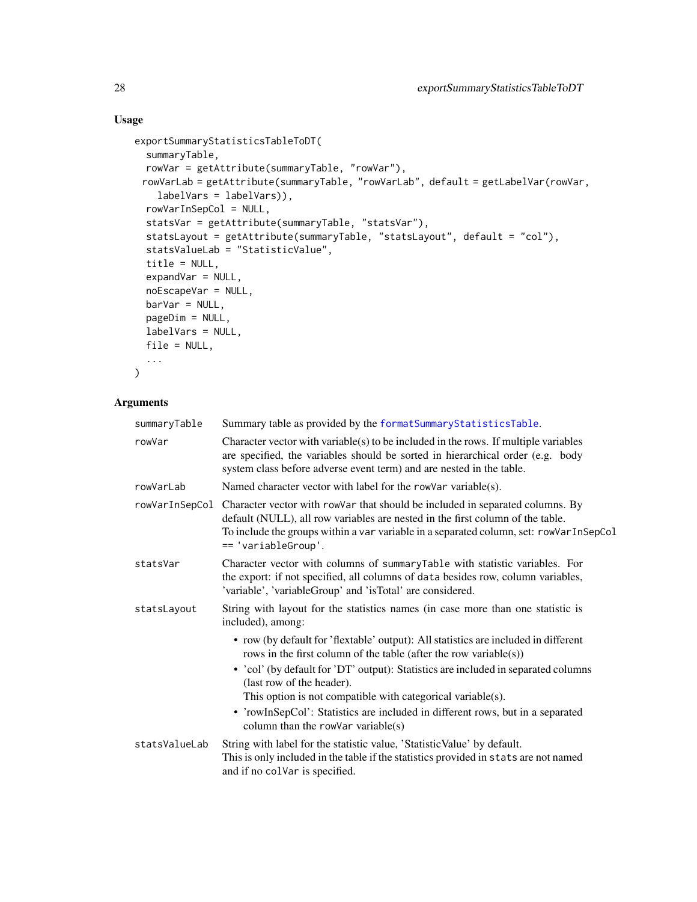# Usage

```
exportSummaryStatisticsTableToDT(
 summaryTable,
  rowVar = getAttribute(summaryTable, "rowVar"),
 rowVarLab = getAttribute(summaryTable, "rowVarLab", default = getLabelVar(rowVar,
   labelVars = labelVars)),
 rowVarInSepCol = NULL,
  statsVar = getAttribute(summaryTable, "statsVar"),
  statsLayout = getAttribute(summaryTable, "statsLayout", default = "col"),
 statsValueLab = "StatisticValue",
  title = NULL,
 expandVar = NULL,
 noEscapeVar = NULL,
 barVar = NULL,
 pageDim = NULL,
 labelVars = NULL,
 file = NULL,
  ...
)
```

| summaryTable   | Summary table as provided by the formatSummaryStatisticsTable.                                                                                                                                                                                                                   |  |
|----------------|----------------------------------------------------------------------------------------------------------------------------------------------------------------------------------------------------------------------------------------------------------------------------------|--|
| rowVar         | Character vector with variable $(s)$ to be included in the rows. If multiple variables<br>are specified, the variables should be sorted in hierarchical order (e.g. body<br>system class before adverse event term) and are nested in the table.                                 |  |
| rowVarLab      | Named character vector with label for the rowVar variable(s).                                                                                                                                                                                                                    |  |
| rowVarInSepCol | Character vector with rowVar that should be included in separated columns. By<br>default (NULL), all row variables are nested in the first column of the table.<br>To include the groups within a var variable in a separated column, set: rowVarInSepCol<br>== 'variableGroup'. |  |
| statsVar       | Character vector with columns of summaryTable with statistic variables. For<br>the export: if not specified, all columns of data besides row, column variables,<br>'variable', 'variableGroup' and 'isTotal' are considered.                                                     |  |
| statsLayout    | String with layout for the statistics names (in case more than one statistic is<br>included), among:                                                                                                                                                                             |  |
|                | • row (by default for 'flextable' output): All statistics are included in different<br>rows in the first column of the table (after the row variable(s))                                                                                                                         |  |
|                | • 'col' (by default for 'DT' output): Statistics are included in separated columns<br>(last row of the header).                                                                                                                                                                  |  |
|                | This option is not compatible with categorical variable(s).                                                                                                                                                                                                                      |  |
|                | • 'rowInSepCol': Statistics are included in different rows, but in a separated<br>column than the rowVar variable $(s)$                                                                                                                                                          |  |
| statsValueLab  | String with label for the statistic value, 'Statistic Value' by default.<br>This is only included in the table if the statistics provided in stats are not named<br>and if no colVar is specified.                                                                               |  |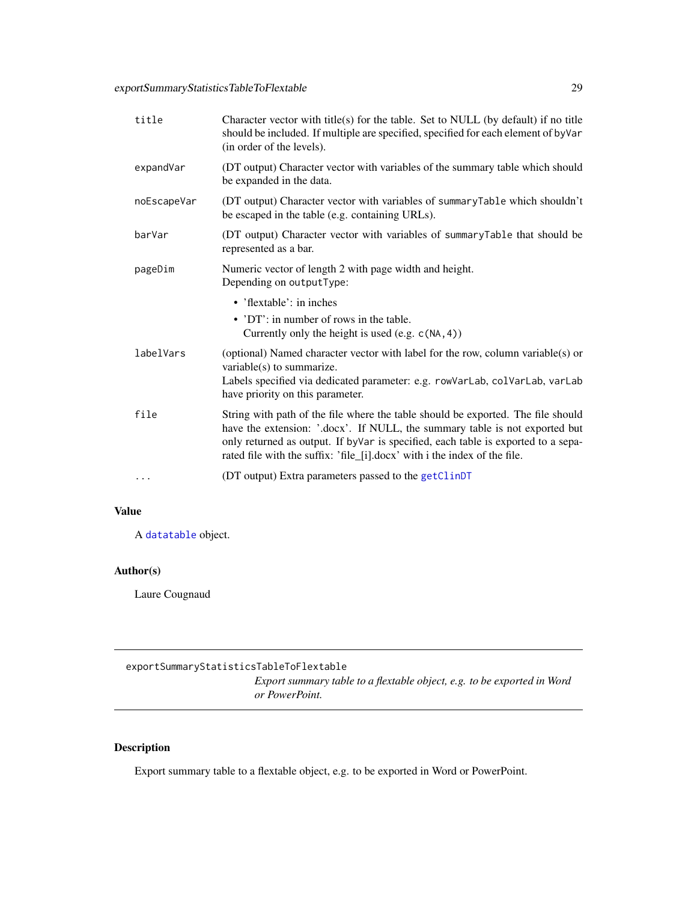<span id="page-28-0"></span>

| title       | Character vector with title(s) for the table. Set to NULL (by default) if no title<br>should be included. If multiple are specified, specified for each element of by Var<br>(in order of the levels).                                                                                                                             |
|-------------|------------------------------------------------------------------------------------------------------------------------------------------------------------------------------------------------------------------------------------------------------------------------------------------------------------------------------------|
| expandVar   | (DT output) Character vector with variables of the summary table which should<br>be expanded in the data.                                                                                                                                                                                                                          |
| noEscapeVar | (DT output) Character vector with variables of summaryTable which shouldn't<br>be escaped in the table (e.g. containing URLs).                                                                                                                                                                                                     |
| barVar      | (DT output) Character vector with variables of summaryTable that should be<br>represented as a bar.                                                                                                                                                                                                                                |
| pageDim     | Numeric vector of length 2 with page width and height.<br>Depending on outputType:                                                                                                                                                                                                                                                 |
|             | $\bullet$ 'flextable': in inches                                                                                                                                                                                                                                                                                                   |
|             | • 'DT': in number of rows in the table.<br>Currently only the height is used (e.g. $c(NA, 4)$ )                                                                                                                                                                                                                                    |
| labelVars   | (optional) Named character vector with label for the row, column variable(s) or<br>variable(s) to summarize.                                                                                                                                                                                                                       |
|             | Labels specified via dedicated parameter: e.g. rowVarLab, colVarLab, varLab<br>have priority on this parameter.                                                                                                                                                                                                                    |
| file        | String with path of the file where the table should be exported. The file should<br>have the extension: '.docx'. If NULL, the summary table is not exported but<br>only returned as output. If by Var is specified, each table is exported to a sepa-<br>rated file with the suffix: 'file_[i].docx' with i the index of the file. |
| .           | (DT output) Extra parameters passed to the getClinDT                                                                                                                                                                                                                                                                               |

A [datatable](#page-0-0) object.

# Author(s)

Laure Cougnaud

exportSummaryStatisticsTableToFlextable

*Export summary table to a flextable object, e.g. to be exported in Word or PowerPoint.*

# Description

Export summary table to a flextable object, e.g. to be exported in Word or PowerPoint.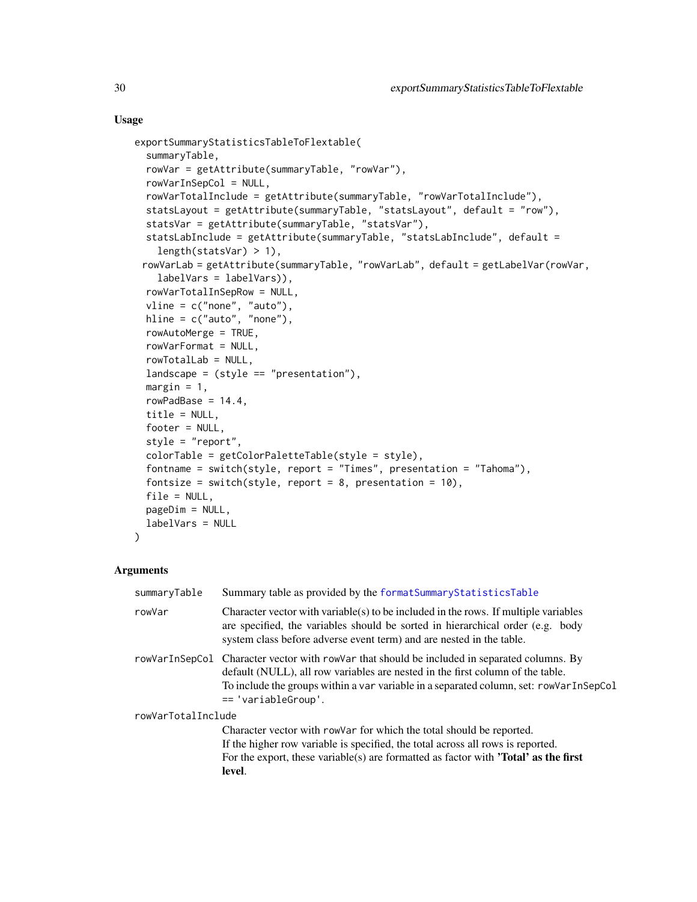#### Usage

```
exportSummaryStatisticsTableToFlextable(
  summaryTable,
 rowVar = getAttribute(summaryTable, "rowVar"),
 rowVarInSepCol = NULL,
 rowVarTotalInclude = getAttribute(summaryTable, "rowVarTotalInclude"),
  statsLayout = getAttribute(summaryTable, "statsLayout", default = "row"),
  statsVar = getAttribute(summaryTable, "statsVar"),
 statsLabInclude = getAttribute(summaryTable, "statsLabInclude", default =
   length(statsVar) > 1),
 rowVarLab = getAttribute(summaryTable, "rowVarLab", default = getLabelVar(rowVar,
   labelVars = labelVars)),
 rowVarTotalInSepRow = NULL,
 vline = c("none", "auto"),
 hline = c("auto", "none"),
 rowAutoMerge = TRUE,
 rowVarFormat = NULL,
 rowTotalLab = NULL,
 landscale = (style == "presentation"),margin = 1,
 rowPadBase = 14.4,
  title = NULL,
 footer = NULL,
  style = "report",
 colorTable = getColorPaletteTable(style = style),
  fontname = switch(style, report = "Times", presentation = "Tahoma"),
 fontsize = switch(style, report = 8, presentation = 10),
 file = NULL,
 pageDim = NULL,
 labelVars = NULL
)
```

| summaryTable       | Summary table as provided by the formatSummaryStatisticsTable                                                                                                                                                                                                                                     |  |
|--------------------|---------------------------------------------------------------------------------------------------------------------------------------------------------------------------------------------------------------------------------------------------------------------------------------------------|--|
| rowVar             | Character vector with variable(s) to be included in the rows. If multiple variables<br>are specified, the variables should be sorted in hierarchical order (e.g. body<br>system class before adverse event term) and are nested in the table.                                                     |  |
|                    | rowVarInSepCol Character vector with rowVar that should be included in separated columns. By<br>default (NULL), all row variables are nested in the first column of the table.<br>To include the groups within a var variable in a separated column, set: rowVarInSepCol<br>$== 'variableGroup'.$ |  |
| rowVarTotalInclude |                                                                                                                                                                                                                                                                                                   |  |
|                    | Character vector with row ar for which the total should be reported.<br>If the higher row variable is specified, the total across all rows is reported.<br>For the export, these variable(s) are formatted as factor with <b>'Total' as the first</b>                                             |  |
|                    | level.                                                                                                                                                                                                                                                                                            |  |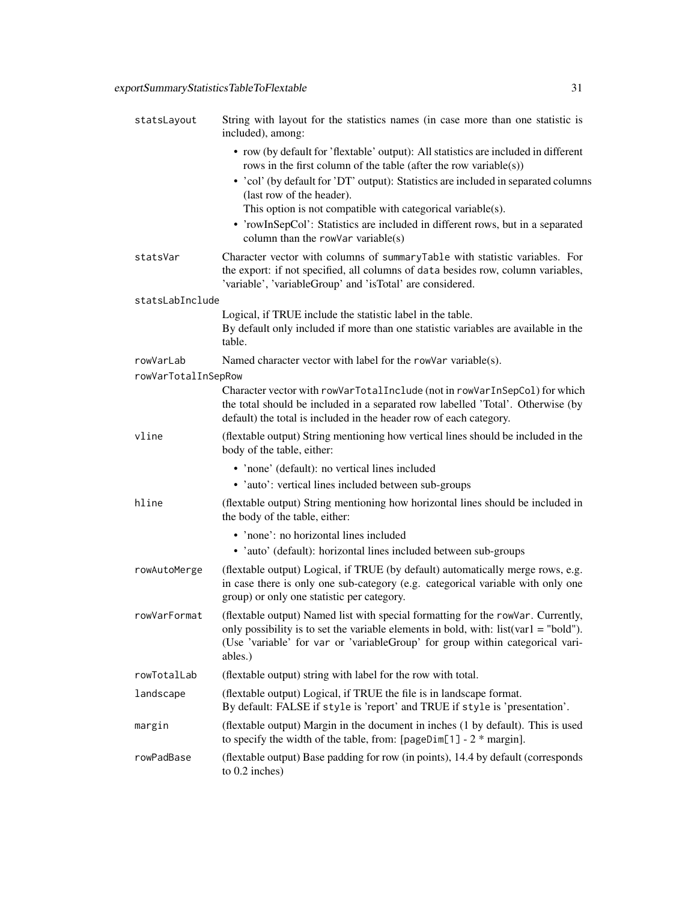| statsLayout         | String with layout for the statistics names (in case more than one statistic is<br>included), among:                                                                                                                                                                 |
|---------------------|----------------------------------------------------------------------------------------------------------------------------------------------------------------------------------------------------------------------------------------------------------------------|
|                     | • row (by default for 'flextable' output): All statistics are included in different<br>rows in the first column of the table (after the row variable(s))                                                                                                             |
|                     | • 'col' (by default for 'DT' output): Statistics are included in separated columns<br>(last row of the header).                                                                                                                                                      |
|                     | This option is not compatible with categorical variable(s).                                                                                                                                                                                                          |
|                     | • 'rowInSepCol': Statistics are included in different rows, but in a separated<br>column than the rowVar variable $(s)$                                                                                                                                              |
| statsVar            | Character vector with columns of summaryTable with statistic variables. For<br>the export: if not specified, all columns of data besides row, column variables,<br>'variable', 'variableGroup' and 'isTotal' are considered.                                         |
| statsLabInclude     |                                                                                                                                                                                                                                                                      |
|                     | Logical, if TRUE include the statistic label in the table.<br>By default only included if more than one statistic variables are available in the<br>table.                                                                                                           |
| rowVarLab           | Named character vector with label for the rowVar variable(s).                                                                                                                                                                                                        |
| rowVarTotalInSepRow | Character vector with rowVarTotalInclude (not in rowVarInSepCol) for which                                                                                                                                                                                           |
|                     | the total should be included in a separated row labelled 'Total'. Otherwise (by<br>default) the total is included in the header row of each category.                                                                                                                |
| vline               | (flextable output) String mentioning how vertical lines should be included in the<br>body of the table, either:                                                                                                                                                      |
|                     | • 'none' (default): no vertical lines included                                                                                                                                                                                                                       |
|                     | • 'auto': vertical lines included between sub-groups                                                                                                                                                                                                                 |
| hline               | (flextable output) String mentioning how horizontal lines should be included in<br>the body of the table, either:                                                                                                                                                    |
|                     | • 'none': no horizontal lines included                                                                                                                                                                                                                               |
|                     | • 'auto' (default): horizontal lines included between sub-groups                                                                                                                                                                                                     |
| rowAutoMerge        | (flextable output) Logical, if TRUE (by default) automatically merge rows, e.g.<br>in case there is only one sub-category (e.g. categorical variable with only one<br>group) or only one statistic per category.                                                     |
| rowVarFormat        | (flextable output) Named list with special formatting for the rowVar. Currently,<br>only possibility is to set the variable elements in bold, with: list(var1 = "bold").<br>(Use 'variable' for var or 'variableGroup' for group within categorical vari-<br>ables.) |
| rowTotalLab         | (flextable output) string with label for the row with total.                                                                                                                                                                                                         |
| landscape           | (flextable output) Logical, if TRUE the file is in landscape format.<br>By default: FALSE if style is 'report' and TRUE if style is 'presentation'.                                                                                                                  |
| margin              | (flextable output) Margin in the document in inches (1 by default). This is used<br>to specify the width of the table, from: $[pageDim[1] - 2 * margin]$ .                                                                                                           |
| rowPadBase          | (flextable output) Base padding for row (in points), 14.4 by default (corresponds<br>to 0.2 inches)                                                                                                                                                                  |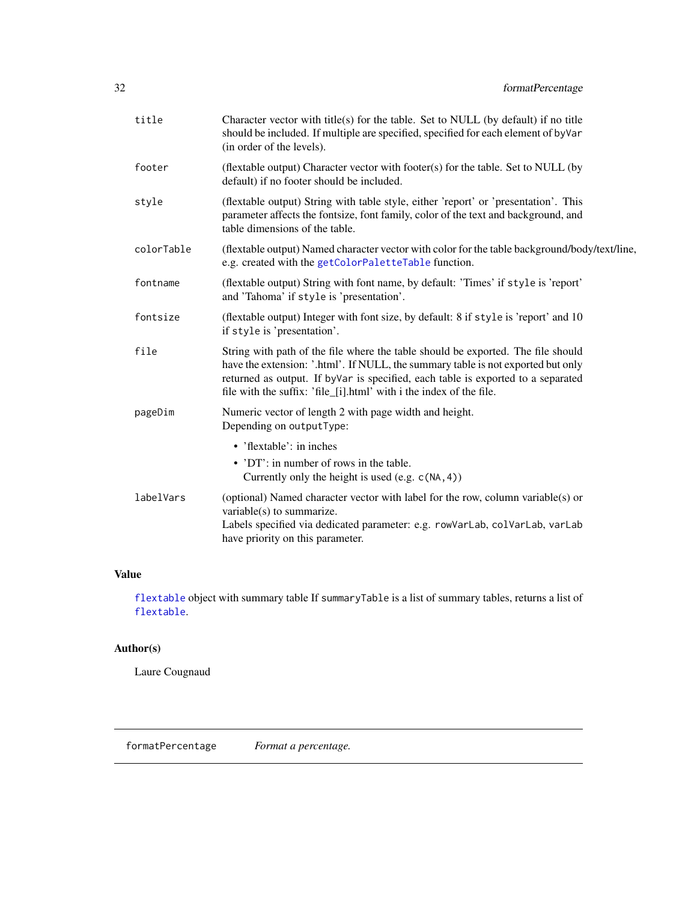<span id="page-31-0"></span>

| title      | Character vector with title(s) for the table. Set to NULL (by default) if no title<br>should be included. If multiple are specified, specified for each element of byVar<br>(in order of the levels).                                                                                                                            |
|------------|----------------------------------------------------------------------------------------------------------------------------------------------------------------------------------------------------------------------------------------------------------------------------------------------------------------------------------|
| footer     | (flextable output) Character vector with footer(s) for the table. Set to NULL (by<br>default) if no footer should be included.                                                                                                                                                                                                   |
| style      | (flextable output) String with table style, either 'report' or 'presentation'. This<br>parameter affects the fontsize, font family, color of the text and background, and<br>table dimensions of the table.                                                                                                                      |
| colorTable | (flextable output) Named character vector with color for the table background/body/text/line,<br>e.g. created with the getColorPaletteTable function.                                                                                                                                                                            |
| fontname   | (flextable output) String with font name, by default: 'Times' if style is 'report'<br>and 'Tahoma' if style is 'presentation'.                                                                                                                                                                                                   |
| fontsize   | (flextable output) Integer with font size, by default: 8 if style is 'report' and 10<br>if style is 'presentation'.                                                                                                                                                                                                              |
| file       | String with path of the file where the table should be exported. The file should<br>have the extension: '.html'. If NULL, the summary table is not exported but only<br>returned as output. If by Var is specified, each table is exported to a separated<br>file with the suffix: 'file_[i].html' with i the index of the file. |
| pageDim    | Numeric vector of length 2 with page width and height.<br>Depending on outputType:                                                                                                                                                                                                                                               |
|            | • 'flextable': in inches                                                                                                                                                                                                                                                                                                         |
|            | • 'DT': in number of rows in the table.<br>Currently only the height is used (e.g. $c(NA, 4)$ )                                                                                                                                                                                                                                  |
| labelVars  | (optional) Named character vector with label for the row, column variable(s) or<br>variable(s) to summarize.<br>Labels specified via dedicated parameter: e.g. rowVarLab, colVarLab, varLab<br>have priority on this parameter.                                                                                                  |

[flextable](#page-0-0) object with summary table If summaryTable is a list of summary tables, returns a list of [flextable](#page-0-0).

# Author(s)

Laure Cougnaud

formatPercentage *Format a percentage.*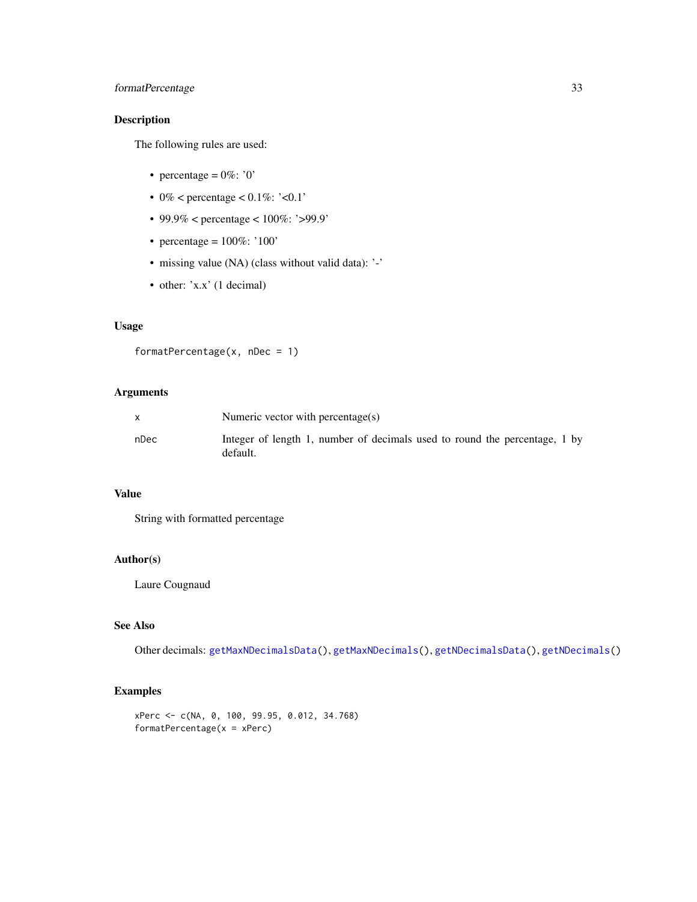# formatPercentage 33

# Description

The following rules are used:

- percentage =  $0\%$ : '0'
- 0% < percentage <  $0.1\%$ : '< $0.1$ '
- 99.9% < percentage < 100%: '>99.9'
- percentage =  $100\%$ : '100'
- missing value (NA) (class without valid data): '-'
- other: 'x.x' (1 decimal)

# Usage

```
formatPercentage(x, nDec = 1)
```
# Arguments

|      | Numeric vector with percentage(s)                                                      |
|------|----------------------------------------------------------------------------------------|
| nDec | Integer of length 1, number of decimals used to round the percentage, 1 by<br>default. |

#### Value

String with formatted percentage

# Author(s)

Laure Cougnaud

# See Also

Other decimals: [getMaxNDecimalsData\(](#page-45-1)), [getMaxNDecimals\(](#page-44-1)), [getNDecimalsData\(](#page-47-1)), [getNDecimals\(](#page-46-1))

#### Examples

```
xPerc <- c(NA, 0, 100, 99.95, 0.012, 34.768)
formatPercentage(x = xPerc)
```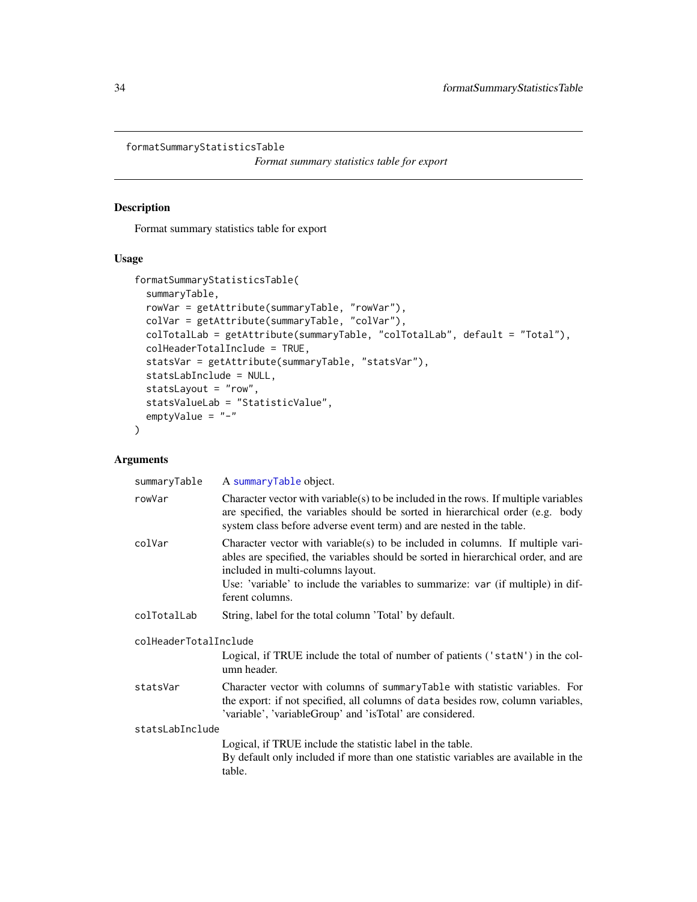<span id="page-33-1"></span><span id="page-33-0"></span>formatSummaryStatisticsTable

*Format summary statistics table for export*

# Description

Format summary statistics table for export

#### Usage

```
formatSummaryStatisticsTable(
  summaryTable,
  rowVar = getAttribute(summaryTable, "rowVar"),
 colVar = getAttribute(summaryTable, "colVar"),
 colTotalLab = getAttribute(summaryTable, "colTotalLab", default = "Total"),
  colHeaderTotalInclude = TRUE,
  statsVar = getAttribute(summaryTable, "statsVar"),
  statsLabInclude = NULL,
  statsLayout = "row",
  statsValueLab = "StatisticValue",
 emptyValue = "-"
\mathcal{L}
```

| A summaryTable object.                                                                                                                                                                                                                                                                                           |  |
|------------------------------------------------------------------------------------------------------------------------------------------------------------------------------------------------------------------------------------------------------------------------------------------------------------------|--|
| Character vector with variable(s) to be included in the rows. If multiple variables<br>are specified, the variables should be sorted in hierarchical order (e.g. body<br>system class before adverse event term) and are nested in the table.                                                                    |  |
| Character vector with variable(s) to be included in columns. If multiple vari-<br>ables are specified, the variables should be sorted in hierarchical order, and are<br>included in multi-columns layout.<br>Use: 'variable' to include the variables to summarize: var (if multiple) in dif-<br>ferent columns. |  |
| String, label for the total column 'Total' by default.                                                                                                                                                                                                                                                           |  |
| colHeaderTotalInclude                                                                                                                                                                                                                                                                                            |  |
| Logical, if TRUE include the total of number of patients ('statN') in the col-<br>umn header.                                                                                                                                                                                                                    |  |
| Character vector with columns of summaryTable with statistic variables. For<br>the export: if not specified, all columns of data besides row, column variables,<br>'variable', 'variableGroup' and 'isTotal' are considered.                                                                                     |  |
| statsLabInclude                                                                                                                                                                                                                                                                                                  |  |
| Logical, if TRUE include the statistic label in the table.<br>By default only included if more than one statistic variables are available in the<br>table.                                                                                                                                                       |  |
|                                                                                                                                                                                                                                                                                                                  |  |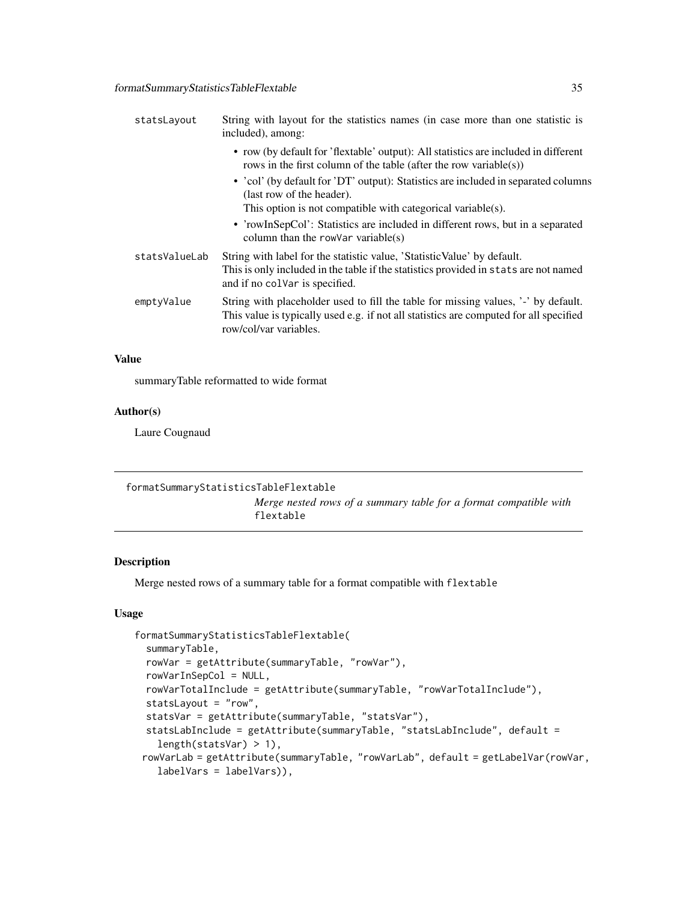<span id="page-34-0"></span>

| statsLayout   | String with layout for the statistics names (in case more than one statistic is<br>included), among:                                                                                                   |
|---------------|--------------------------------------------------------------------------------------------------------------------------------------------------------------------------------------------------------|
|               | • row (by default for 'flextable' output): All statistics are included in different<br>rows in the first column of the table (after the row variable(s))                                               |
|               | • 'col' (by default for 'DT' output): Statistics are included in separated columns<br>(last row of the header).                                                                                        |
|               | This option is not compatible with categorical variable(s).                                                                                                                                            |
|               | • 'rowInSepCol': Statistics are included in different rows, but in a separated<br>column than the row Var variable $(s)$                                                                               |
| statsValueLab | String with label for the statistic value, 'Statistic Value' by default.<br>This is only included in the table if the statistics provided in stats are not named<br>and if no colvar is specified.     |
| emptyValue    | String with placeholder used to fill the table for missing values, '-' by default.<br>This value is typically used e.g. if not all statistics are computed for all specified<br>row/col/var variables. |

summaryTable reformatted to wide format

#### Author(s)

Laure Cougnaud

| formatSummaryStatisticsTableFlextable |                                                                                |
|---------------------------------------|--------------------------------------------------------------------------------|
|                                       | Merge nested rows of a summary table for a format compatible with<br>flextable |

#### Description

Merge nested rows of a summary table for a format compatible with flextable

#### Usage

```
formatSummaryStatisticsTableFlextable(
  summaryTable,
  rowVar = getAttribute(summaryTable, "rowVar"),
  rowVarInSepCol = NULL,
  rowVarTotalInclude = getAttribute(summaryTable, "rowVarTotalInclude"),
  statsLayout = "row",
  statsVar = getAttribute(summaryTable, "statsVar"),
  statsLabInclude = getAttribute(summaryTable, "statsLabInclude", default =
    length(statsVar) > 1),
 rowVarLab = getAttribute(summaryTable, "rowVarLab", default = getLabelVar(rowVar,
   labelVars = labelVars)),
```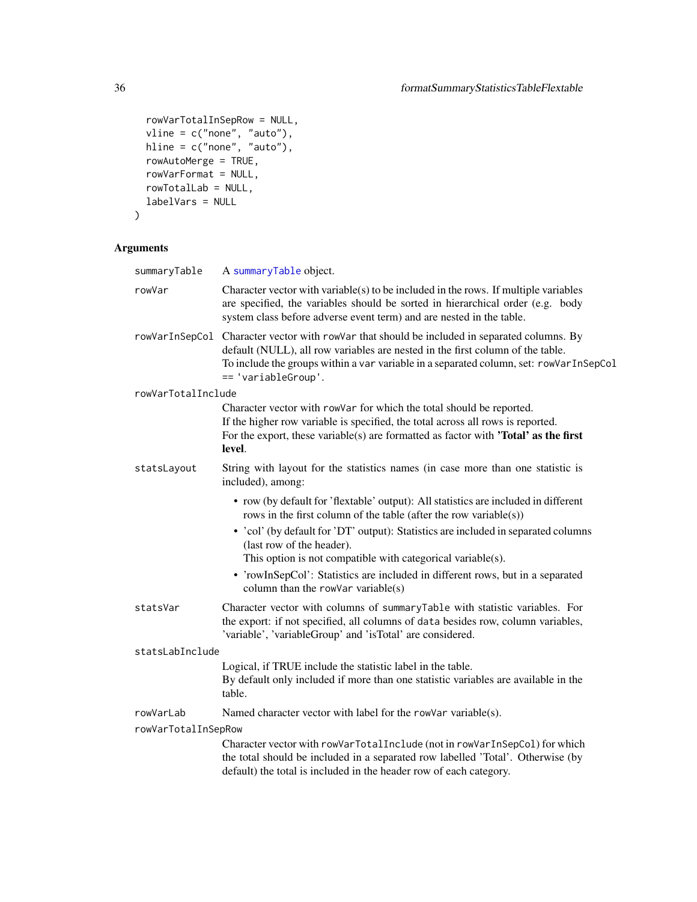```
rowVarTotalInSepRow = NULL,
vline = c("none", "auto"),hline = c("none", "auto"),rowAutoMerge = TRUE,
rowVarFormat = NULL,
rowTotalLab = NULL,
labelVars = NULL
```

```
\mathcal{L}
```

| summaryTable        | A summaryTable object.                                                                                                                                                                                                                                                                                                                                                                                                       |
|---------------------|------------------------------------------------------------------------------------------------------------------------------------------------------------------------------------------------------------------------------------------------------------------------------------------------------------------------------------------------------------------------------------------------------------------------------|
| rowVar              | Character vector with variable(s) to be included in the rows. If multiple variables<br>are specified, the variables should be sorted in hierarchical order (e.g. body<br>system class before adverse event term) and are nested in the table.                                                                                                                                                                                |
| rowVarInSepCol      | Character vector with rowVar that should be included in separated columns. By<br>default (NULL), all row variables are nested in the first column of the table.<br>To include the groups within a var variable in a separated column, set: rowVarInSepCol<br>== 'variableGroup'.                                                                                                                                             |
| rowVarTotalInclude  |                                                                                                                                                                                                                                                                                                                                                                                                                              |
|                     | Character vector with rowVar for which the total should be reported.<br>If the higher row variable is specified, the total across all rows is reported.<br>For the export, these variable(s) are formatted as factor with <b>'Total'</b> as the first<br>level.                                                                                                                                                              |
| statsLayout         | String with layout for the statistics names (in case more than one statistic is<br>included), among:                                                                                                                                                                                                                                                                                                                         |
|                     | • row (by default for 'flextable' output): All statistics are included in different<br>rows in the first column of the table (after the row variable(s))<br>• 'col' (by default for 'DT' output): Statistics are included in separated columns<br>(last row of the header).<br>This option is not compatible with categorical variable(s).<br>• 'rowInSepCol': Statistics are included in different rows, but in a separated |
|                     | column than the rowVar variable $(s)$                                                                                                                                                                                                                                                                                                                                                                                        |
| statsVar            | Character vector with columns of summaryTable with statistic variables. For<br>the export: if not specified, all columns of data besides row, column variables,<br>'variable', 'variableGroup' and 'isTotal' are considered.                                                                                                                                                                                                 |
| statsLabInclude     |                                                                                                                                                                                                                                                                                                                                                                                                                              |
|                     | Logical, if TRUE include the statistic label in the table.<br>By default only included if more than one statistic variables are available in the<br>table.                                                                                                                                                                                                                                                                   |
| rowVarLab           | Named character vector with label for the rowVar variable(s).                                                                                                                                                                                                                                                                                                                                                                |
| rowVarTotalInSepRow |                                                                                                                                                                                                                                                                                                                                                                                                                              |
|                     | Character vector with rowVarTotalInclude (not in rowVarInSepCol) for which<br>the total should be included in a separated row labelled 'Total'. Otherwise (by<br>default) the total is included in the header row of each category.                                                                                                                                                                                          |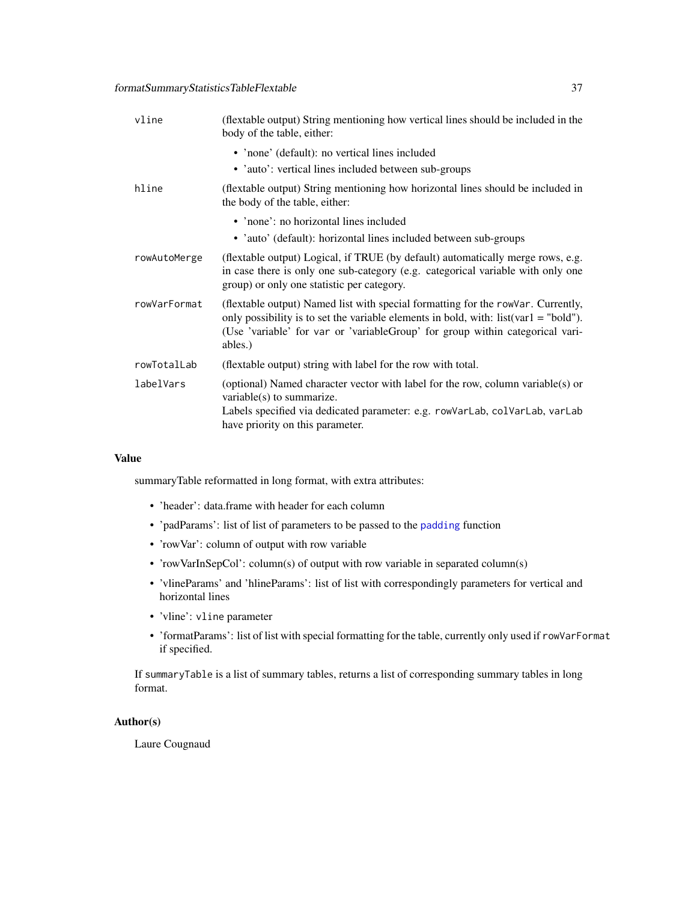## formatSummaryStatisticsTableFlextable 37

| vline        | (flextable output) String mentioning how vertical lines should be included in the<br>body of the table, either:                                                                                                                                                         |
|--------------|-------------------------------------------------------------------------------------------------------------------------------------------------------------------------------------------------------------------------------------------------------------------------|
|              | • 'none' (default): no vertical lines included                                                                                                                                                                                                                          |
|              | • 'auto': vertical lines included between sub-groups                                                                                                                                                                                                                    |
| hline        | (flextable output) String mentioning how horizontal lines should be included in<br>the body of the table, either:                                                                                                                                                       |
|              | • 'none': no horizontal lines included                                                                                                                                                                                                                                  |
|              | • 'auto' (default): horizontal lines included between sub-groups                                                                                                                                                                                                        |
| rowAutoMerge | (flextable output) Logical, if TRUE (by default) automatically merge rows, e.g.<br>in case there is only one sub-category (e.g. categorical variable with only one<br>group) or only one statistic per category.                                                        |
| rowVarFormat | (flextable output) Named list with special formatting for the row Var. Currently,<br>only possibility is to set the variable elements in bold, with: $list(var1 = "bold").$<br>(Use 'variable' for var or 'variableGroup' for group within categorical vari-<br>ables.) |
| rowTotalLab  | (flextable output) string with label for the row with total.                                                                                                                                                                                                            |
| labelVars    | (optional) Named character vector with label for the row, column variable(s) or<br>variable(s) to summarize.<br>Labels specified via dedicated parameter: e.g. rowVarLab, colVarLab, varLab<br>have priority on this parameter.                                         |

## Value

summaryTable reformatted in long format, with extra attributes:

- 'header': data.frame with header for each column
- 'padParams': list of list of parameters to be passed to the [padding](#page-0-0) function
- 'rowVar': column of output with row variable
- 'rowVarInSepCol': column(s) of output with row variable in separated column(s)
- 'vlineParams' and 'hlineParams': list of list with correspondingly parameters for vertical and horizontal lines
- 'vline': vline parameter
- 'formatParams': list of list with special formatting for the table, currently only used if rowVarFormat if specified.

If summaryTable is a list of summary tables, returns a list of corresponding summary tables in long format.

### Author(s)

Laure Cougnaud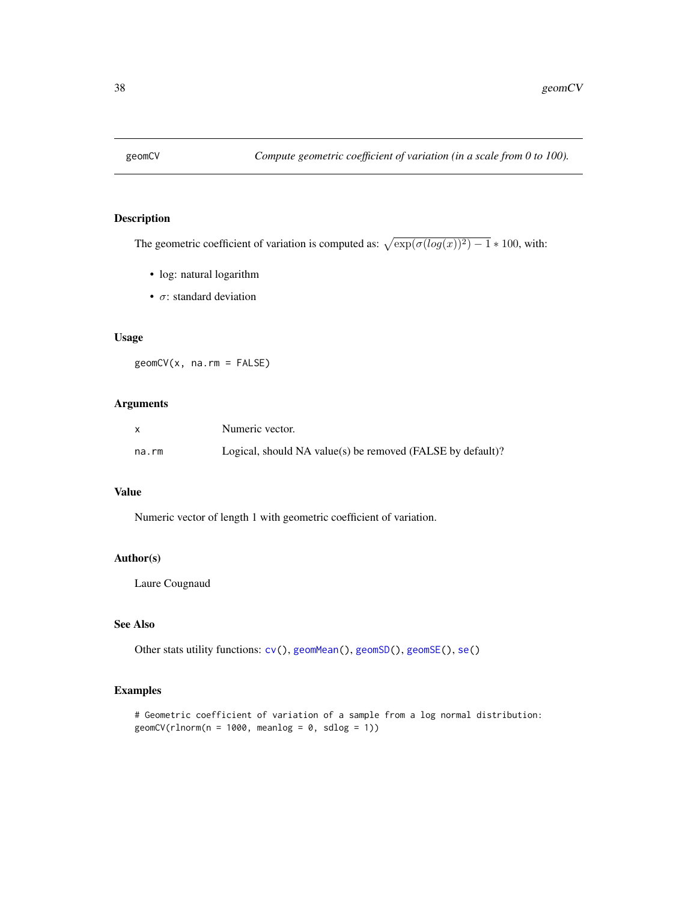<span id="page-37-0"></span>

The geometric coefficient of variation is computed as:  $\sqrt{\exp(\sigma(\log(x))^2) - 1} * 100$ , with:

- log: natural logarithm
- $\sigma$ : standard deviation

## Usage

geomCV(x, na.rm = FALSE)

## Arguments

|       | Numeric vector.                                            |
|-------|------------------------------------------------------------|
| na.rm | Logical, should NA value(s) be removed (FALSE by default)? |

## Value

Numeric vector of length 1 with geometric coefficient of variation.

## Author(s)

Laure Cougnaud

#### See Also

Other stats utility functions:  $cv()$  $cv()$ , [geomMean\(](#page-38-0)), [geomSD\(](#page-39-0)), [geomSE\(](#page-40-0)), [se\(](#page-70-0))

### Examples

# Geometric coefficient of variation of a sample from a log normal distribution:  $geomCV(rInorm(n = 1000, meanlog = 0, sdlog = 1))$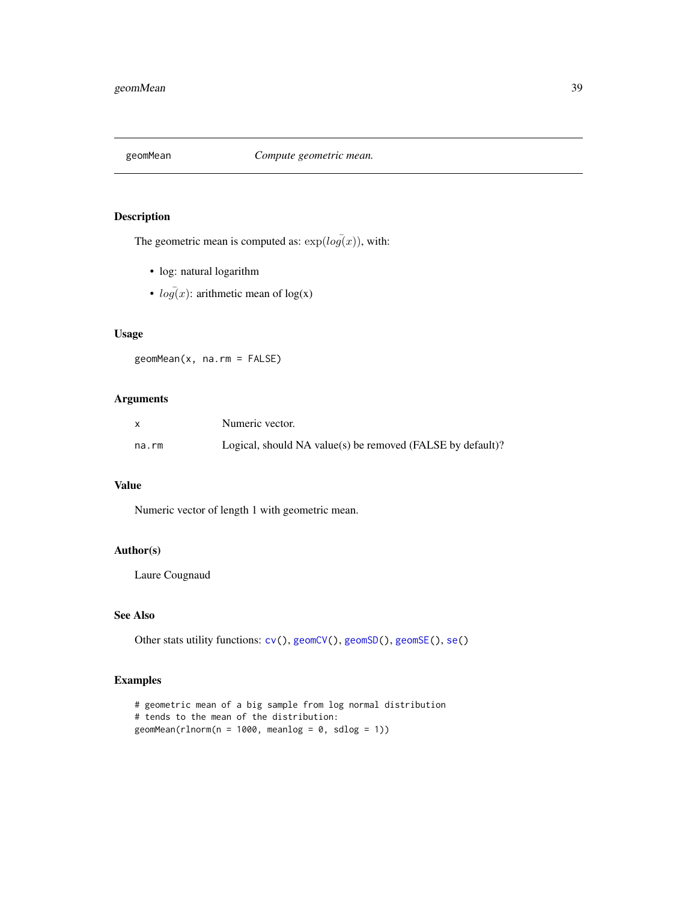<span id="page-38-0"></span>

The geometric mean is computed as:  $exp(log(x))$ , with:

- log: natural logarithm
- $\log(x)$ : arithmetic mean of  $\log(x)$

## Usage

geomMean(x, na.rm = FALSE)

### Arguments

|       | Numeric vector.                                            |
|-------|------------------------------------------------------------|
| na.rm | Logical, should NA value(s) be removed (FALSE by default)? |

#### Value

Numeric vector of length 1 with geometric mean.

#### Author(s)

Laure Cougnaud

## See Also

Other stats utility functions:  $cv()$  $cv()$ , [geomCV\(](#page-37-0)), [geomSD\(](#page-39-0)), [geomSE\(](#page-40-0)), [se\(](#page-70-0))

## Examples

```
# geometric mean of a big sample from log normal distribution
# tends to the mean of the distribution:
geomMean(rlnorm(n = 1000, meanlog = 0, sdlog = 1))
```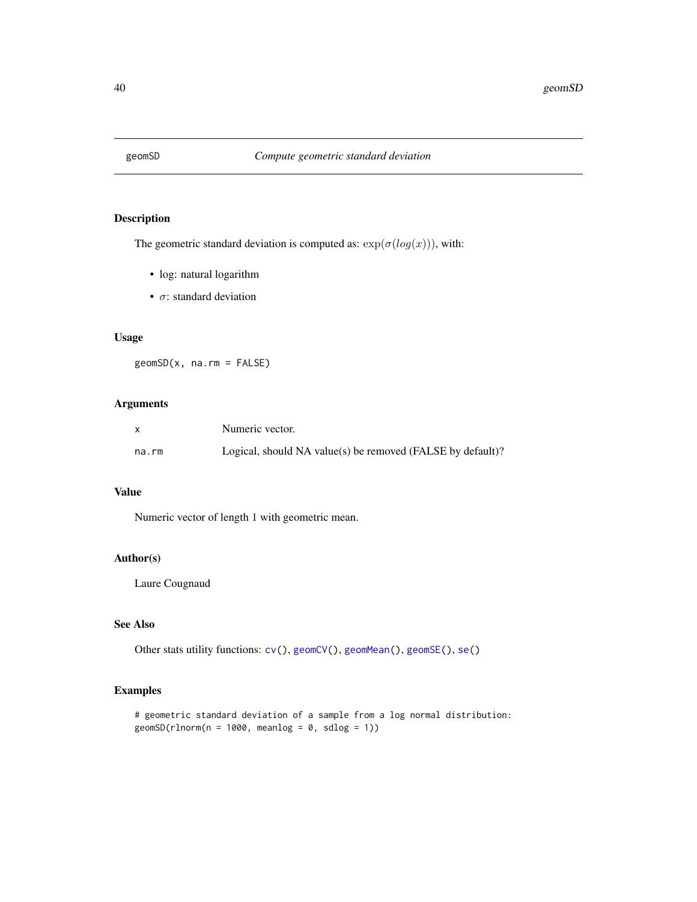<span id="page-39-0"></span>

The geometric standard deviation is computed as:  $exp(\sigma(log(x)))$ , with:

- log: natural logarithm
- $\sigma$ : standard deviation

## Usage

geomSD(x, na.rm = FALSE)

## Arguments

|       | Numeric vector.                                            |
|-------|------------------------------------------------------------|
| na.rm | Logical, should NA value(s) be removed (FALSE by default)? |

## Value

Numeric vector of length 1 with geometric mean.

## Author(s)

Laure Cougnaud

#### See Also

Other stats utility functions:  $cv()$  $cv()$ , [geomCV\(](#page-37-0)), [geomMean\(](#page-38-0)), [geomSE\(](#page-40-0)), [se\(](#page-70-0))

### Examples

```
# geometric standard deviation of a sample from a log normal distribution:
geomSD(rlnorm(n = 1000, meanlog = 0, sdlog = 1))
```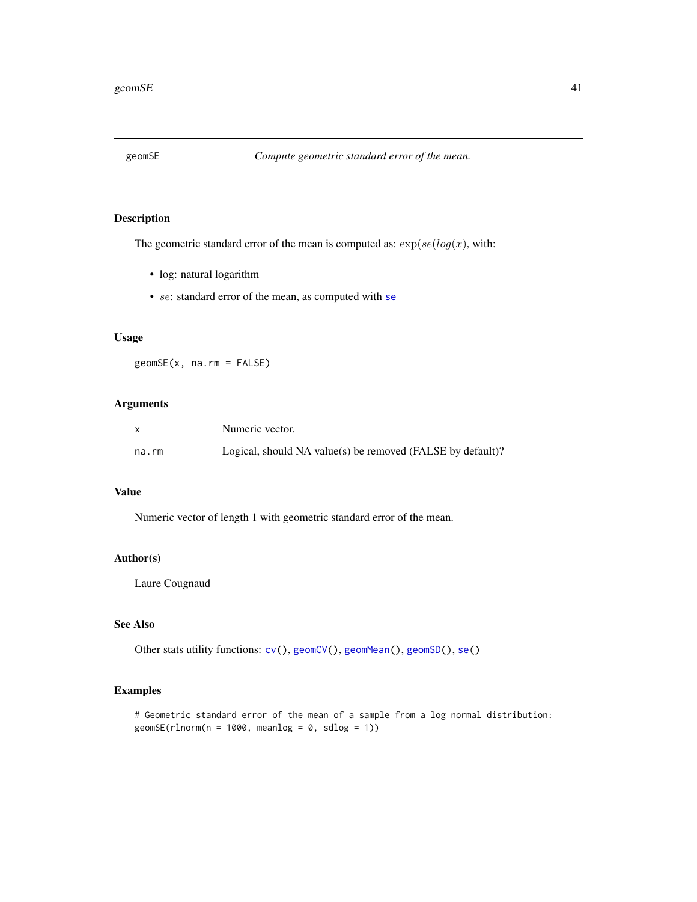<span id="page-40-0"></span>

The geometric standard error of the mean is computed as:  $\exp(se(log(x), \text{with:})$ 

- log: natural logarithm
- [se](#page-70-0): standard error of the mean, as computed with se

## Usage

geomSE(x, na.rm = FALSE)

## Arguments

|       | Numeric vector.                                            |
|-------|------------------------------------------------------------|
| na.rm | Logical, should NA value(s) be removed (FALSE by default)? |

## Value

Numeric vector of length 1 with geometric standard error of the mean.

## Author(s)

Laure Cougnaud

#### See Also

Other stats utility functions:  $cv()$  $cv()$ , [geomCV\(](#page-37-0)), [geomMean\(](#page-38-0)), [geomSD\(](#page-39-0)), [se\(](#page-70-0))

### Examples

# Geometric standard error of the mean of a sample from a log normal distribution:  $geomsE(rlnorm(n = 1000, meanlog = 0, sdlog = 1))$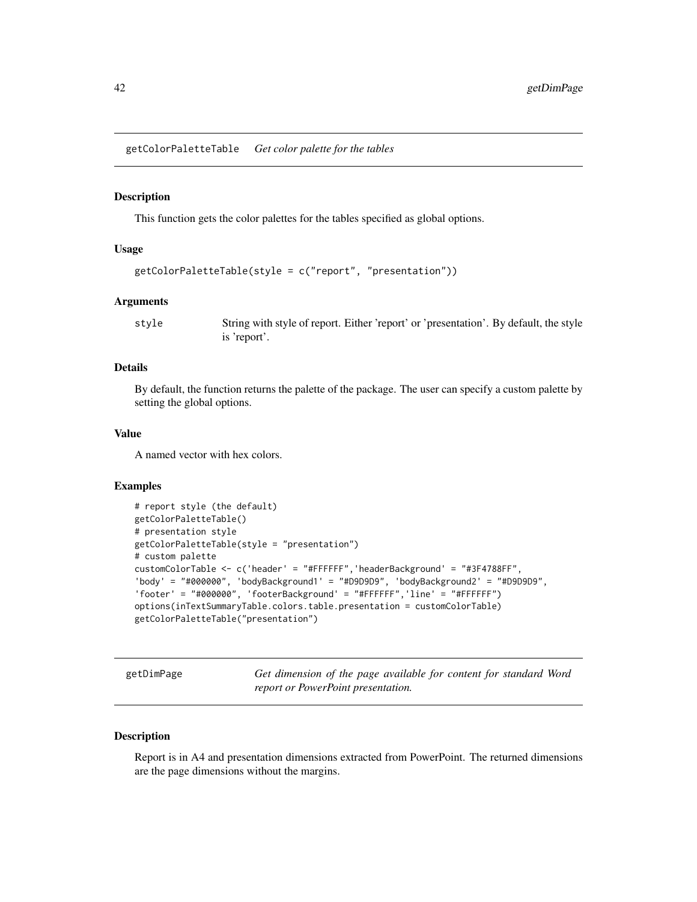<span id="page-41-0"></span>getColorPaletteTable *Get color palette for the tables*

#### **Description**

This function gets the color palettes for the tables specified as global options.

#### Usage

```
getColorPaletteTable(style = c("report", "presentation"))
```
#### Arguments

style String with style of report. Either 'report' or 'presentation'. By default, the style is 'report'.

## Details

By default, the function returns the palette of the package. The user can specify a custom palette by setting the global options.

### Value

A named vector with hex colors.

#### Examples

```
# report style (the default)
getColorPaletteTable()
# presentation style
getColorPaletteTable(style = "presentation")
# custom palette
customColorTable <- c('header' = "#FFFFFF",'headerBackground' = "#3F4788FF",
'body' = "#000000", 'bodyBackground1' = "#D9D9D9", 'bodyBackground2' = "#D9D9D9",
'footer' = "#000000", 'footerBackground' = "#FFFFFF",'line' = "#FFFFFF")
options(inTextSummaryTable.colors.table.presentation = customColorTable)
getColorPaletteTable("presentation")
```
getDimPage *Get dimension of the page available for content for standard Word report or PowerPoint presentation.*

#### Description

Report is in A4 and presentation dimensions extracted from PowerPoint. The returned dimensions are the page dimensions without the margins.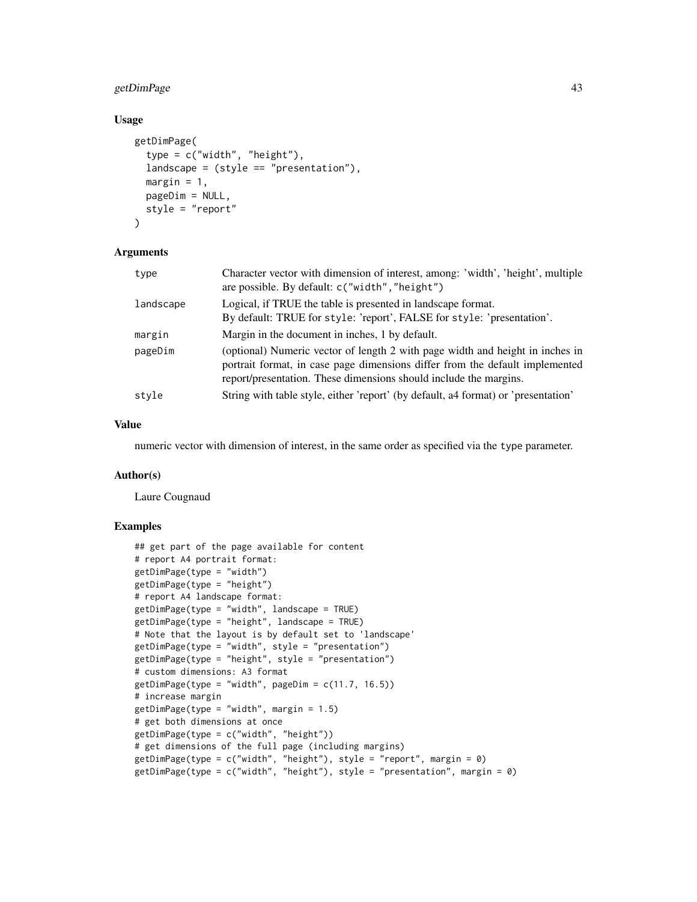# getDimPage 43

### Usage

```
getDimPage(
  type = c("width", "height"),landscale = (style == "presentation"),margin = 1,
 pageDim = NULL,
  style = "report"
\lambda
```
#### Arguments

| type      | Character vector with dimension of interest, among: 'width', 'height', multiple<br>are possible. By default: c("width", "height")                                                                                                  |
|-----------|------------------------------------------------------------------------------------------------------------------------------------------------------------------------------------------------------------------------------------|
| landscape | Logical, if TRUE the table is presented in landscape format.<br>By default: TRUE for style: 'report', FALSE for style: 'presentation'.                                                                                             |
| margin    | Margin in the document in inches, 1 by default.                                                                                                                                                                                    |
| pageDim   | (optional) Numeric vector of length 2 with page width and height in inches in<br>portrait format, in case page dimensions differ from the default implemented<br>report/presentation. These dimensions should include the margins. |
| style     | String with table style, either 'report' (by default, a4 format) or 'presentation'                                                                                                                                                 |

#### Value

numeric vector with dimension of interest, in the same order as specified via the type parameter.

## Author(s)

Laure Cougnaud

# Examples

```
## get part of the page available for content
# report A4 portrait format:
getDimPage(type = "width")
getDimPage(type = "height")
# report A4 landscape format:
getDimPage(type = "width", landscape = TRUE)
getDimPage(type = "height", landscape = TRUE)
# Note that the layout is by default set to 'landscape'
getDimPage(type = "width", style = "presentation")
getDimPage(type = "height", style = "presentation")
# custom dimensions: A3 format
getDimPage(type = "width", pageDim = c(11.7, 16.5))# increase margin
getDimPage(type = "width", margin = 1.5)# get both dimensions at once
getDimPage(type = c("width", "height"))
# get dimensions of the full page (including margins)
getDimPage(type = c("width", "height"), style = "report", margin = 0)
getDimPage(type = c("width", "height"), style = "presentation", margin = 0)
```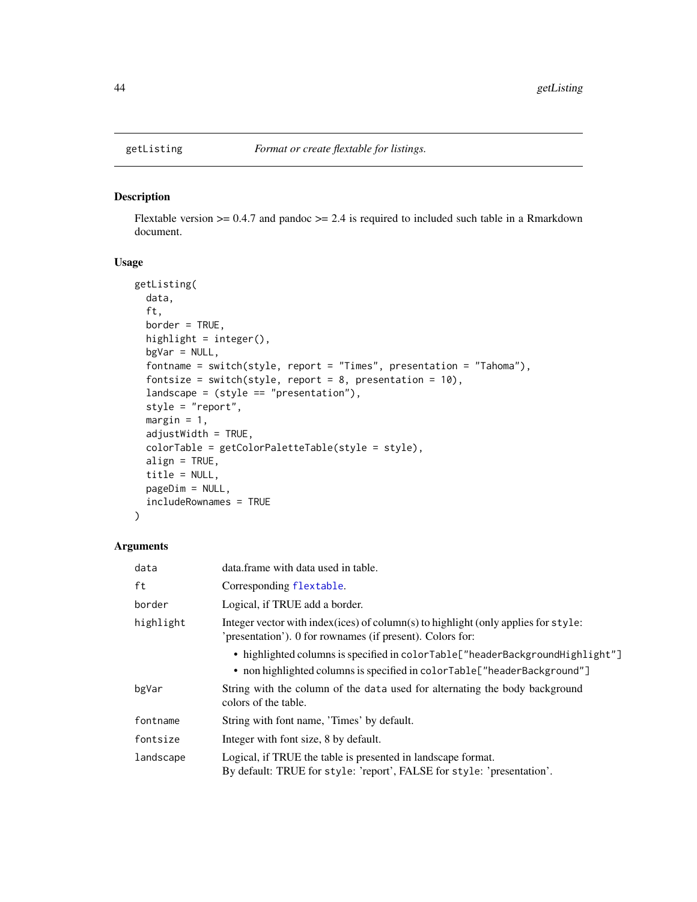Flextable version  $\ge$  = 0.4.7 and pandoc  $\ge$  = 2.4 is required to included such table in a Rmarkdown document.

# Usage

```
getListing(
 data,
  ft,
 border = TRUE,
 highlight = integer(),
 bgVar = NULL,fontname = switch(style, report = "Times", presentation = "Tahoma"),
  fontsize = switch(style, report = 8, presentation = 10),
  landscape = (style == "presentation"),style = "report",
 margin = 1,
 adjustWidth = TRUE,
 colorTable = getColorPaletteTable(style = style),
 align = TRUE,
  title = NULL,
 pageDim = NULL,
  includeRownames = TRUE
)
```
#### Arguments

| data      | data. frame with data used in table.                                                                                                                       |
|-----------|------------------------------------------------------------------------------------------------------------------------------------------------------------|
| ft        | Corresponding flextable.                                                                                                                                   |
| border    | Logical, if TRUE add a border.                                                                                                                             |
| highlight | Integer vector with index (ices) of column(s) to highlight (only applies for style:<br>'presentation'). 0 for rownames (if present). Colors for:           |
|           | • highlighted columns is specified in colorTable["headerBackgroundHighlight"]<br>• non highlighted columns is specified in colorTable ["headerBackground"] |
| bgVar     | String with the column of the data used for alternating the body background<br>colors of the table.                                                        |
| fontname  | String with font name, 'Times' by default.                                                                                                                 |
| fontsize  | Integer with font size, 8 by default.                                                                                                                      |
| landscape | Logical, if TRUE the table is presented in landscape format.<br>By default: TRUE for style: 'report', FALSE for style: 'presentation'.                     |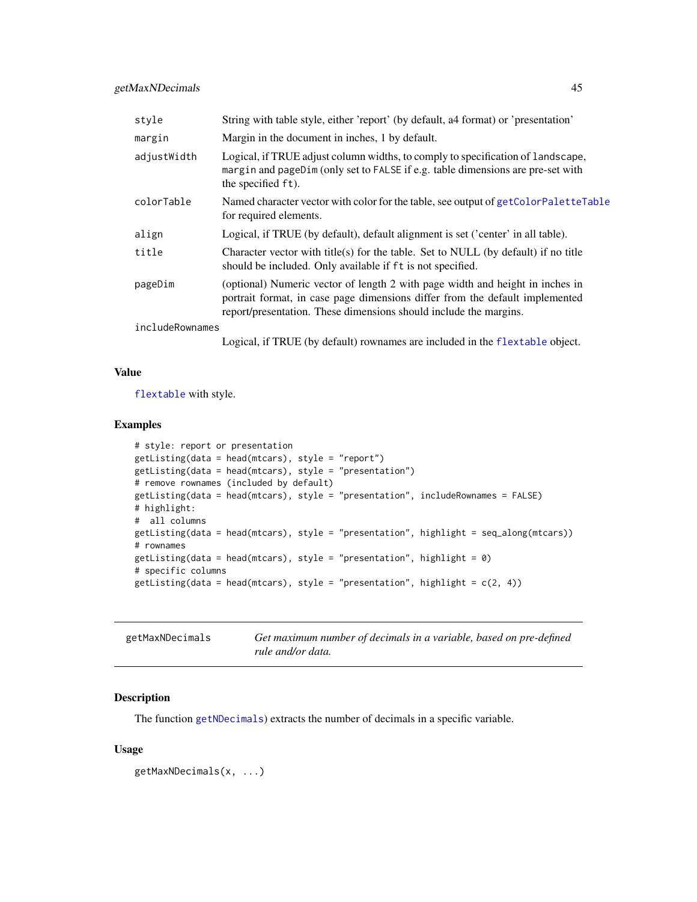| style           | String with table style, either 'report' (by default, a4 format) or 'presentation'                                                                                                                                                 |
|-----------------|------------------------------------------------------------------------------------------------------------------------------------------------------------------------------------------------------------------------------------|
| margin          | Margin in the document in inches, 1 by default.                                                                                                                                                                                    |
| adjustWidth     | Logical, if TRUE adjust column widths, to comply to specification of landscape,<br>margin and pageDim (only set to FALSE if e.g. table dimensions are pre-set with<br>the specified ft).                                           |
| colorTable      | Named character vector with color for the table, see output of getColorPaletteTable<br>for required elements.                                                                                                                      |
| align           | Logical, if TRUE (by default), default alignment is set ('center' in all table).                                                                                                                                                   |
| title           | Character vector with title(s) for the table. Set to NULL (by default) if no title<br>should be included. Only available if ft is not specified.                                                                                   |
| pageDim         | (optional) Numeric vector of length 2 with page width and height in inches in<br>portrait format, in case page dimensions differ from the default implemented<br>report/presentation. These dimensions should include the margins. |
| includeRownames |                                                                                                                                                                                                                                    |
|                 | $\mathbf{r}$ , it compares as $\mathbf{r}$ , $\mathbf{r}$                                                                                                                                                                          |

Logical, if TRUE (by default) rownames are included in the [flextable](#page-0-0) object.

#### Value

[flextable](#page-0-0) with style.

#### Examples

```
# style: report or presentation
getListing(data = head(mtcars), style = "report")
getListing(data = head(mtcars), style = "presentation")
# remove rownames (included by default)
getListing(data = head(mtcars), style = "presentation", includeRownames = FALSE)
# highlight:
# all columns
getListing(data = head(mtcars), style = "presentation", highlight = seq_along(mtcars))
# rownames
getListing(data = head(mtcars), style = "presentation", highlight = 0)
# specific columns
getListing(data = head(mtcars), style = "presentation", highlight = c(2, 4))
```
<span id="page-44-0"></span>

| getMaxNDecimals | Get maximum number of decimals in a variable, based on pre-defined |
|-----------------|--------------------------------------------------------------------|
|                 | rule and/or data.                                                  |

#### Description

The function [getNDecimals](#page-46-0)) extracts the number of decimals in a specific variable.

### Usage

```
getMaxNDecimals(x, ...)
```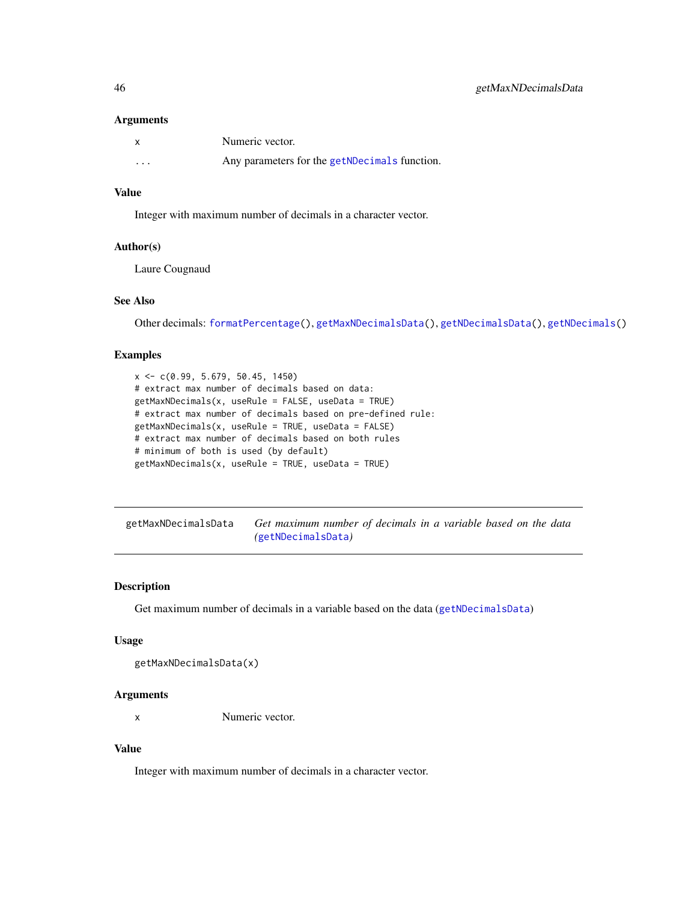#### Arguments

|          | Numeric vector.                               |
|----------|-----------------------------------------------|
| $\cdots$ | Any parameters for the getNDecimals function. |

### Value

Integer with maximum number of decimals in a character vector.

#### Author(s)

Laure Cougnaud

#### See Also

Other decimals: [formatPercentage\(](#page-31-0)), [getMaxNDecimalsData\(](#page-45-0)), [getNDecimalsData\(](#page-47-0)), [getNDecimals\(](#page-46-0))

#### Examples

```
x \leq -c(0.99, 5.679, 50.45, 1450)# extract max number of decimals based on data:
getMaxNDecimals(x, useRule = FALSE, useData = TRUE)
# extract max number of decimals based on pre-defined rule:
getMaxNDecimals(x, useRule = TRUE, useData = FALSE)
# extract max number of decimals based on both rules
# minimum of both is used (by default)
getMaxNDecimals(x, useRule = TRUE, useData = TRUE)
```
<span id="page-45-0"></span>

| getMaxNDecimalsData | Get maximum number of decimals in a variable based on the data |  |  |  |  |  |
|---------------------|----------------------------------------------------------------|--|--|--|--|--|
|                     | (getNDecimalsData)                                             |  |  |  |  |  |

#### Description

Get maximum number of decimals in a variable based on the data ([getNDecimalsData](#page-47-0))

#### Usage

```
getMaxNDecimalsData(x)
```
#### Arguments

x Numeric vector.

#### Value

Integer with maximum number of decimals in a character vector.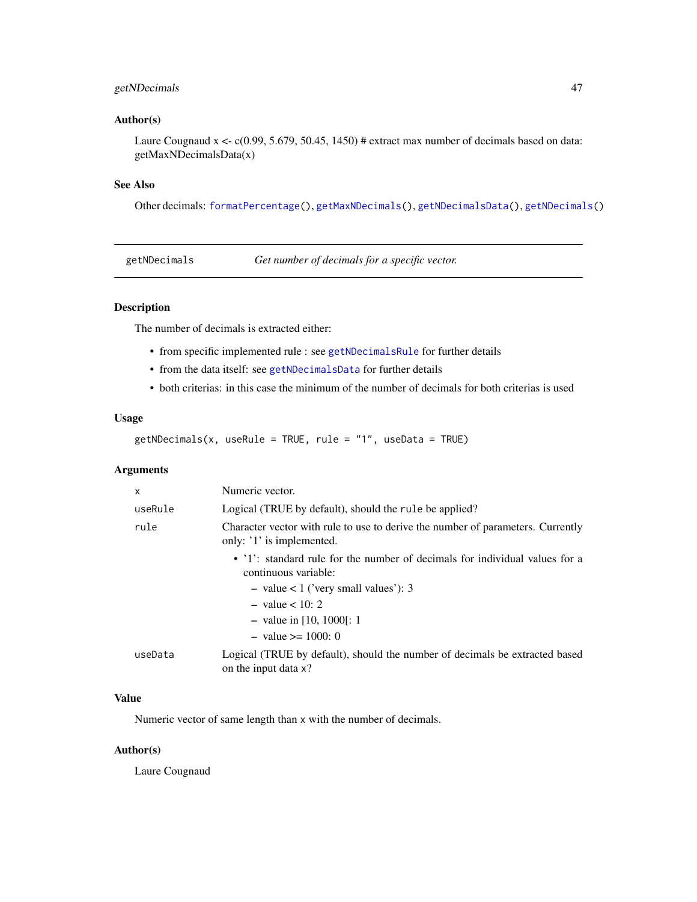## getNDecimals 47

#### Author(s)

Laure Cougnaud  $x \leq c(0.99, 5.679, 50.45, 1450)$  # extract max number of decimals based on data: getMaxNDecimalsData(x)

### See Also

Other decimals: [formatPercentage\(](#page-31-0)), [getMaxNDecimals\(](#page-44-0)), [getNDecimalsData\(](#page-47-0)), [getNDecimals\(](#page-46-0))

<span id="page-46-0"></span>getNDecimals *Get number of decimals for a specific vector.*

## Description

The number of decimals is extracted either:

- from specific implemented rule : see [getNDecimalsRule](#page-48-0) for further details
- from the data itself: see [getNDecimalsData](#page-47-0) for further details
- both criterias: in this case the minimum of the number of decimals for both criterias is used

## Usage

getNDecimals(x, useRule = TRUE, rule = "1", useData = TRUE)

## Arguments

| x       | Numeric vector.                                                                                              |
|---------|--------------------------------------------------------------------------------------------------------------|
| useRule | Logical (TRUE by default), should the rule be applied?                                                       |
| rule    | Character vector with rule to use to derive the number of parameters. Currently<br>only: '1' is implemented. |
|         | • '1': standard rule for the number of decimals for individual values for a<br>continuous variable:          |
|         | - value $< 1$ ('very small values'): 3                                                                       |
|         | $-$ value $< 10: 2$                                                                                          |
|         | - value in $[10, 1000]$ : 1                                                                                  |
|         | $-$ value $\geq 1000$ : 0                                                                                    |
| useData | Logical (TRUE by default), should the number of decimals be extracted based<br>on the input data x?          |

## Value

Numeric vector of same length than x with the number of decimals.

### Author(s)

Laure Cougnaud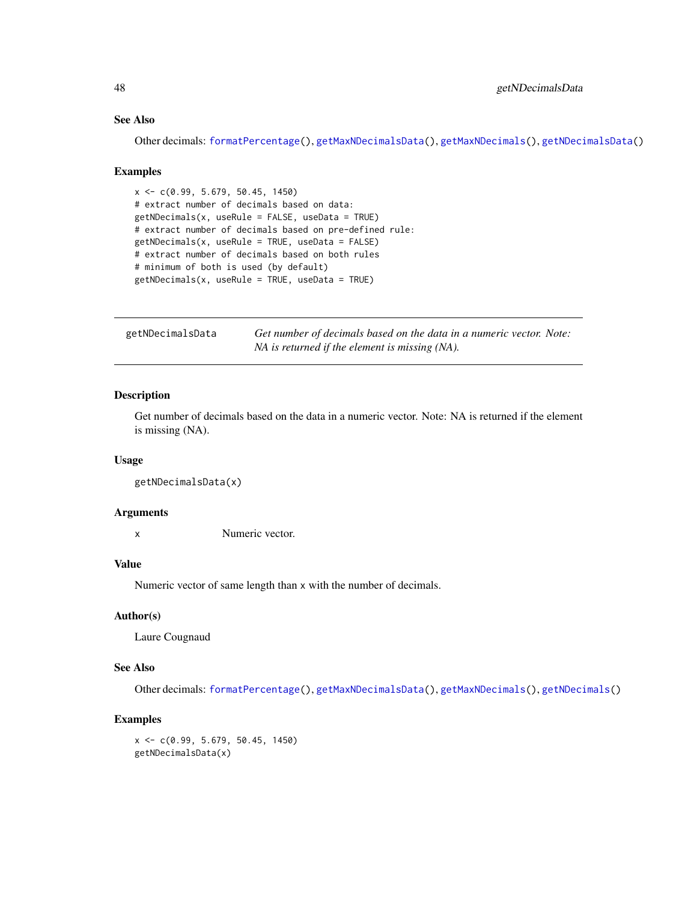## See Also

Other decimals: [formatPercentage\(](#page-31-0)), [getMaxNDecimalsData\(](#page-45-0)), [getMaxNDecimals\(](#page-44-0)), [getNDecimalsData\(](#page-47-0))

#### Examples

```
x <- c(0.99, 5.679, 50.45, 1450)
# extract number of decimals based on data:
getNDecimals(x, useRule = FALSE, useData = TRUE)
# extract number of decimals based on pre-defined rule:
getNDecimals(x, useRule = TRUE, useData = FALSE)
# extract number of decimals based on both rules
# minimum of both is used (by default)
getNDecimals(x, useRule = TRUE, useData = TRUE)
```
<span id="page-47-0"></span>

| getNDecimalsData | Get number of decimals based on the data in a numeric vector. Note: |
|------------------|---------------------------------------------------------------------|
|                  | NA is returned if the element is missing (NA).                      |

## Description

Get number of decimals based on the data in a numeric vector. Note: NA is returned if the element is missing (NA).

#### Usage

```
getNDecimalsData(x)
```
## Arguments

x Numeric vector.

#### Value

Numeric vector of same length than x with the number of decimals.

#### Author(s)

Laure Cougnaud

#### See Also

Other decimals: [formatPercentage\(](#page-31-0)), [getMaxNDecimalsData\(](#page-45-0)), [getMaxNDecimals\(](#page-44-0)), [getNDecimals\(](#page-46-0))

### Examples

x <- c(0.99, 5.679, 50.45, 1450) getNDecimalsData(x)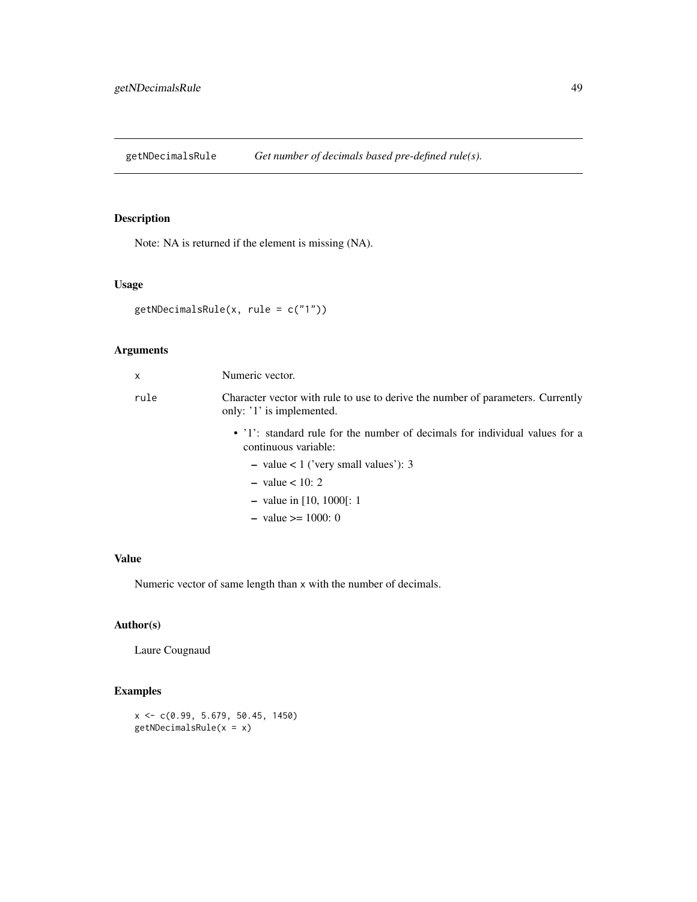<span id="page-48-0"></span>getNDecimalsRule *Get number of decimals based pre-defined rule(s).*

## Description

Note: NA is returned if the element is missing (NA).

#### Usage

getNDecimalsRule(x, rule = c("1"))

# Arguments

| X    | Numeric vector.                                                                                              |
|------|--------------------------------------------------------------------------------------------------------------|
| rule | Character vector with rule to use to derive the number of parameters. Currently<br>only: '1' is implemented. |
|      | • '1': standard rule for the number of decimals for individual values for a<br>continuous variable:          |
|      | $-$ value $<$ 1 ('very small values'): 3                                                                     |
|      | $-$ value $< 10: 2$                                                                                          |
|      | - value in [10, 1000]: 1                                                                                     |
|      | $-$ value $\geq 1000$ : 0                                                                                    |

# Value

Numeric vector of same length than x with the number of decimals.

## Author(s)

Laure Cougnaud

# Examples

 $x \leq -c(0.99, 5.679, 50.45, 1450)$ getNDecimalsRule(x = x)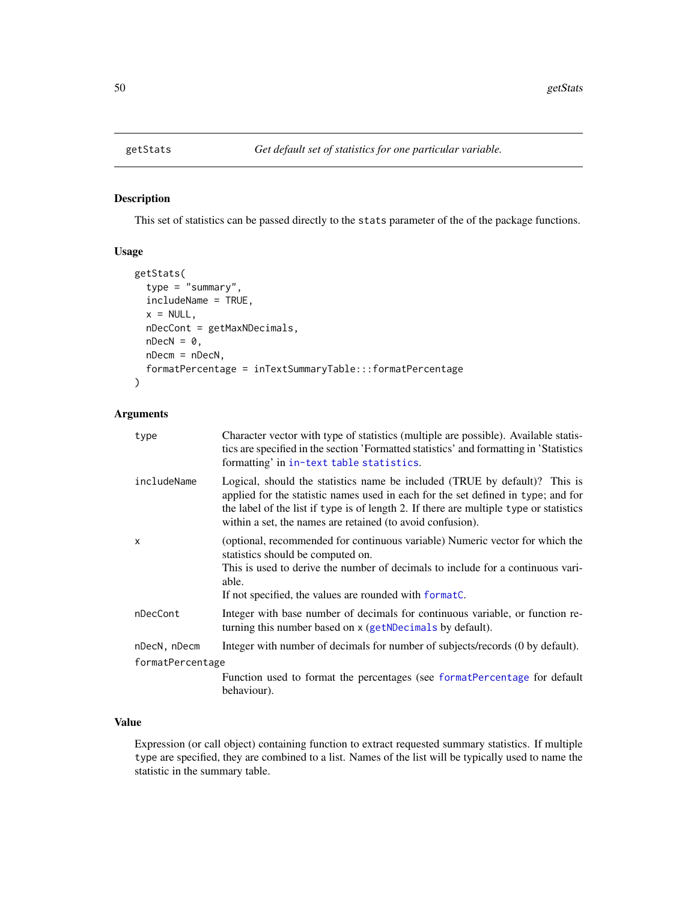<span id="page-49-0"></span>

This set of statistics can be passed directly to the stats parameter of the of the package functions.

## Usage

```
getStats(
  type = "summary",
  includeName = TRUE,
  x = NULL,nDecCont = getMaxNDecimals,
  nDecN = \theta,
  nDecm = nDecN,
  formatPercentage = inTextSummaryTable:::formatPercentage
\mathcal{L}
```
### Arguments

| type             | Character vector with type of statistics (multiple are possible). Available statis-<br>tics are specified in the section 'Formatted statistics' and formatting in 'Statistics'<br>formatting' in in-text table statistics.                                                                                              |
|------------------|-------------------------------------------------------------------------------------------------------------------------------------------------------------------------------------------------------------------------------------------------------------------------------------------------------------------------|
| includeName      | Logical, should the statistics name be included (TRUE by default)? This is<br>applied for the statistic names used in each for the set defined in type; and for<br>the label of the list if type is of length 2. If there are multiple type or statistics<br>within a set, the names are retained (to avoid confusion). |
| x                | (optional, recommended for continuous variable) Numeric vector for which the<br>statistics should be computed on.<br>This is used to derive the number of decimals to include for a continuous vari-<br>able.<br>If not specified, the values are rounded with format.                                                  |
| nDecCont         | Integer with base number of decimals for continuous variable, or function re-<br>turning this number based on x (getNDecimals by default).                                                                                                                                                                              |
| nDecN, nDecm     | Integer with number of decimals for number of subjects/records (0 by default).                                                                                                                                                                                                                                          |
| formatPercentage |                                                                                                                                                                                                                                                                                                                         |
|                  | Function used to format the percentages (see format Percentage for default<br>behaviour).                                                                                                                                                                                                                               |

### Value

Expression (or call object) containing function to extract requested summary statistics. If multiple type are specified, they are combined to a list. Names of the list will be typically used to name the statistic in the summary table.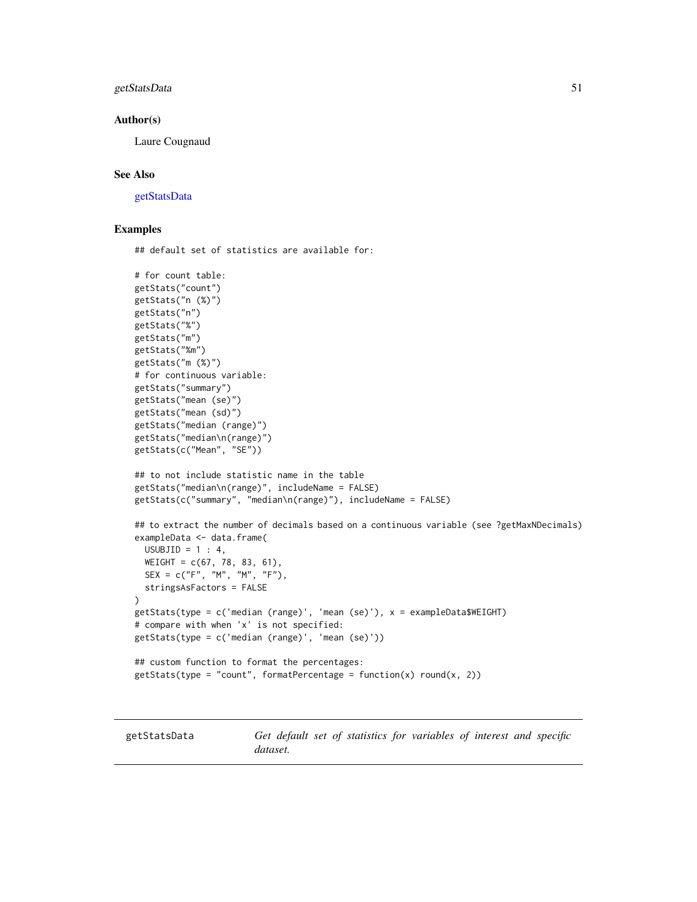### getStatsData 51

#### Author(s)

Laure Cougnaud

#### See Also

[getStatsData](#page-50-0)

#### Examples

## default set of statistics are available for:

```
# for count table:
getStats("count")
getStats("n (%)")
getStats("n")
getStats("%")
getStats("m")
getStats("%m")
getStats("m (%)")
# for continuous variable:
getStats("summary")
getStats("mean (se)")
getStats("mean (sd)")
getStats("median (range)")
getStats("median\n(range)")
getStats(c("Mean", "SE"))
## to not include statistic name in the table
getStats("median\n(range)", includeName = FALSE)
getStats(c("summary", "median\n(range)"), includeName = FALSE)
## to extract the number of decimals based on a continuous variable (see ?getMaxNDecimals)
exampleData <- data.frame(
  USUBJID = 1 : 4,
  WEIGHT = c(67, 78, 83, 61),SEX = c("F", "M", "M", "F"),
  stringsAsFactors = FALSE
\mathcal{L}getStats(type = c('median (range)', 'mean (se)'), x = exampleData$WEIGHT)
# compare with when 'x' is not specified:
getStats(type = c('median (range)', 'mean (se)'))
## custom function to format the percentages:
getStats(type = "count", formatPercentage = function(x) round(x, 2))
```
<span id="page-50-0"></span>getStatsData *Get default set of statistics for variables of interest and specific dataset.*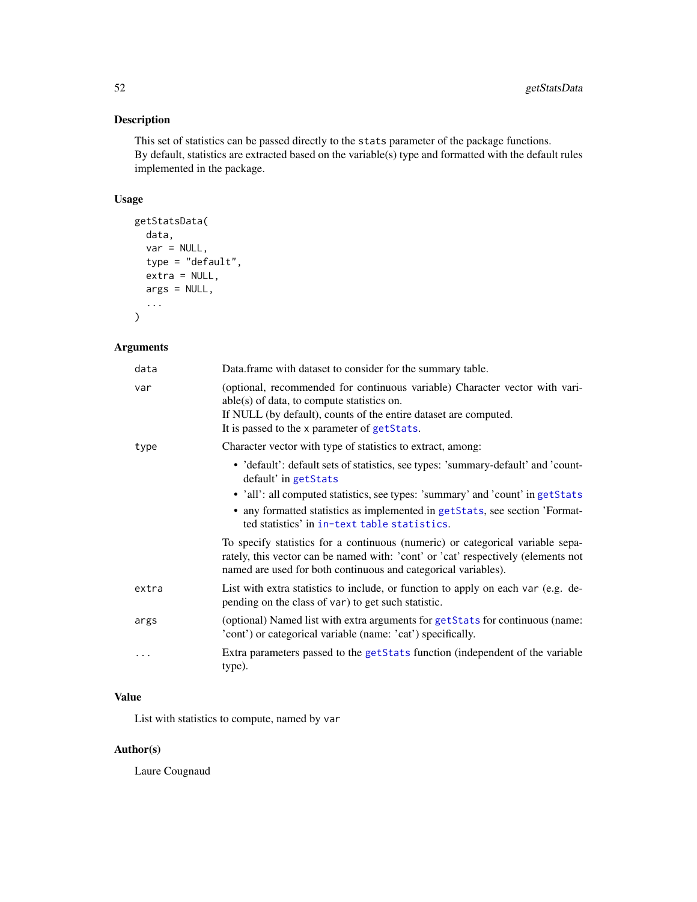This set of statistics can be passed directly to the stats parameter of the package functions. By default, statistics are extracted based on the variable(s) type and formatted with the default rules implemented in the package.

## Usage

```
getStatsData(
  data,
  var = NULL,
  type = "default",
  extra = NULL,
  args = NULL,
  ...
\mathcal{L}
```
## Arguments

| data      | Data.frame with dataset to consider for the summary table.                                                                                                                                                                                      |
|-----------|-------------------------------------------------------------------------------------------------------------------------------------------------------------------------------------------------------------------------------------------------|
| var       | (optional, recommended for continuous variable) Character vector with vari-<br>$able(s)$ of data, to compute statistics on.<br>If NULL (by default), counts of the entire dataset are computed.<br>It is passed to the x parameter of getStats. |
| type      | Character vector with type of statistics to extract, among:                                                                                                                                                                                     |
|           | • 'default': default sets of statistics, see types: 'summary-default' and 'count-<br>default' in getStats                                                                                                                                       |
|           | • 'all': all computed statistics, see types: 'summary' and 'count' in getStats<br>• any formatted statistics as implemented in getStats, see section 'Format-<br>ted statistics' in in-text table statistics.                                   |
|           | To specify statistics for a continuous (numeric) or categorical variable sepa-<br>rately, this vector can be named with: 'cont' or 'cat' respectively (elements not<br>named are used for both continuous and categorical variables).           |
| extra     | List with extra statistics to include, or function to apply on each var (e.g. de-<br>pending on the class of var) to get such statistic.                                                                                                        |
| args      | (optional) Named list with extra arguments for getStats for continuous (name:<br>'cont') or categorical variable (name: 'cat') specifically.                                                                                                    |
| $\ddotsc$ | Extra parameters passed to the getStats function (independent of the variable<br>type).                                                                                                                                                         |

# Value

List with statistics to compute, named by var

## Author(s)

Laure Cougnaud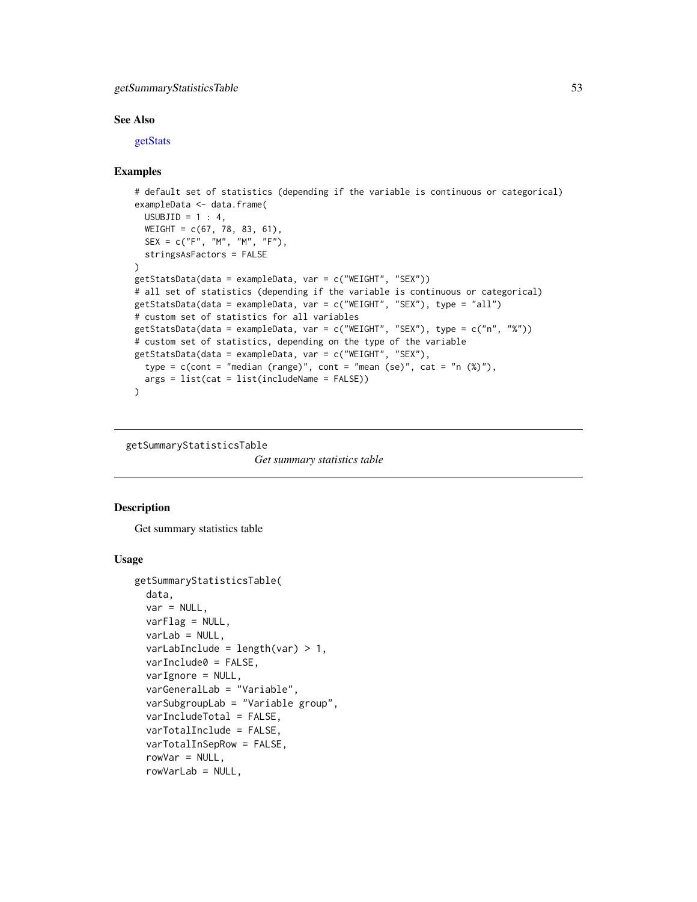### getSummaryStatisticsTable 53

#### See Also

[getStats](#page-49-0)

#### Examples

```
# default set of statistics (depending if the variable is continuous or categorical)
exampleData <- data.frame(
  USUBJID = 1 : 4,
  WEIGHT = c(67, 78, 83, 61),
  SEX = c("F", "M", "M", "F"),
  stringsAsFactors = FALSE
)
getStatsData(data = exampleData, var = c("WEIGHT", "SEX"))
# all set of statistics (depending if the variable is continuous or categorical)
getStatsData(data = exampleData, var = c("WEIGHT", "SEX"), type = "all")
# custom set of statistics for all variables
getStatsData(data = exampleData, var = c("WEIGHT", "SEX"), type = c("n", "%"))
# custom set of statistics, depending on the type of the variable
getStatsData(data = exampleData, var = c("WEIGHT", "SEX"),
  type = c(cont = "median (range)", cont = "mean (se)", cat = "n (\%)"),
  args = list(cat = list(includeName = FALSE))
\lambda
```
<span id="page-52-0"></span>getSummaryStatisticsTable

*Get summary statistics table*

#### **Description**

Get summary statistics table

#### Usage

```
getSummaryStatisticsTable(
  data,
  var = NULL,varFlag = NULL,
  varLab = NULL,varLabInclude = length(var) > 1,varInclude0 = FALSE,
  varIgnore = NULL,
  varGeneralLab = "Variable",
  varSubgroupLab = "Variable group",
  varIncludeTotal = FALSE,
  varTotalInclude = FALSE,
  varTotalInSepRow = FALSE,
  rowVar = NULL,rowVarLab = NULL,
```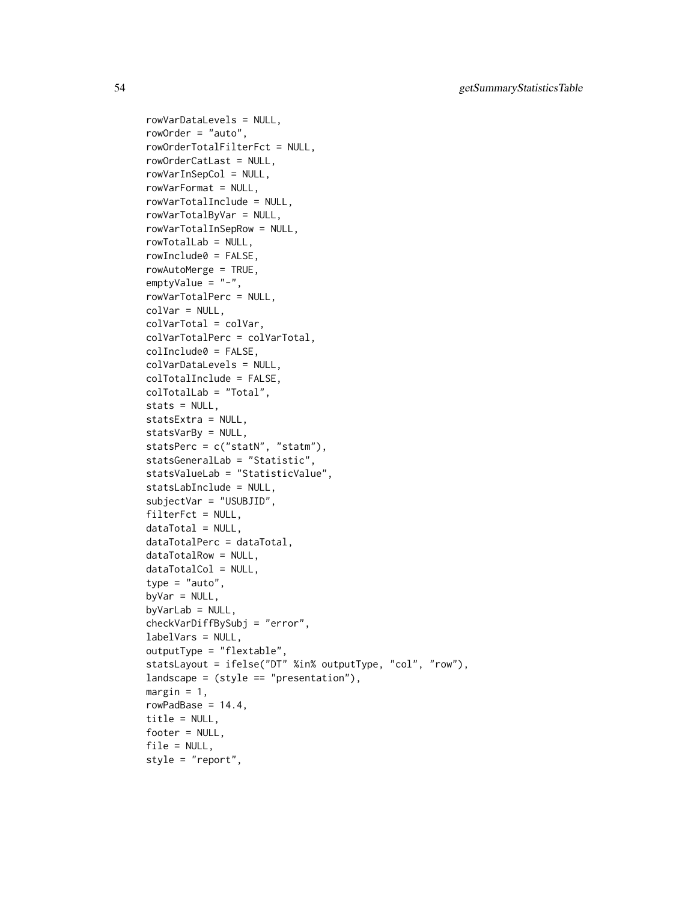54 getSummaryStatisticsTable

rowVarDataLevels = NULL, rowOrder = "auto", rowOrderTotalFilterFct = NULL, rowOrderCatLast = NULL, rowVarInSepCol = NULL, rowVarFormat = NULL, rowVarTotalInclude = NULL, rowVarTotalByVar = NULL, rowVarTotalInSepRow = NULL, rowTotalLab = NULL, rowInclude0 = FALSE, rowAutoMerge = TRUE, emptyValue = "-", rowVarTotalPerc = NULL,  $colVar = NULL,$ colVarTotal = colVar, colVarTotalPerc = colVarTotal, colInclude0 = FALSE, colVarDataLevels = NULL, colTotalInclude = FALSE, colTotalLab = "Total", stats = NULL, statsExtra = NULL, statsVarBy = NULL, statsPerc = c("statN", "statm"), statsGeneralLab = "Statistic", statsValueLab = "StatisticValue", statsLabInclude = NULL, subjectVar = "USUBJID", filterFct = NULL,  $dataTotal = NULL,$ dataTotalPerc = dataTotal, dataTotalRow = NULL, dataTotalCol = NULL, type =  $"auto",$ byVar =  $NULL$ ,  $byVarLab = NULL$ , checkVarDiffBySubj = "error", labelVars = NULL, outputType = "flextable", statsLayout = ifelse("DT" %in% outputType, "col", "row"),  $landscale = (style == "presentation"),$ margin =  $1$ , rowPadBase =  $14.4$ , title = NULL, footer = NULL, file = NULL, style = "report",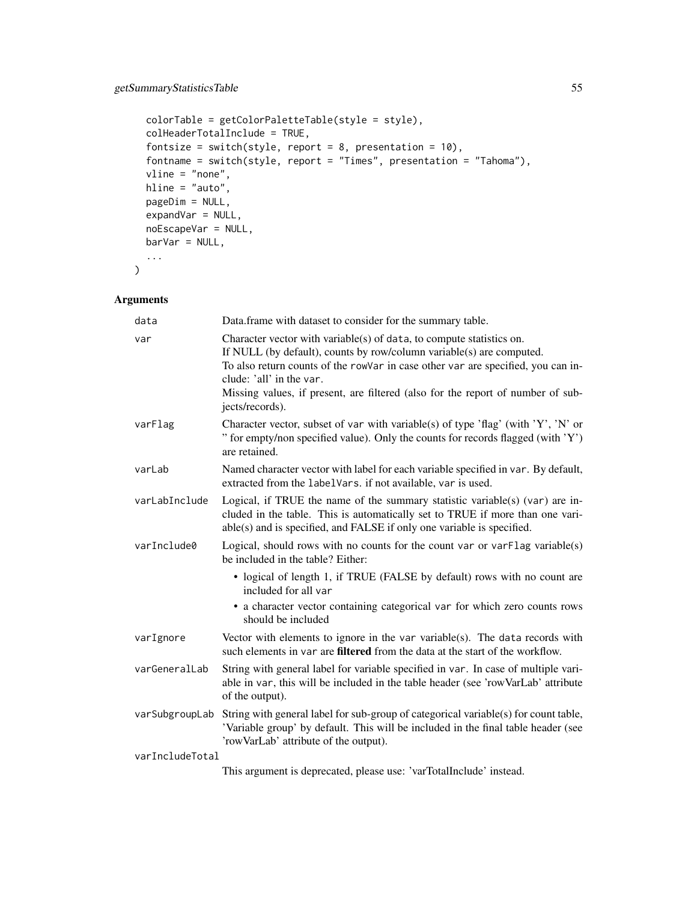```
colorTable = getColorPaletteTable(style = style),
colHeaderTotalInclude = TRUE,
fontsize = switch(style, report = 8, presentation = 10),
fontname = switch(style, report = "Times", presentation = "Tahoma"),
vline = "none",
hline = "auto",
pageDim = NULL,
expandVar = NULL,
noEscapeVar = NULL,
bar = NULL,
...
```
## Arguments

 $\mathcal{L}$ 

| data            | Data.frame with dataset to consider for the summary table.                                                                                                                                                                                                                                                                                                             |
|-----------------|------------------------------------------------------------------------------------------------------------------------------------------------------------------------------------------------------------------------------------------------------------------------------------------------------------------------------------------------------------------------|
| var             | Character vector with variable( $s$ ) of data, to compute statistics on.<br>If NULL (by default), counts by row/column variable(s) are computed.<br>To also return counts of the rowVar in case other var are specified, you can in-<br>clude: 'all' in the var.<br>Missing values, if present, are filtered (also for the report of number of sub-<br>jects/records). |
| varFlag         | Character vector, subset of var with variable(s) of type 'flag' (with 'Y', 'N' or<br>" for empty/non specified value). Only the counts for records flagged (with 'Y')<br>are retained.                                                                                                                                                                                 |
| varLab          | Named character vector with label for each variable specified in var. By default,<br>extracted from the labelVars. if not available, var is used.                                                                                                                                                                                                                      |
| varLabInclude   | Logical, if TRUE the name of the summary statistic variable(s) (var) are in-<br>cluded in the table. This is automatically set to TRUE if more than one vari-<br>able(s) and is specified, and FALSE if only one variable is specified.                                                                                                                                |
| varInclude0     | Logical, should rows with no counts for the count var or var Flag variable(s)<br>be included in the table? Either:                                                                                                                                                                                                                                                     |
|                 | • logical of length 1, if TRUE (FALSE by default) rows with no count are<br>included for all var                                                                                                                                                                                                                                                                       |
|                 | • a character vector containing categorical var for which zero counts rows<br>should be included                                                                                                                                                                                                                                                                       |
| varIgnore       | Vector with elements to ignore in the var variable(s). The data records with<br>such elements in var are filtered from the data at the start of the workflow.                                                                                                                                                                                                          |
| varGeneralLab   | String with general label for variable specified in var. In case of multiple vari-<br>able in var, this will be included in the table header (see 'rowVarLab' attribute<br>of the output).                                                                                                                                                                             |
| varSubgroupLab  | String with general label for sub-group of categorical variable(s) for count table,<br>'Variable group' by default. This will be included in the final table header (see<br>'rowVarLab' attribute of the output).                                                                                                                                                      |
| varIncludeTotal |                                                                                                                                                                                                                                                                                                                                                                        |
|                 | This argument is deprecated, please use: 'varTotalInclude' instead.                                                                                                                                                                                                                                                                                                    |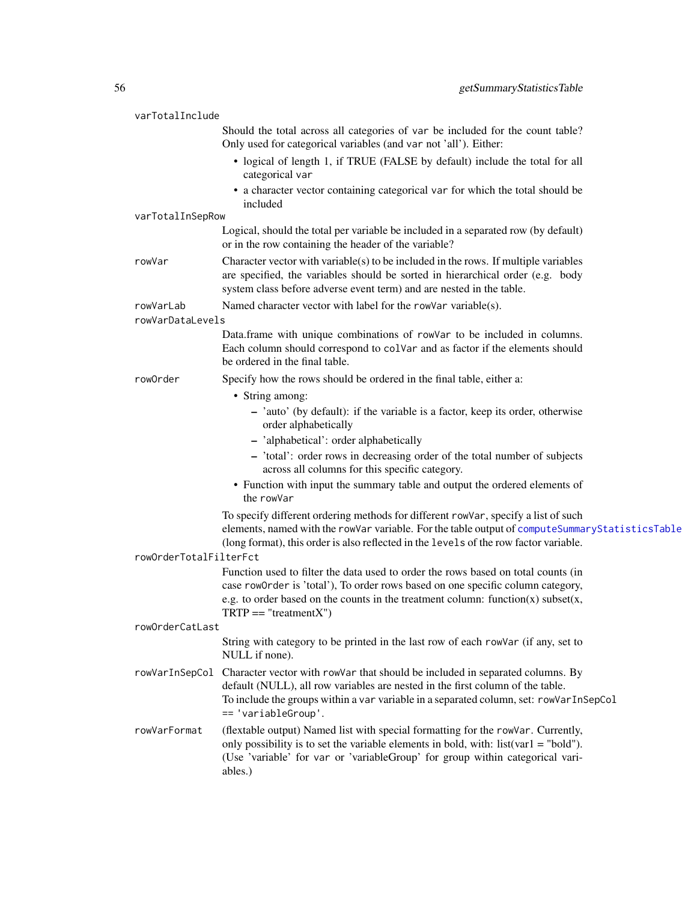| varTotalInclude        |                                                                                                                                                                                                                                                                                  |
|------------------------|----------------------------------------------------------------------------------------------------------------------------------------------------------------------------------------------------------------------------------------------------------------------------------|
|                        | Should the total across all categories of var be included for the count table?<br>Only used for categorical variables (and var not 'all'). Either:                                                                                                                               |
|                        | • logical of length 1, if TRUE (FALSE by default) include the total for all<br>categorical var                                                                                                                                                                                   |
|                        | • a character vector containing categorical var for which the total should be<br>included                                                                                                                                                                                        |
| varTotalInSepRow       |                                                                                                                                                                                                                                                                                  |
|                        | Logical, should the total per variable be included in a separated row (by default)<br>or in the row containing the header of the variable?                                                                                                                                       |
| rowVar                 | Character vector with variable(s) to be included in the rows. If multiple variables<br>are specified, the variables should be sorted in hierarchical order (e.g. body<br>system class before adverse event term) and are nested in the table.                                    |
| rowVarLab              | Named character vector with label for the rowVar variable(s).                                                                                                                                                                                                                    |
| rowVarDataLevels       |                                                                                                                                                                                                                                                                                  |
|                        | Data.frame with unique combinations of rowVar to be included in columns.<br>Each column should correspond to colVar and as factor if the elements should<br>be ordered in the final table.                                                                                       |
| rowOrder               | Specify how the rows should be ordered in the final table, either a:                                                                                                                                                                                                             |
|                        | • String among:                                                                                                                                                                                                                                                                  |
|                        | - 'auto' (by default): if the variable is a factor, keep its order, otherwise<br>order alphabetically                                                                                                                                                                            |
|                        | - 'alphabetical': order alphabetically                                                                                                                                                                                                                                           |
|                        | - 'total': order rows in decreasing order of the total number of subjects<br>across all columns for this specific category.                                                                                                                                                      |
|                        | • Function with input the summary table and output the ordered elements of<br>the rowVar                                                                                                                                                                                         |
|                        | To specify different ordering methods for different rowVar, specify a list of such<br>elements, named with the rowVar variable. For the table output of computeSummaryStatisticsTable<br>(long format), this order is also reflected in the levels of the row factor variable.   |
| rowOrderTotalFilterFct |                                                                                                                                                                                                                                                                                  |
|                        | Function used to filter the data used to order the rows based on total counts (in                                                                                                                                                                                                |
|                        | case row0rder is 'total'), To order rows based on one specific column category,                                                                                                                                                                                                  |
|                        | e.g. to order based on the counts in the treatment column: function $(x)$ subset $(x,$<br>$TRTP == "treatmentX")$                                                                                                                                                                |
| rowOrderCatLast        |                                                                                                                                                                                                                                                                                  |
|                        | String with category to be printed in the last row of each rowVar (if any, set to<br>NULL if none).                                                                                                                                                                              |
| rowVarInSepCol         | Character vector with rowVar that should be included in separated columns. By<br>default (NULL), all row variables are nested in the first column of the table.<br>To include the groups within a var variable in a separated column, set: rowVarInSepCol<br>== 'variableGroup'. |
| rowVarFormat           | (flextable output) Named list with special formatting for the rowVar. Currently,<br>only possibility is to set the variable elements in bold, with: $list(var1 = "bold").$<br>(Use 'variable' for var or 'variableGroup' for group within categorical vari-<br>ables.)           |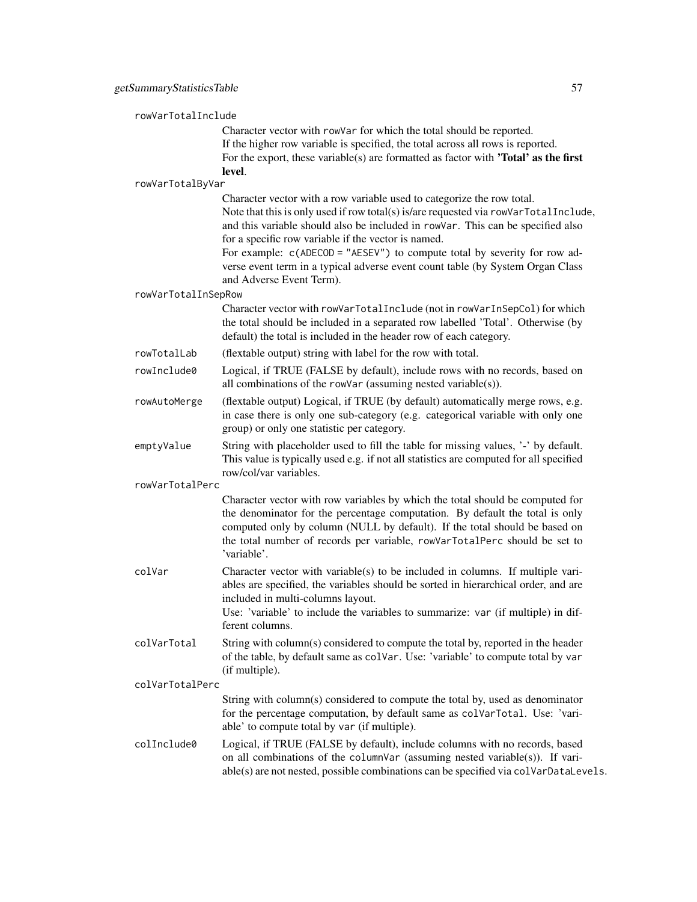rowVarTotalInclude Character vector with rowVar for which the total should be reported. If the higher row variable is specified, the total across all rows is reported. For the export, these variable(s) are formatted as factor with 'Total' as the first level. rowVarTotalByVar Character vector with a row variable used to categorize the row total. Note that this is only used if row total(s) is/are requested via rowVarTotalInclude, and this variable should also be included in rowVar. This can be specified also for a specific row variable if the vector is named. For example:  $c$ (ADECOD = "AESEV") to compute total by severity for row adverse event term in a typical adverse event count table (by System Organ Class and Adverse Event Term). rowVarTotalInSepRow Character vector with rowVarTotalInclude (not in rowVarInSepCol) for which the total should be included in a separated row labelled 'Total'. Otherwise (by default) the total is included in the header row of each category. rowTotalLab (flextable output) string with label for the row with total. rowInclude0 Logical, if TRUE (FALSE by default), include rows with no records, based on all combinations of the rowVar (assuming nested variable(s)). rowAutoMerge (flextable output) Logical, if TRUE (by default) automatically merge rows, e.g. in case there is only one sub-category (e.g. categorical variable with only one group) or only one statistic per category. emptyValue String with placeholder used to fill the table for missing values, '-' by default. This value is typically used e.g. if not all statistics are computed for all specified row/col/var variables. rowVarTotalPerc Character vector with row variables by which the total should be computed for the denominator for the percentage computation. By default the total is only computed only by column (NULL by default). If the total should be based on the total number of records per variable, rowVarTotalPerc should be set to 'variable'.  $colVar$  Character vector with variable(s) to be included in columns. If multiple variables are specified, the variables should be sorted in hierarchical order, and are included in multi-columns layout. Use: 'variable' to include the variables to summarize: var (if multiple) in different columns. colVarTotal String with column(s) considered to compute the total by, reported in the header of the table, by default same as colVar. Use: 'variable' to compute total by var (if multiple). colVarTotalPerc String with column(s) considered to compute the total by, used as denominator for the percentage computation, by default same as colVarTotal. Use: 'variable' to compute total by var (if multiple). colInclude0 Logical, if TRUE (FALSE by default), include columns with no records, based on all combinations of the columnVar (assuming nested variable(s)). If vari-

able(s) are not nested, possible combinations can be specified via colVarDataLevels.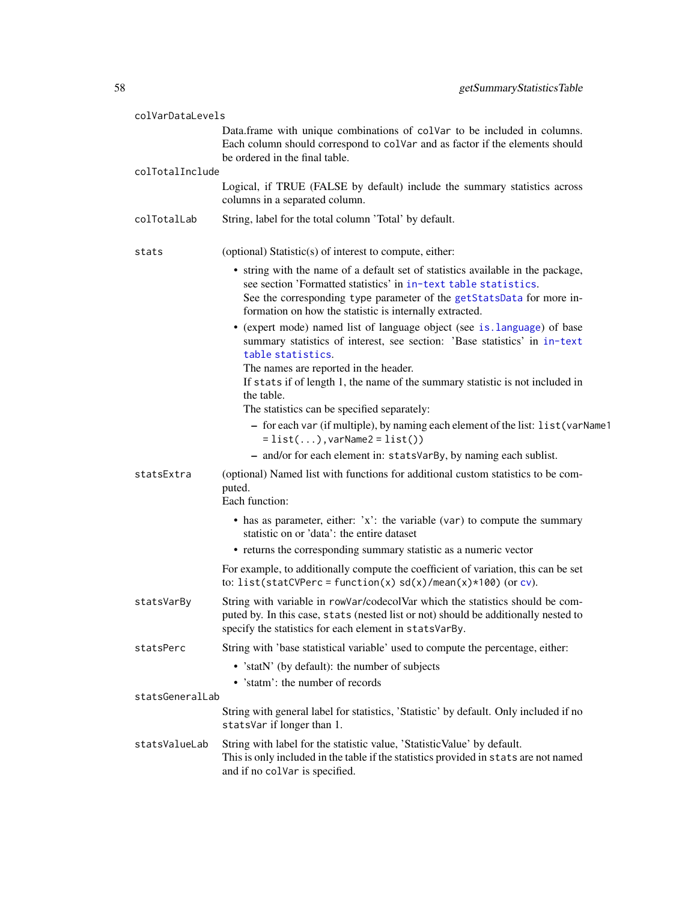| colVarDataLevels |                                                                                                                                                                                                                                                                                        |
|------------------|----------------------------------------------------------------------------------------------------------------------------------------------------------------------------------------------------------------------------------------------------------------------------------------|
|                  | Data.frame with unique combinations of colvar to be included in columns.<br>Each column should correspond to colVar and as factor if the elements should<br>be ordered in the final table.                                                                                             |
| colTotalInclude  | Logical, if TRUE (FALSE by default) include the summary statistics across<br>columns in a separated column.                                                                                                                                                                            |
| colTotalLab      | String, label for the total column 'Total' by default.                                                                                                                                                                                                                                 |
| stats            | (optional) Statistic(s) of interest to compute, either:                                                                                                                                                                                                                                |
|                  | • string with the name of a default set of statistics available in the package,<br>see section 'Formatted statistics' in in-text table statistics.<br>See the corresponding type parameter of the getStatsData for more in-<br>formation on how the statistic is internally extracted. |
|                  | • (expert mode) named list of language object (see is. language) of base<br>summary statistics of interest, see section: 'Base statistics' in in-text<br>table statistics.                                                                                                             |
|                  | The names are reported in the header.<br>If stats if of length 1, the name of the summary statistic is not included in<br>the table.                                                                                                                                                   |
|                  | The statistics can be specified separately:                                                                                                                                                                                                                                            |
|                  | - for each var (if multiple), by naming each element of the list: list (varName1<br>$= list(), variable2 = list())$                                                                                                                                                                    |
|                  | - and/or for each element in: statsVarBy, by naming each sublist.                                                                                                                                                                                                                      |
| statsExtra       | (optional) Named list with functions for additional custom statistics to be com-<br>puted.                                                                                                                                                                                             |
|                  | Each function:                                                                                                                                                                                                                                                                         |
|                  | • has as parameter, either: $x$ : the variable (var) to compute the summary<br>statistic on or 'data': the entire dataset                                                                                                                                                              |
|                  | • returns the corresponding summary statistic as a numeric vector                                                                                                                                                                                                                      |
|                  | For example, to additionally compute the coefficient of variation, this can be set<br>to: list(statCVPerc = function(x) $sd(x)/mean(x)*100$ (or cv).                                                                                                                                   |
| statsVarBy       | String with variable in rowVar/codecolVar which the statistics should be com-<br>puted by. In this case, stats (nested list or not) should be additionally nested to<br>specify the statistics for each element in statsVarBy.                                                         |
| statsPerc        | String with 'base statistical variable' used to compute the percentage, either:                                                                                                                                                                                                        |
|                  | • 'statN' (by default): the number of subjects                                                                                                                                                                                                                                         |
|                  | • 'statm': the number of records                                                                                                                                                                                                                                                       |
| statsGeneralLab  |                                                                                                                                                                                                                                                                                        |
|                  | String with general label for statistics, 'Statistic' by default. Only included if no<br>statsVar if longer than 1.                                                                                                                                                                    |
| statsValueLab    | String with label for the statistic value, 'Statistic Value' by default.<br>This is only included in the table if the statistics provided in stats are not named<br>and if no colvar is specified.                                                                                     |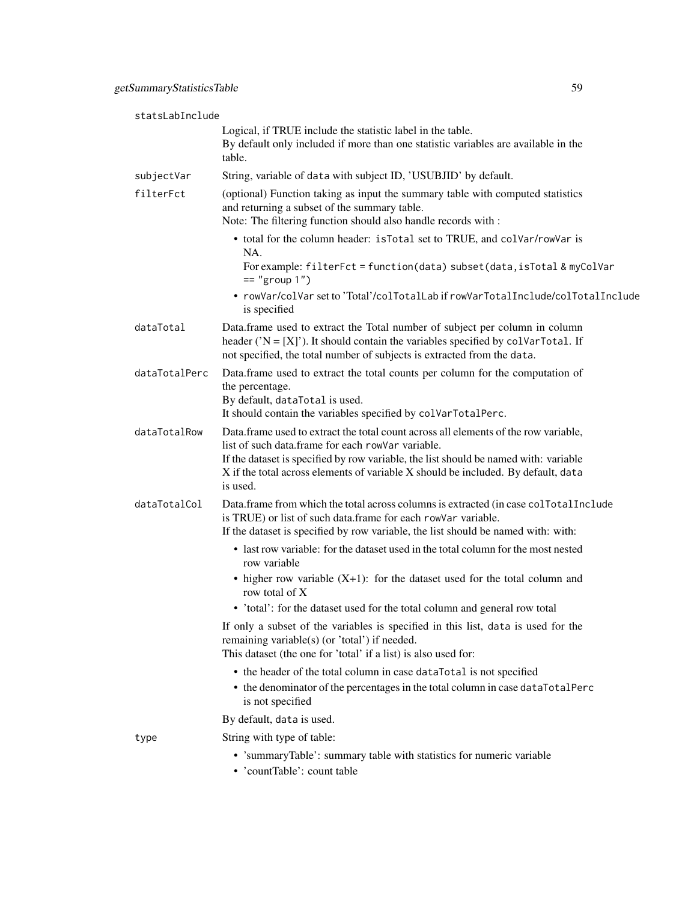| statsLabInclude |                                                                                                                                                                                                                                                                                                                                   |
|-----------------|-----------------------------------------------------------------------------------------------------------------------------------------------------------------------------------------------------------------------------------------------------------------------------------------------------------------------------------|
|                 | Logical, if TRUE include the statistic label in the table.<br>By default only included if more than one statistic variables are available in the<br>table.                                                                                                                                                                        |
| subjectVar      | String, variable of data with subject ID, 'USUBJID' by default.                                                                                                                                                                                                                                                                   |
| filterFct       | (optional) Function taking as input the summary table with computed statistics<br>and returning a subset of the summary table.<br>Note: The filtering function should also handle records with :                                                                                                                                  |
|                 | • total for the column header: is Total set to TRUE, and colVar/rowVar is<br>NA.<br>For example: filterFct = function(data) subset(data, isTotal & myColVar<br>$==$ "group $1"$ )                                                                                                                                                 |
|                 | • rowVar/colVar set to 'Total'/colTotalLab if rowVarTotalInclude/colTotalInclude<br>is specified                                                                                                                                                                                                                                  |
| dataTotal       | Data.frame used to extract the Total number of subject per column in column<br>header (' $N = [X]$ '). It should contain the variables specified by colvarTotal. If<br>not specified, the total number of subjects is extracted from the data.                                                                                    |
| dataTotalPerc   | Data.frame used to extract the total counts per column for the computation of<br>the percentage.<br>By default, dataTotal is used.<br>It should contain the variables specified by colVarTotalPerc.                                                                                                                               |
| dataTotalRow    | Data.frame used to extract the total count across all elements of the row variable,<br>list of such data.frame for each rowVar variable.<br>If the dataset is specified by row variable, the list should be named with: variable<br>X if the total across elements of variable X should be included. By default, data<br>is used. |
| dataTotalCol    | Data.frame from which the total across columns is extracted (in case collotalInclude<br>is TRUE) or list of such data.frame for each rowVar variable.<br>If the dataset is specified by row variable, the list should be named with: with:                                                                                        |
|                 | • last row variable: for the dataset used in the total column for the most nested<br>row variable                                                                                                                                                                                                                                 |
|                 | • higher row variable $(X+1)$ : for the dataset used for the total column and<br>row total of X                                                                                                                                                                                                                                   |
|                 | • 'total': for the dataset used for the total column and general row total                                                                                                                                                                                                                                                        |
|                 | If only a subset of the variables is specified in this list, data is used for the<br>remaining variable(s) (or 'total') if needed.<br>This dataset (the one for 'total' if a list) is also used for:                                                                                                                              |
|                 | • the header of the total column in case dataTotal is not specified<br>• the denominator of the percentages in the total column in case dataTotalPerc<br>is not specified                                                                                                                                                         |
|                 | By default, data is used.                                                                                                                                                                                                                                                                                                         |
| type            | String with type of table:                                                                                                                                                                                                                                                                                                        |
|                 | • 'summaryTable': summary table with statistics for numeric variable<br>• 'countTable': count table                                                                                                                                                                                                                               |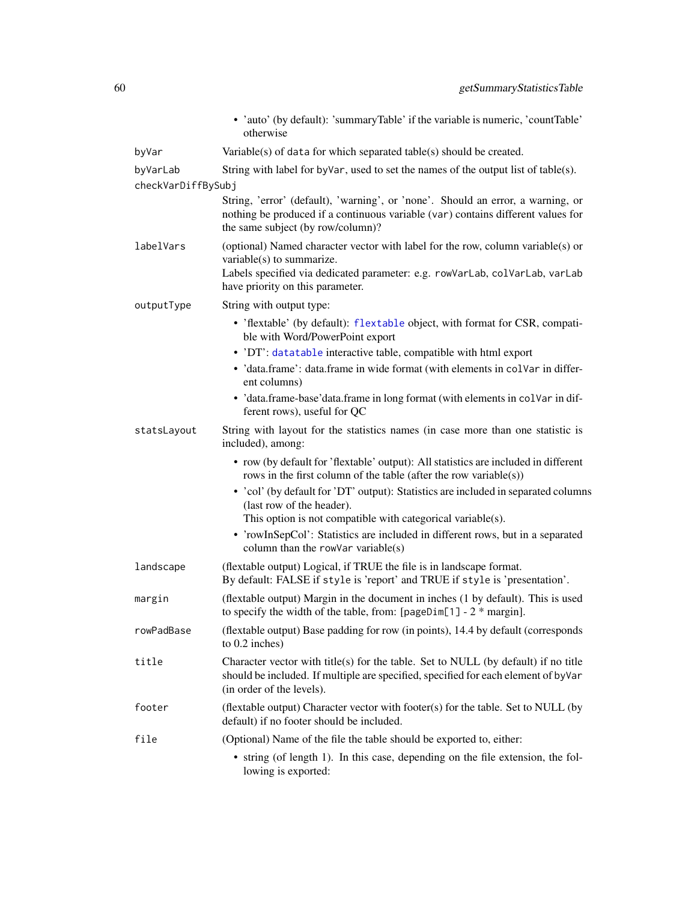|                                | • 'auto' (by default): 'summaryTable' if the variable is numeric, 'countTable'<br>otherwise                                                                                                                                     |
|--------------------------------|---------------------------------------------------------------------------------------------------------------------------------------------------------------------------------------------------------------------------------|
| byVar                          | Variable(s) of data for which separated table(s) should be created.                                                                                                                                                             |
| byVarLab<br>checkVarDiffBySubj | String with label for by Var, used to set the names of the output list of table(s).                                                                                                                                             |
|                                | String, 'error' (default), 'warning', or 'none'. Should an error, a warning, or<br>nothing be produced if a continuous variable (var) contains different values for<br>the same subject (by row/column)?                        |
| labelVars                      | (optional) Named character vector with label for the row, column variable(s) or<br>variable(s) to summarize.<br>Labels specified via dedicated parameter: e.g. rowVarLab, colVarLab, varLab<br>have priority on this parameter. |
| outputType                     | String with output type:                                                                                                                                                                                                        |
|                                | • 'flextable' (by default): flextable object, with format for CSR, compati-<br>ble with Word/PowerPoint export                                                                                                                  |
|                                | • 'DT': datatable interactive table, compatible with html export                                                                                                                                                                |
|                                | · 'data.frame': data.frame in wide format (with elements in colvar in differ-<br>ent columns)                                                                                                                                   |
|                                | • 'data.frame-base'data.frame in long format (with elements in colvar in dif-<br>ferent rows), useful for QC                                                                                                                    |
| statsLayout                    | String with layout for the statistics names (in case more than one statistic is<br>included), among:                                                                                                                            |
|                                | • row (by default for 'flextable' output): All statistics are included in different<br>rows in the first column of the table (after the row variable(s))                                                                        |
|                                | • 'col' (by default for 'DT' output): Statistics are included in separated columns<br>(last row of the header).                                                                                                                 |
|                                | This option is not compatible with categorical variable(s).                                                                                                                                                                     |
|                                | • 'rowInSepCol': Statistics are included in different rows, but in a separated<br>column than the rowVar variable $(s)$                                                                                                         |
| landscape                      | (flextable output) Logical, if TRUE the file is in landscape format.<br>By default: FALSE if style is 'report' and TRUE if style is 'presentation'.                                                                             |
| margin                         | (flextable output) Margin in the document in inches (1 by default). This is used<br>to specify the width of the table, from: $[pageDim[1] - 2 * margin]$ .                                                                      |
| rowPadBase                     | (flextable output) Base padding for row (in points), 14.4 by default (corresponds<br>to 0.2 inches)                                                                                                                             |
| title                          | Character vector with title(s) for the table. Set to NULL (by default) if no title<br>should be included. If multiple are specified, specified for each element of byVar<br>(in order of the levels).                           |
| footer                         | (flextable output) Character vector with footer(s) for the table. Set to NULL (by<br>default) if no footer should be included.                                                                                                  |
| file                           | (Optional) Name of the file the table should be exported to, either:                                                                                                                                                            |
|                                | • string (of length 1). In this case, depending on the file extension, the fol-<br>lowing is exported:                                                                                                                          |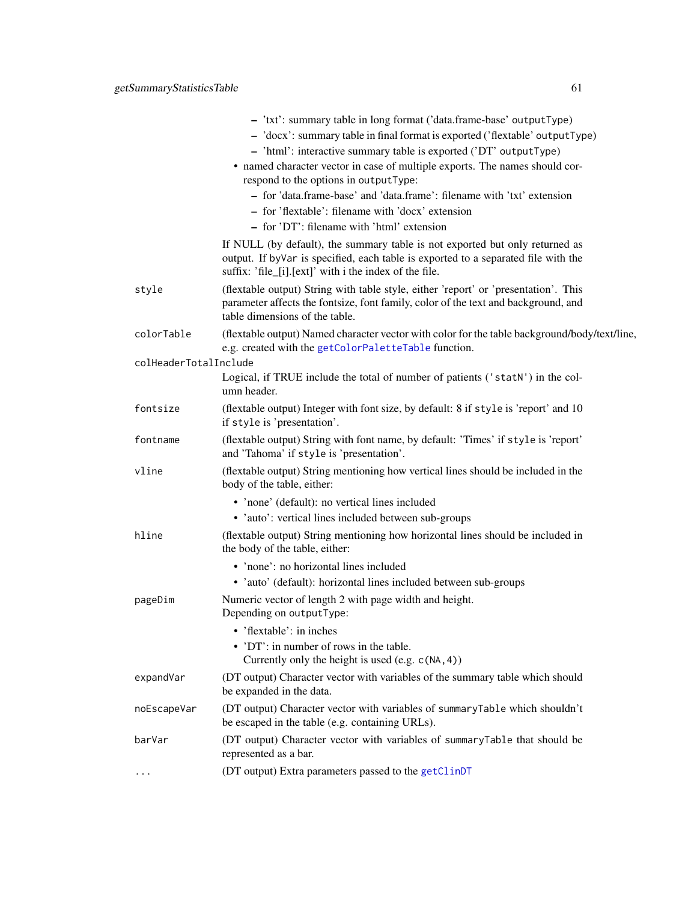|                       | - 'txt': summary table in long format ('data.frame-base' outputType)<br>- 'docx': summary table in final format is exported ('flextable' output Type)<br>- 'html': interactive summary table is exported ('DT' outputType)<br>• named character vector in case of multiple exports. The names should cor-<br>respond to the options in outputType:<br>- for 'data.frame-base' and 'data.frame': filename with 'txt' extension<br>- for 'flextable': filename with 'docx' extension<br>- for 'DT': filename with 'html' extension |
|-----------------------|----------------------------------------------------------------------------------------------------------------------------------------------------------------------------------------------------------------------------------------------------------------------------------------------------------------------------------------------------------------------------------------------------------------------------------------------------------------------------------------------------------------------------------|
|                       | If NULL (by default), the summary table is not exported but only returned as<br>output. If by Var is specified, each table is exported to a separated file with the<br>suffix: 'file_[i].[ext]' with i the index of the file.                                                                                                                                                                                                                                                                                                    |
| style                 | (flextable output) String with table style, either 'report' or 'presentation'. This<br>parameter affects the fontsize, font family, color of the text and background, and<br>table dimensions of the table.                                                                                                                                                                                                                                                                                                                      |
| colorTable            | (flextable output) Named character vector with color for the table background/body/text/line,<br>e.g. created with the getColorPaletteTable function.                                                                                                                                                                                                                                                                                                                                                                            |
| colHeaderTotalInclude | Logical, if TRUE include the total of number of patients ('statN') in the col-<br>umn header.                                                                                                                                                                                                                                                                                                                                                                                                                                    |
| fontsize              | (flextable output) Integer with font size, by default: 8 if style is 'report' and 10<br>if style is 'presentation'.                                                                                                                                                                                                                                                                                                                                                                                                              |
| fontname              | (flextable output) String with font name, by default: 'Times' if style is 'report'<br>and 'Tahoma' if style is 'presentation'.                                                                                                                                                                                                                                                                                                                                                                                                   |
| vline                 | (flextable output) String mentioning how vertical lines should be included in the<br>body of the table, either:                                                                                                                                                                                                                                                                                                                                                                                                                  |
|                       | • 'none' (default): no vertical lines included<br>• 'auto': vertical lines included between sub-groups                                                                                                                                                                                                                                                                                                                                                                                                                           |
| hline                 | (flextable output) String mentioning how horizontal lines should be included in<br>the body of the table, either:                                                                                                                                                                                                                                                                                                                                                                                                                |
|                       | • 'none': no horizontal lines included<br>· 'auto' (default): horizontal lines included between sub-groups                                                                                                                                                                                                                                                                                                                                                                                                                       |
| pageDim               | Numeric vector of length 2 with page width and height.<br>Depending on outputType:                                                                                                                                                                                                                                                                                                                                                                                                                                               |
|                       | • 'flextable': in inches<br>• 'DT': in number of rows in the table.<br>Currently only the height is used (e.g. $c(NA, 4)$ )                                                                                                                                                                                                                                                                                                                                                                                                      |
| expandVar             | (DT output) Character vector with variables of the summary table which should<br>be expanded in the data.                                                                                                                                                                                                                                                                                                                                                                                                                        |
| noEscapeVar           | (DT output) Character vector with variables of summaryTable which shouldn't<br>be escaped in the table (e.g. containing URLs).                                                                                                                                                                                                                                                                                                                                                                                                   |
| barVar                | (DT output) Character vector with variables of summaryTable that should be                                                                                                                                                                                                                                                                                                                                                                                                                                                       |

represented as a bar.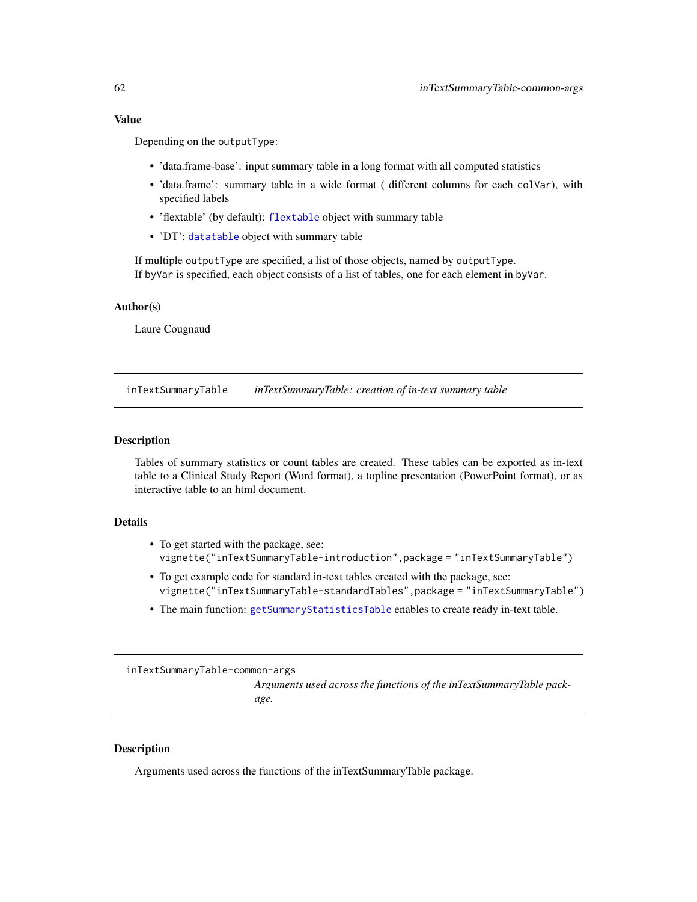## Value

Depending on the outputType:

- 'data.frame-base': input summary table in a long format with all computed statistics
- 'data.frame': summary table in a wide format ( different columns for each colVar), with specified labels
- 'flextable' (by default): [flextable](#page-0-0) object with summary table
- 'DT': [datatable](#page-0-0) object with summary table

If multiple outputType are specified, a list of those objects, named by outputType. If byVar is specified, each object consists of a list of tables, one for each element in byVar.

## Author(s)

Laure Cougnaud

inTextSummaryTable *inTextSummaryTable: creation of in-text summary table*

### **Description**

Tables of summary statistics or count tables are created. These tables can be exported as in-text table to a Clinical Study Report (Word format), a topline presentation (PowerPoint format), or as interactive table to an html document.

#### Details

- To get started with the package, see: vignette("inTextSummaryTable-introduction",package = "inTextSummaryTable")
- To get example code for standard in-text tables created with the package, see: vignette("inTextSummaryTable-standardTables",package = "inTextSummaryTable")
- The main function: [getSummaryStatisticsTable](#page-52-0) enables to create ready in-text table.

inTextSummaryTable-common-args

*Arguments used across the functions of the inTextSummaryTable package.*

#### Description

Arguments used across the functions of the inTextSummaryTable package.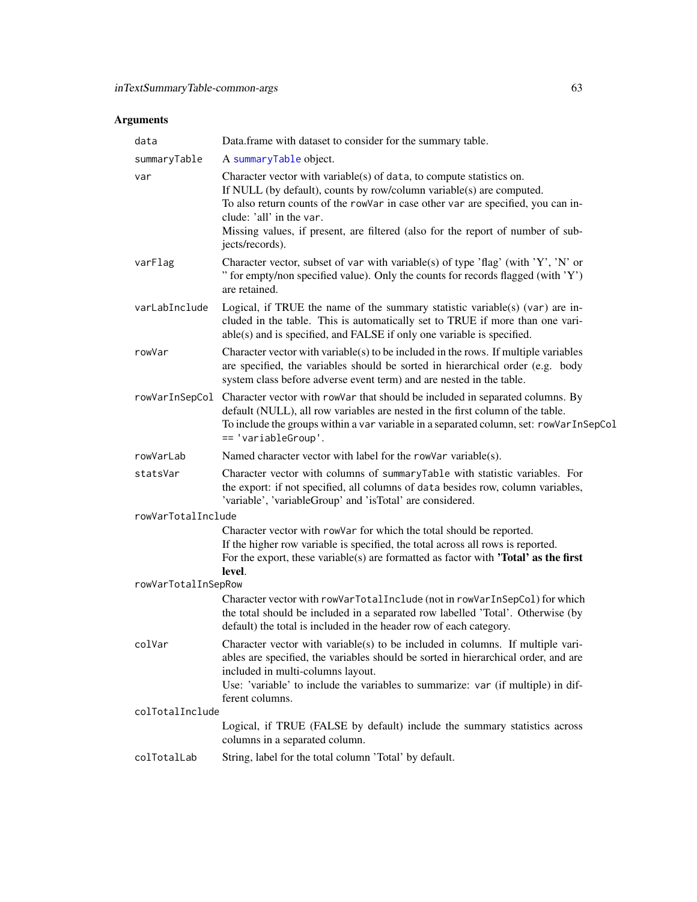# Arguments

| data                | Data.frame with dataset to consider for the summary table.                                                                                                                                                                                                                                                                                                         |
|---------------------|--------------------------------------------------------------------------------------------------------------------------------------------------------------------------------------------------------------------------------------------------------------------------------------------------------------------------------------------------------------------|
| summaryTable        | A summaryTable object.                                                                                                                                                                                                                                                                                                                                             |
| var                 | Character vector with variable(s) of data, to compute statistics on.<br>If NULL (by default), counts by row/column variable(s) are computed.<br>To also return counts of the rowVar in case other var are specified, you can in-<br>clude: 'all' in the var.<br>Missing values, if present, are filtered (also for the report of number of sub-<br>jects/records). |
| varFlag             | Character vector, subset of var with variable(s) of type 'flag' (with 'Y', 'N' or<br>" for empty/non specified value). Only the counts for records flagged (with 'Y')<br>are retained.                                                                                                                                                                             |
| varLabInclude       | Logical, if TRUE the name of the summary statistic variable(s) (var) are in-<br>cluded in the table. This is automatically set to TRUE if more than one vari-<br>able(s) and is specified, and FALSE if only one variable is specified.                                                                                                                            |
| rowVar              | Character vector with variable(s) to be included in the rows. If multiple variables<br>are specified, the variables should be sorted in hierarchical order (e.g. body<br>system class before adverse event term) and are nested in the table.                                                                                                                      |
| rowVarInSepCol      | Character vector with rowVar that should be included in separated columns. By<br>default (NULL), all row variables are nested in the first column of the table.<br>To include the groups within a var variable in a separated column, set: rowVarInSepCol<br>== 'variableGroup'.                                                                                   |
| rowVarLab           | Named character vector with label for the rowVar variable(s).                                                                                                                                                                                                                                                                                                      |
| statsVar            | Character vector with columns of summaryTable with statistic variables. For<br>the export: if not specified, all columns of data besides row, column variables,<br>'variable', 'variableGroup' and 'isTotal' are considered.                                                                                                                                       |
| rowVarTotalInclude  |                                                                                                                                                                                                                                                                                                                                                                    |
|                     | Character vector with rowVar for which the total should be reported.<br>If the higher row variable is specified, the total across all rows is reported.<br>For the export, these variable(s) are formatted as factor with <b>'Total' as the first</b><br>level.                                                                                                    |
| rowVarTotalInSepRow |                                                                                                                                                                                                                                                                                                                                                                    |
|                     | Character vector with rowVarTotalInclude (not in rowVarInSepCol) for which<br>the total should be included in a separated row labelled 'Total'. Otherwise (by<br>default) the total is included in the header row of each category.                                                                                                                                |
| colVar              | Character vector with variable(s) to be included in columns. If multiple vari-<br>ables are specified, the variables should be sorted in hierarchical order, and are<br>included in multi-columns layout.<br>Use: 'variable' to include the variables to summarize: var (if multiple) in dif-<br>ferent columns.                                                   |
| colTotalInclude     |                                                                                                                                                                                                                                                                                                                                                                    |
|                     | Logical, if TRUE (FALSE by default) include the summary statistics across<br>columns in a separated column.                                                                                                                                                                                                                                                        |
| colTotalLab         | String, label for the total column 'Total' by default.                                                                                                                                                                                                                                                                                                             |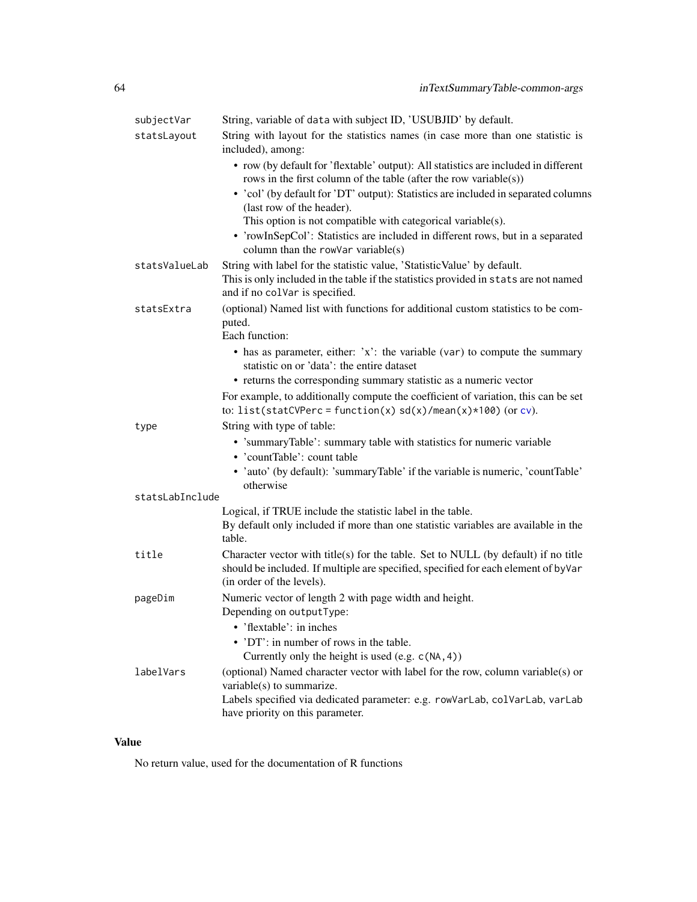| subjectVar      | String, variable of data with subject ID, 'USUBJID' by default.                                                                                                                                                                 |
|-----------------|---------------------------------------------------------------------------------------------------------------------------------------------------------------------------------------------------------------------------------|
| statsLayout     | String with layout for the statistics names (in case more than one statistic is<br>included), among:                                                                                                                            |
|                 | • row (by default for 'flextable' output): All statistics are included in different<br>rows in the first column of the table (after the row variable(s))                                                                        |
|                 | • 'col' (by default for 'DT' output): Statistics are included in separated columns<br>(last row of the header).                                                                                                                 |
|                 | This option is not compatible with categorical variable(s).<br>• 'rowInSepCol': Statistics are included in different rows, but in a separated<br>column than the rowVar variable $(s)$                                          |
| statsValueLab   | String with label for the statistic value, 'Statistic Value' by default.<br>This is only included in the table if the statistics provided in stats are not named<br>and if no colvar is specified.                              |
| statsExtra      | (optional) Named list with functions for additional custom statistics to be com-<br>puted.<br>Each function:                                                                                                                    |
|                 | $\bullet$ has as parameter, either: 'x': the variable (var) to compute the summary<br>statistic on or 'data': the entire dataset                                                                                                |
|                 | • returns the corresponding summary statistic as a numeric vector                                                                                                                                                               |
|                 | For example, to additionally compute the coefficient of variation, this can be set<br>to: list(statCVPerc = function(x) $sd(x)/mean(x)*100$ (or cv).                                                                            |
| type            | String with type of table:                                                                                                                                                                                                      |
|                 | • 'summaryTable': summary table with statistics for numeric variable<br>• 'countTable': count table                                                                                                                             |
|                 | • 'auto' (by default): 'summaryTable' if the variable is numeric, 'countTable'<br>otherwise                                                                                                                                     |
| statsLabInclude |                                                                                                                                                                                                                                 |
|                 | Logical, if TRUE include the statistic label in the table.<br>By default only included if more than one statistic variables are available in the<br>table.                                                                      |
| title           | Character vector with title(s) for the table. Set to NULL (by default) if no title<br>should be included. If multiple are specified, specified for each element of byVar<br>(in order of the levels).                           |
| pageDim         | Numeric vector of length 2 with page width and height.<br>Depending on outputType:<br>'flextable': in inches                                                                                                                    |
|                 | • 'DT': in number of rows in the table.<br>Currently only the height is used $(e.g. c(NA, 4))$                                                                                                                                  |
| labelVars       | (optional) Named character vector with label for the row, column variable(s) or<br>variable(s) to summarize.<br>Labels specified via dedicated parameter: e.g. rowVarLab, colVarLab, varLab<br>have priority on this parameter. |

# Value

No return value, used for the documentation of R functions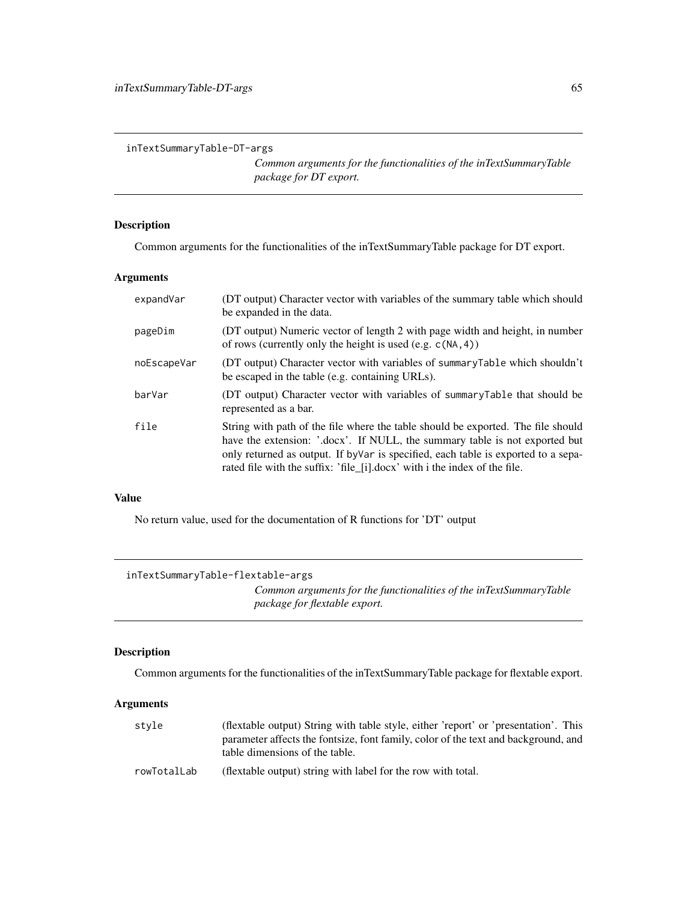inTextSummaryTable-DT-args

*Common arguments for the functionalities of the inTextSummaryTable package for DT export.*

## Description

Common arguments for the functionalities of the inTextSummaryTable package for DT export.

### Arguments

| expandVar   | (DT output) Character vector with variables of the summary table which should<br>be expanded in the data.                                                                                                                                                                                                                          |
|-------------|------------------------------------------------------------------------------------------------------------------------------------------------------------------------------------------------------------------------------------------------------------------------------------------------------------------------------------|
| pageDim     | (DT output) Numeric vector of length 2 with page width and height, in number<br>of rows (currently only the height is used (e.g. $c(NA, 4)$ )                                                                                                                                                                                      |
| noEscapeVar | (DT output) Character vector with variables of summaryTable which shouldn't<br>be escaped in the table (e.g. containing URLs).                                                                                                                                                                                                     |
| barVar      | (DT output) Character vector with variables of summaryTable that should be<br>represented as a bar.                                                                                                                                                                                                                                |
| file        | String with path of the file where the table should be exported. The file should<br>have the extension: '.docx'. If NULL, the summary table is not exported but<br>only returned as output. If by Var is specified, each table is exported to a sepa-<br>rated file with the suffix: 'file_[i].docx' with i the index of the file. |

## Value

No return value, used for the documentation of R functions for 'DT' output

```
inTextSummaryTable-flextable-args
                          Common arguments for the functionalities of the inTextSummaryTable
                          package for flextable export.
```
# Description

Common arguments for the functionalities of the inTextSummaryTable package for flextable export.

# Arguments

| style       | (flextable output) String with table style, either 'report' or 'presentation'. This |
|-------------|-------------------------------------------------------------------------------------|
|             | parameter affects the fontsize, font family, color of the text and background, and  |
|             | table dimensions of the table.                                                      |
| rowTotalLab | (flextable output) string with label for the row with total.                        |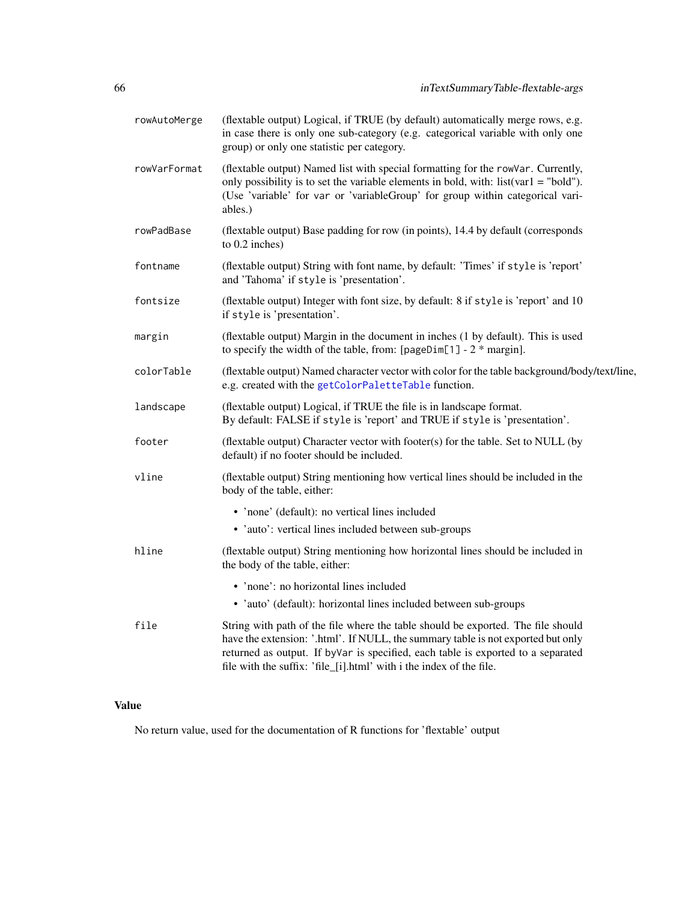| rowAutoMerge | (flextable output) Logical, if TRUE (by default) automatically merge rows, e.g.<br>in case there is only one sub-category (e.g. categorical variable with only one<br>group) or only one statistic per category.                                                                                                                |
|--------------|---------------------------------------------------------------------------------------------------------------------------------------------------------------------------------------------------------------------------------------------------------------------------------------------------------------------------------|
| rowVarFormat | (flextable output) Named list with special formatting for the rowVar. Currently,<br>only possibility is to set the variable elements in bold, with: list(var1 = "bold").<br>(Use 'variable' for var or 'variableGroup' for group within categorical vari-<br>ables.)                                                            |
| rowPadBase   | (flextable output) Base padding for row (in points), 14.4 by default (corresponds<br>to 0.2 inches)                                                                                                                                                                                                                             |
| fontname     | (flextable output) String with font name, by default: 'Times' if style is 'report'<br>and 'Tahoma' if style is 'presentation'.                                                                                                                                                                                                  |
| fontsize     | (flextable output) Integer with font size, by default: 8 if style is 'report' and 10<br>if style is 'presentation'.                                                                                                                                                                                                             |
| margin       | (flextable output) Margin in the document in inches (1 by default). This is used<br>to specify the width of the table, from: $[pageDim[1] - 2 * margin]$ .                                                                                                                                                                      |
| colorTable   | (flextable output) Named character vector with color for the table background/body/text/line,<br>e.g. created with the getColorPaletteTable function.                                                                                                                                                                           |
| landscape    | (flextable output) Logical, if TRUE the file is in landscape format.<br>By default: FALSE if style is 'report' and TRUE if style is 'presentation'.                                                                                                                                                                             |
| footer       | (flextable output) Character vector with footer(s) for the table. Set to NULL (by<br>default) if no footer should be included.                                                                                                                                                                                                  |
| vline        | (flextable output) String mentioning how vertical lines should be included in the<br>body of the table, either:                                                                                                                                                                                                                 |
|              | • 'none' (default): no vertical lines included                                                                                                                                                                                                                                                                                  |
|              | • 'auto': vertical lines included between sub-groups                                                                                                                                                                                                                                                                            |
| hline        | (flextable output) String mentioning how horizontal lines should be included in<br>the body of the table, either:                                                                                                                                                                                                               |
|              | • 'none': no horizontal lines included                                                                                                                                                                                                                                                                                          |
|              | • 'auto' (default): horizontal lines included between sub-groups                                                                                                                                                                                                                                                                |
| file         | String with path of the file where the table should be exported. The file should<br>have the extension: '.html'. If NULL, the summary table is not exported but only<br>returned as output. If byVar is specified, each table is exported to a separated<br>file with the suffix: 'file_[i].html' with i the index of the file. |

# Value

No return value, used for the documentation of R functions for 'flextable' output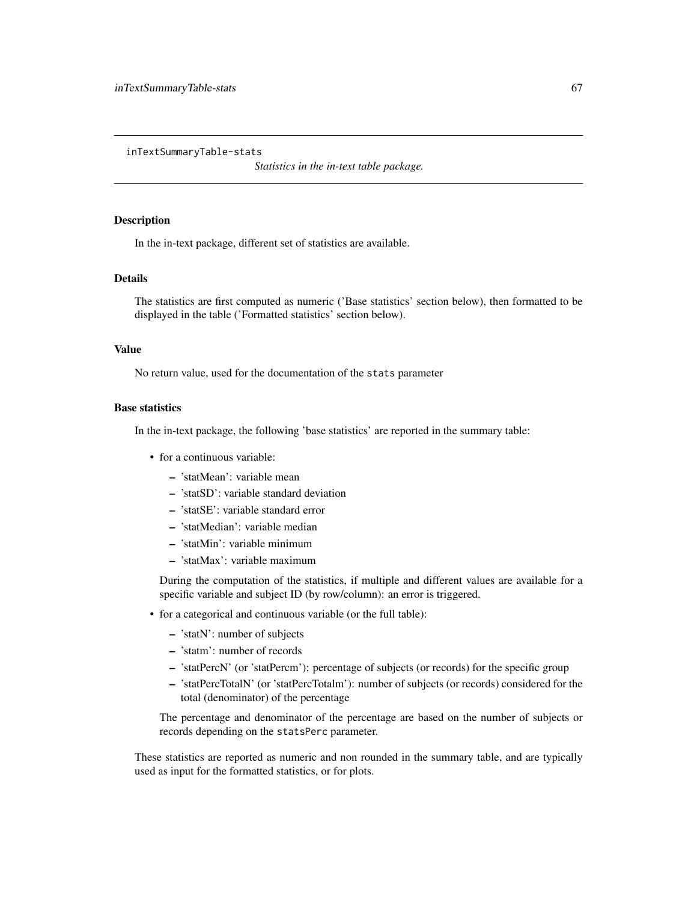<span id="page-66-0"></span>inTextSummaryTable-stats

*Statistics in the in-text table package.*

### **Description**

In the in-text package, different set of statistics are available.

#### Details

The statistics are first computed as numeric ('Base statistics' section below), then formatted to be displayed in the table ('Formatted statistics' section below).

#### Value

No return value, used for the documentation of the stats parameter

#### Base statistics

In the in-text package, the following 'base statistics' are reported in the summary table:

- for a continuous variable:
	- 'statMean': variable mean
	- 'statSD': variable standard deviation
	- 'statSE': variable standard error
	- 'statMedian': variable median
	- 'statMin': variable minimum
	- 'statMax': variable maximum

During the computation of the statistics, if multiple and different values are available for a specific variable and subject ID (by row/column): an error is triggered.

- for a categorical and continuous variable (or the full table):
	- 'statN': number of subjects
	- 'statm': number of records
	- 'statPercN' (or 'statPercm'): percentage of subjects (or records) for the specific group
	- 'statPercTotalN' (or 'statPercTotalm'): number of subjects (or records) considered for the total (denominator) of the percentage

The percentage and denominator of the percentage are based on the number of subjects or records depending on the statsPerc parameter.

These statistics are reported as numeric and non rounded in the summary table, and are typically used as input for the formatted statistics, or for plots.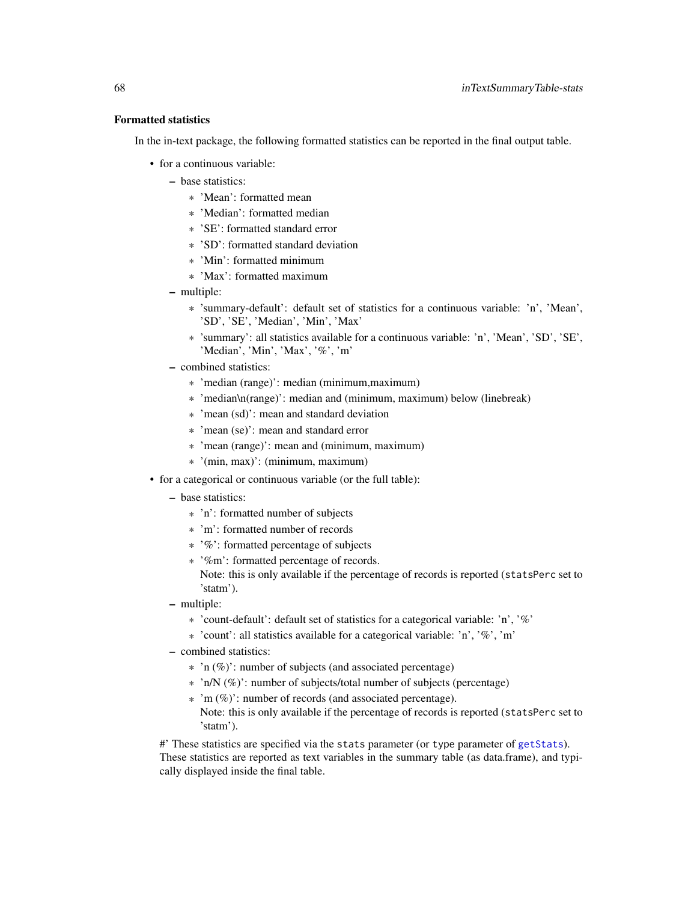#### Formatted statistics

In the in-text package, the following formatted statistics can be reported in the final output table.

- for a continuous variable:
	- base statistics:
		- \* 'Mean': formatted mean
		- \* 'Median': formatted median
		- \* 'SE': formatted standard error
		- \* 'SD': formatted standard deviation
		- \* 'Min': formatted minimum
		- \* 'Max': formatted maximum
	- multiple:
		- \* 'summary-default': default set of statistics for a continuous variable: 'n', 'Mean', 'SD', 'SE', 'Median', 'Min', 'Max'
		- \* 'summary': all statistics available for a continuous variable: 'n', 'Mean', 'SD', 'SE', 'Median', 'Min', 'Max', '%', 'm'
	- combined statistics:
		- \* 'median (range)': median (minimum,maximum)
		- \* 'median\n(range)': median and (minimum, maximum) below (linebreak)
		- \* 'mean (sd)': mean and standard deviation
		- \* 'mean (se)': mean and standard error
		- \* 'mean (range)': mean and (minimum, maximum)
		- \* '(min, max)': (minimum, maximum)
- for a categorical or continuous variable (or the full table):
	- base statistics:
		- \* 'n': formatted number of subjects
		- \* 'm': formatted number of records
		- \* '%': formatted percentage of subjects
		- \* '%m': formatted percentage of records.
			- Note: this is only available if the percentage of records is reported (statsPerc set to 'statm').
	- multiple:
		- \* 'count-default': default set of statistics for a categorical variable: 'n', '%'
		- \* 'count': all statistics available for a categorical variable: 'n', '%', 'm'
	- combined statistics:
		- \* 'n (%)': number of subjects (and associated percentage)
		- \* 'n/N (%)': number of subjects/total number of subjects (percentage)
		- \* 'm (%)': number of records (and associated percentage). Note: this is only available if the percentage of records is reported (statsPerc set to 'statm').

#' These statistics are specified via the stats parameter (or type parameter of [getStats](#page-49-0)). These statistics are reported as text variables in the summary table (as data.frame), and typically displayed inside the final table.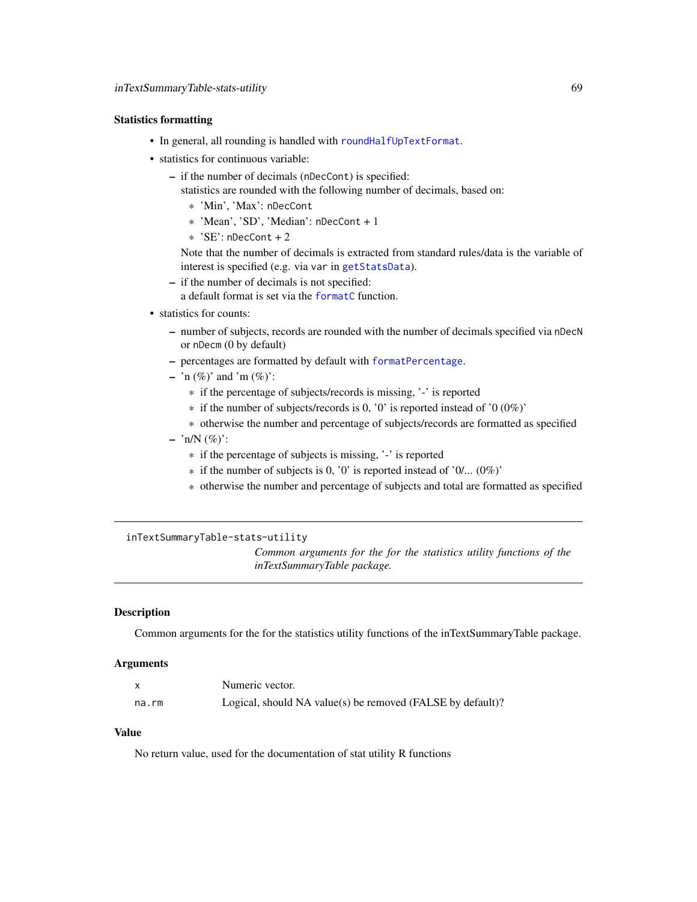#### Statistics formatting

- In general, all rounding is handled with [roundHalfUpTextFormat](#page-0-0).
- statistics for continuous variable:
	- if the number of decimals (nDecCont) is specified:

statistics are rounded with the following number of decimals, based on:

- \* 'Min', 'Max': nDecCont
- \* 'Mean', 'SD', 'Median': nDecCont + 1
- $*$  'SE': nDecCont + 2

Note that the number of decimals is extracted from standard rules/data is the variable of interest is specified (e.g. via var in [getStatsData](#page-50-0)).

- if the number of decimals is not specified:
- a default format is set via the [formatC](#page-0-0) function.
- statistics for counts:
	- number of subjects, records are rounded with the number of decimals specified via nDecN or nDecm (0 by default)
	- percentages are formatted by default with [formatPercentage](#page-31-0).
	- 'n  $(\%)'$  and 'm  $(\%)'$ :
		- \* if the percentage of subjects/records is missing, '-' is reported
		- $*$  if the number of subjects/records is 0, '0' is reported instead of '0 (0%)'
		- \* otherwise the number and percentage of subjects/records are formatted as specified
	- $-$  'n/N  $(\%)'$ :
		- \* if the percentage of subjects is missing, '-' is reported
		- $*$  if the number of subjects is 0, '0' is reported instead of '0/... (0%)'
		- \* otherwise the number and percentage of subjects and total are formatted as specified

inTextSummaryTable-stats-utility

*Common arguments for the for the statistics utility functions of the inTextSummaryTable package.*

#### Description

Common arguments for the for the statistics utility functions of the inTextSummaryTable package.

#### Arguments

|       | Numeric vector.                                            |
|-------|------------------------------------------------------------|
| na.rm | Logical, should NA value(s) be removed (FALSE by default)? |

### Value

No return value, used for the documentation of stat utility R functions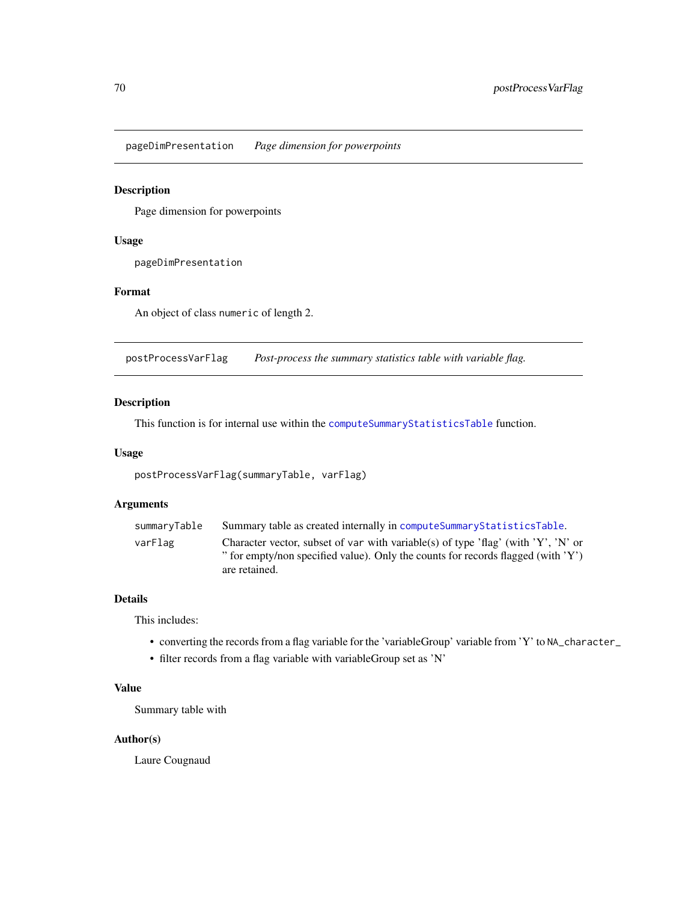pageDimPresentation *Page dimension for powerpoints*

#### Description

Page dimension for powerpoints

#### Usage

pageDimPresentation

#### Format

An object of class numeric of length 2.

postProcessVarFlag *Post-process the summary statistics table with variable flag.*

#### Description

This function is for internal use within the [computeSummaryStatisticsTable](#page-9-0) function.

#### Usage

postProcessVarFlag(summaryTable, varFlag)

#### Arguments

| varFlag       | summaryTable | Summary table as created internally in compute Summary Statistics Table.                                                                                              |
|---------------|--------------|-----------------------------------------------------------------------------------------------------------------------------------------------------------------------|
| are retained. |              | Character vector, subset of var with variable(s) of type 'flag' (with 'Y', 'N' or<br>" for empty/non specified value). Only the counts for records flagged (with 'Y') |

#### Details

This includes:

- converting the records from a flag variable for the 'variableGroup' variable from 'Y' to NA\_character\_
- filter records from a flag variable with variableGroup set as 'N'

### Value

Summary table with

#### Author(s)

Laure Cougnaud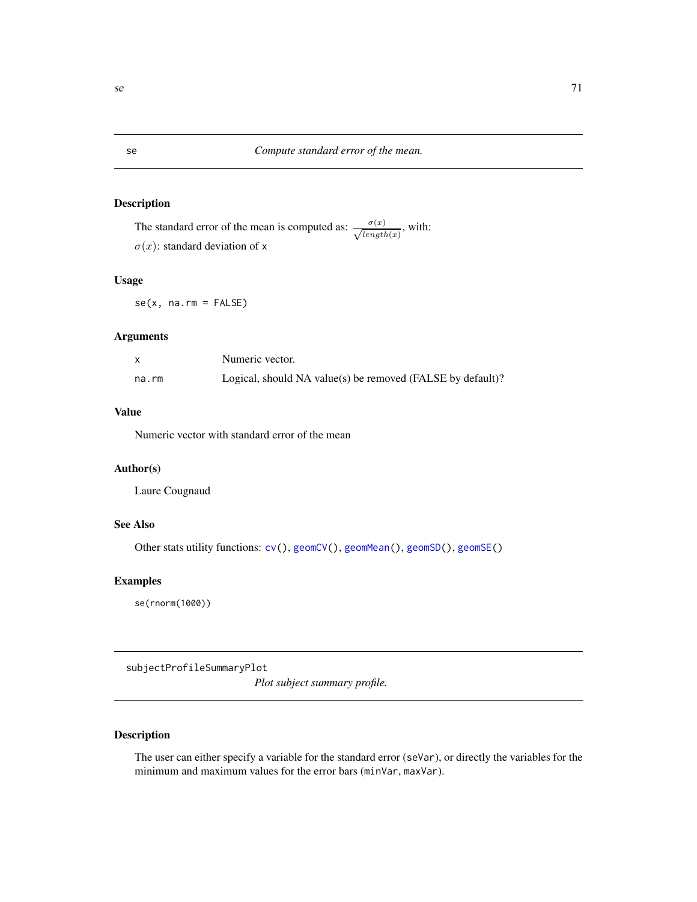The standard error of the mean is computed as:  $\frac{\sigma(x)}{\sqrt{length(x)}}$ , with:  $\sigma(x)$ : standard deviation of x

#### Usage

 $se(x, na.rm = FALSE)$ 

#### Arguments

|       | Numeric vector.                                            |
|-------|------------------------------------------------------------|
| na.rm | Logical, should NA value(s) be removed (FALSE by default)? |

#### Value

Numeric vector with standard error of the mean

#### Author(s)

Laure Cougnaud

## See Also

Other stats utility functions:  $cv()$  $cv()$ , [geomCV\(](#page-37-0)), [geomMean\(](#page-38-0)), [geomSD\(](#page-39-0)), [geomSE\(](#page-40-0))

## Examples

se(rnorm(1000))

subjectProfileSummaryPlot

*Plot subject summary profile.*

### Description

The user can either specify a variable for the standard error (seVar), or directly the variables for the minimum and maximum values for the error bars (minVar, maxVar).

<span id="page-70-0"></span>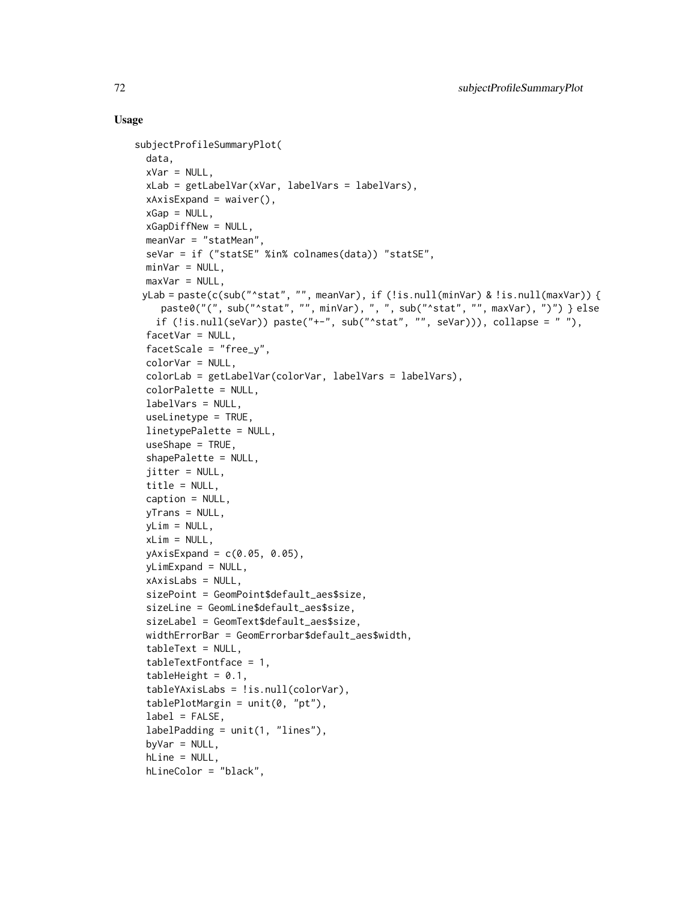#### Usage

```
subjectProfileSummaryPlot(
  data,
  xVar = NULL,xLab = getLabelVar(xVar, labelVars = labelVars),
  xAxisExpand = waiver(),
  xGap = NULL,xGapDiffNew = NULL,
 meanVar = "statMean"
  seVar = if ("statSE" %in% colnames(data)) "statSE",
 minVar = NULL,
 maxVar = NULL,yLab = paste(c(sub("^stat", "", meanVar), if (!is.null(minVar) & !is.null(maxVar)) {
    paste0("(", sub("^stat", "", minVar), ", ", sub("^stat", "", maxVar), ")") } else
   if (!is.null(seVar)) paste("+-", sub("^stat", "", seVar))), collapse = ""),
  facetVar = NULL,
  facetScale = "free_y",
  colorVar = NULL,
  colorLab = getLabelVar(colorVar, labelVars = labelVars),
  colorPalette = NULL,
  labelVars = NULL,
  useLinetype = TRUE,
  linetypePalette = NULL,
  useShape = TRUE,shapePalette = NULL,
  jitter = NULL,
  title = NULL,
  caption = NULL,
 yTrans = NULL,
 yLim = NULL,xLim = NULL,yAxisExpand = c(0.05, 0.05),
 yLimExpand = NULL,
 xAxisLabs = NULL,
  sizePoint = GeomPoint$default_aes$size,
  sizeLine = GeomLine$default_aes$size,
  sizeLabel = GeomText$default_aes$size,
 widthErrorBar = GeomErrorbar$default_aes$width,
  tableText = NULL,tableTextFontface = 1,
  tableHeight = 0.1,
  tableYAxisLabs = !is.null(colorVar),
  tablePlotMargin = unit(0, "pt"),
  label = FALSE,
  labelPading = unit(1, "lines"),byVar = NULL,hLine = NULL,
 hLineColor = "black",
```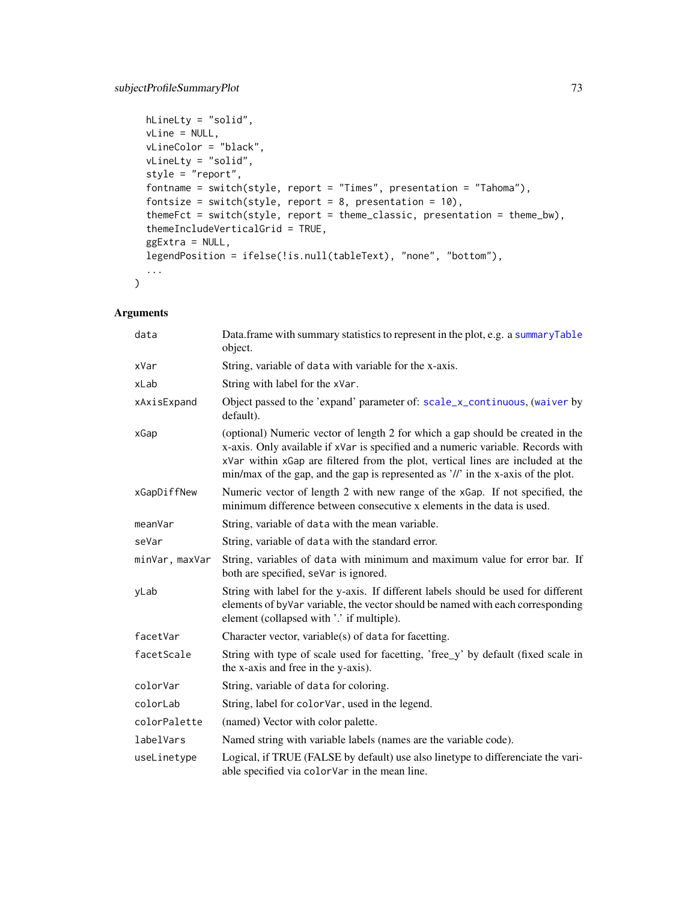```
hLineLty = "solid",
 vLine = NULL,
 vLineColor = "black",
 vLineLty = "solid",
  style = "report",
 fontname = switch(style, report = "Times", presentation = "Tahoma"),
  fontsize = switch(style, report = 8, presentation = 10),
  themeFct = switch(style, report = theme_classic, presentation = theme_bw),
  themeIncludeVerticalGrid = TRUE,
  ggExtra = NULL,
 legendPosition = ifelse(!is.null(tableText), "none", "bottom"),
  ...
\mathcal{L}
```
# Arguments

| data           | Data.frame with summary statistics to represent in the plot, e.g. a summaryTable<br>object.                                                                                                                                                                                                                                                |  |
|----------------|--------------------------------------------------------------------------------------------------------------------------------------------------------------------------------------------------------------------------------------------------------------------------------------------------------------------------------------------|--|
| xVar           | String, variable of data with variable for the x-axis.                                                                                                                                                                                                                                                                                     |  |
| xLab           | String with label for the xVar.                                                                                                                                                                                                                                                                                                            |  |
| xAxisExpand    | Object passed to the 'expand' parameter of: scale_x_continuous, (waiver by<br>default).                                                                                                                                                                                                                                                    |  |
| xGap           | (optional) Numeric vector of length 2 for which a gap should be created in the<br>x-axis. Only available if xVar is specified and a numeric variable. Records with<br>xVar within xGap are filtered from the plot, vertical lines are included at the<br>min/max of the gap, and the gap is represented as '//' in the x-axis of the plot. |  |
| xGapDiffNew    | Numeric vector of length 2 with new range of the xGap. If not specified, the<br>minimum difference between consecutive x elements in the data is used.                                                                                                                                                                                     |  |
| meanVar        | String, variable of data with the mean variable.                                                                                                                                                                                                                                                                                           |  |
| seVar          | String, variable of data with the standard error.                                                                                                                                                                                                                                                                                          |  |
| minVar, maxVar | String, variables of data with minimum and maximum value for error bar. If<br>both are specified, seVar is ignored.                                                                                                                                                                                                                        |  |
| yLab           | String with label for the y-axis. If different labels should be used for different<br>elements of by Var variable, the vector should be named with each corresponding<br>element (collapsed with '.' if multiple).                                                                                                                         |  |
| facetVar       | Character vector, variable(s) of data for facetting.                                                                                                                                                                                                                                                                                       |  |
| facetScale     | String with type of scale used for facetting, 'free_y' by default (fixed scale in<br>the x-axis and free in the y-axis).                                                                                                                                                                                                                   |  |
| colorVar       | String, variable of data for coloring.                                                                                                                                                                                                                                                                                                     |  |
| colorLab       | String, label for colorVar, used in the legend.                                                                                                                                                                                                                                                                                            |  |
| colorPalette   | (named) Vector with color palette.                                                                                                                                                                                                                                                                                                         |  |
| labelVars      | Named string with variable labels (names are the variable code).                                                                                                                                                                                                                                                                           |  |
| useLinetype    | Logical, if TRUE (FALSE by default) use also linetype to differenciate the vari-<br>able specified via colorVar in the mean line.                                                                                                                                                                                                          |  |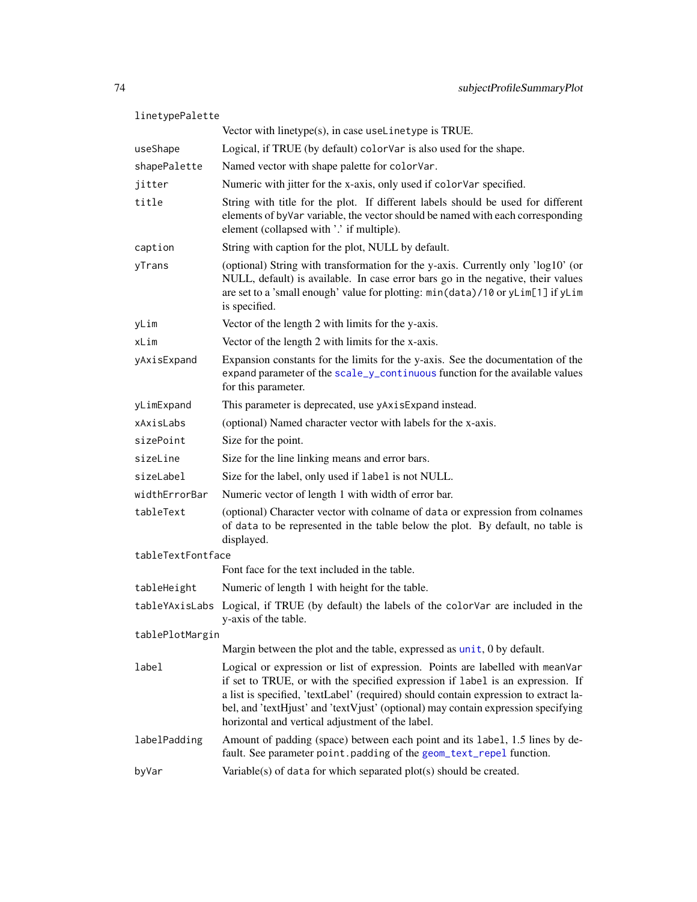| linetypePalette   |                                                                                                                                                                                                                                                                                                                                                                                                  |  |
|-------------------|--------------------------------------------------------------------------------------------------------------------------------------------------------------------------------------------------------------------------------------------------------------------------------------------------------------------------------------------------------------------------------------------------|--|
|                   | Vector with linetype(s), in case useLinetype is TRUE.                                                                                                                                                                                                                                                                                                                                            |  |
| useShape          | Logical, if TRUE (by default) colorVar is also used for the shape.                                                                                                                                                                                                                                                                                                                               |  |
| shapePalette      | Named vector with shape palette for colorVar.                                                                                                                                                                                                                                                                                                                                                    |  |
| jitter            | Numeric with jitter for the x-axis, only used if colorVar specified.                                                                                                                                                                                                                                                                                                                             |  |
| title             | String with title for the plot. If different labels should be used for different<br>elements of byVar variable, the vector should be named with each corresponding<br>element (collapsed with '.' if multiple).                                                                                                                                                                                  |  |
| caption           | String with caption for the plot, NULL by default.                                                                                                                                                                                                                                                                                                                                               |  |
| yTrans            | (optional) String with transformation for the y-axis. Currently only 'log10' (or<br>NULL, default) is available. In case error bars go in the negative, their values<br>are set to a 'small enough' value for plotting: min(data)/10 or yLim[1] if yLim<br>is specified.                                                                                                                         |  |
| yLim              | Vector of the length 2 with limits for the y-axis.                                                                                                                                                                                                                                                                                                                                               |  |
| xLim              | Vector of the length 2 with limits for the x-axis.                                                                                                                                                                                                                                                                                                                                               |  |
| yAxisExpand       | Expansion constants for the limits for the y-axis. See the documentation of the<br>expand parameter of the scale_y_continuous function for the available values<br>for this parameter.                                                                                                                                                                                                           |  |
| yLimExpand        | This parameter is deprecated, use yAxisExpand instead.                                                                                                                                                                                                                                                                                                                                           |  |
| xAxislabs         | (optional) Named character vector with labels for the x-axis.                                                                                                                                                                                                                                                                                                                                    |  |
| sizePoint         | Size for the point.                                                                                                                                                                                                                                                                                                                                                                              |  |
| sizeLine          | Size for the line linking means and error bars.                                                                                                                                                                                                                                                                                                                                                  |  |
| sizeLabel         | Size for the label, only used if label is not NULL.                                                                                                                                                                                                                                                                                                                                              |  |
| widthErrorBar     | Numeric vector of length 1 with width of error bar.                                                                                                                                                                                                                                                                                                                                              |  |
| tableText         | (optional) Character vector with colname of data or expression from colnames<br>of data to be represented in the table below the plot. By default, no table is<br>displayed.                                                                                                                                                                                                                     |  |
| tableTextFontface |                                                                                                                                                                                                                                                                                                                                                                                                  |  |
|                   | Font face for the text included in the table.                                                                                                                                                                                                                                                                                                                                                    |  |
| tableHeight       | Numeric of length 1 with height for the table.                                                                                                                                                                                                                                                                                                                                                   |  |
|                   | tableYAxisLabs Logical, if TRUE (by default) the labels of the colorVar are included in the<br>y-axis of the table.                                                                                                                                                                                                                                                                              |  |
| tablePlotMargin   |                                                                                                                                                                                                                                                                                                                                                                                                  |  |
|                   | Margin between the plot and the table, expressed as unit, 0 by default.                                                                                                                                                                                                                                                                                                                          |  |
| label             | Logical or expression or list of expression. Points are labelled with meanVar<br>if set to TRUE, or with the specified expression if label is an expression. If<br>a list is specified, 'textLabel' (required) should contain expression to extract la-<br>bel, and 'textHjust' and 'textVjust' (optional) may contain expression specifying<br>horizontal and vertical adjustment of the label. |  |
| labelPadding      | Amount of padding (space) between each point and its label, 1.5 lines by de-<br>fault. See parameter point . padding of the geom_text_repel function.                                                                                                                                                                                                                                            |  |
| byVar             | Variable(s) of data for which separated plot(s) should be created.                                                                                                                                                                                                                                                                                                                               |  |
|                   |                                                                                                                                                                                                                                                                                                                                                                                                  |  |

<span id="page-73-0"></span>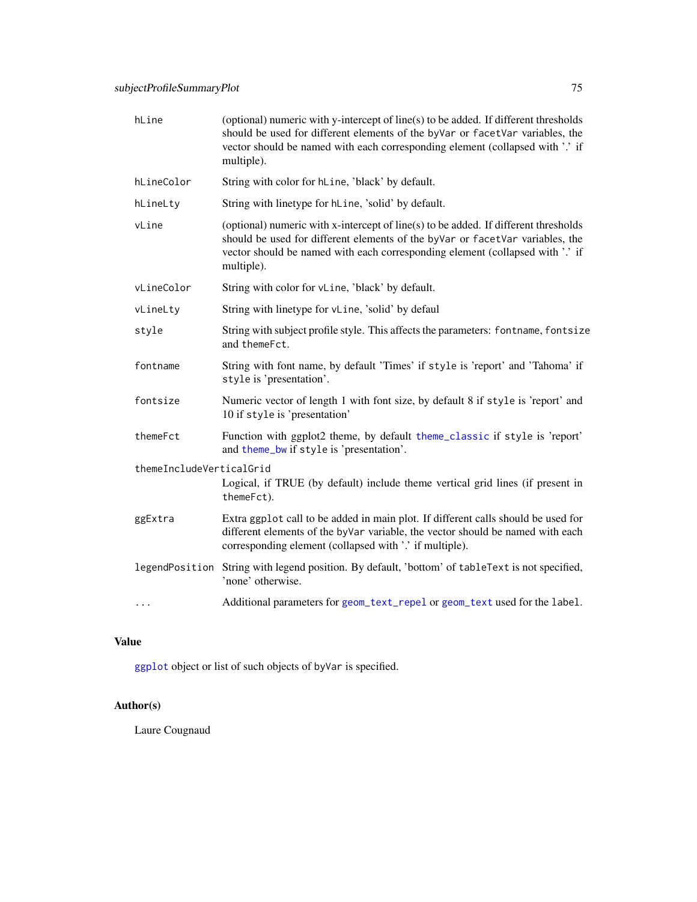<span id="page-74-0"></span>

| hLine                    | (optional) numeric with y-intercept of line(s) to be added. If different thresholds<br>should be used for different elements of the byVar or facetVar variables, the<br>vector should be named with each corresponding element (collapsed with '.' if<br>multiple). |  |
|--------------------------|---------------------------------------------------------------------------------------------------------------------------------------------------------------------------------------------------------------------------------------------------------------------|--|
| hLineColor               | String with color for hLine, 'black' by default.                                                                                                                                                                                                                    |  |
| hLineLty                 | String with linetype for hLine, 'solid' by default.                                                                                                                                                                                                                 |  |
| vLine                    | (optional) numeric with x-intercept of line(s) to be added. If different thresholds<br>should be used for different elements of the byVar or facetVar variables, the<br>vector should be named with each corresponding element (collapsed with '.' if<br>multiple). |  |
| vLineColor               | String with color for vLine, 'black' by default.                                                                                                                                                                                                                    |  |
| vLineLty                 | String with linetype for vLine, 'solid' by defaul                                                                                                                                                                                                                   |  |
| style                    | String with subject profile style. This affects the parameters: fontname, fontsize<br>and themeFct.                                                                                                                                                                 |  |
| fontname                 | String with font name, by default 'Times' if style is 'report' and 'Tahoma' if<br>style is 'presentation'.                                                                                                                                                          |  |
| fontsize                 | Numeric vector of length 1 with font size, by default 8 if style is 'report' and<br>10 if style is 'presentation'                                                                                                                                                   |  |
| themeFct                 | Function with ggplot2 theme, by default theme_classic if style is 'report'<br>and theme_bw if style is 'presentation'.                                                                                                                                              |  |
| themeIncludeVerticalGrid | Logical, if TRUE (by default) include theme vertical grid lines (if present in<br>themeFct).                                                                                                                                                                        |  |
| ggExtra                  | Extra ggplot call to be added in main plot. If different calls should be used for<br>different elements of the byVar variable, the vector should be named with each<br>corresponding element (collapsed with '.' if multiple).                                      |  |
|                          | legendPosition String with legend position. By default, 'bottom' of tableText is not specified,<br>'none' otherwise.                                                                                                                                                |  |
| $\cdots$                 | Additional parameters for geom_text_repel or geom_text used for the label.                                                                                                                                                                                          |  |

# Value

[ggplot](#page-0-0) object or list of such objects of byVar is specified.

# Author(s)

Laure Cougnaud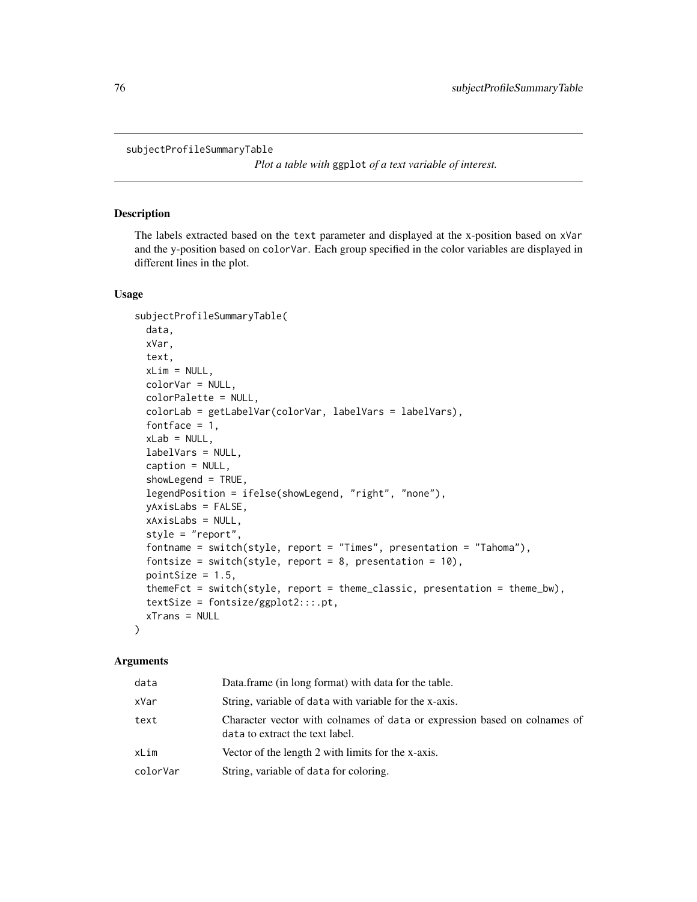<span id="page-75-0"></span>subjectProfileSummaryTable

*Plot a table with* ggplot *of a text variable of interest.*

## Description

The labels extracted based on the text parameter and displayed at the x-position based on xVar and the y-position based on colorVar. Each group specified in the color variables are displayed in different lines in the plot.

#### Usage

```
subjectProfileSummaryTable(
  data,
 xVar,
  text,
 xLim = NULL,colorVar = NULL,
 colorPalette = NULL,
  colorLab = getLabelVar(colorVar, labelVars = labelVars),
  fontface = 1,
  xLab = NULL,labelVars = NULL,
  caption = NULL,
  showLegend = TRUE,
  legendPosition = ifelse(showLegend, "right", "none"),
  yAxisLabs = FALSE,
  xAxisLabs = NULL,
  style = "report",
  fontname = switch(style, report = "Times", presentation = "Tahoma"),
  fontsize = switch(style, report = 8, presentation = 10),
  pointSize = 1.5,
  themeFct = switch(style, report = theme_classic, presentation = theme_bw),
  textSize = fontsize/ggplot2:::.pt,
  xTrans = NULL
\lambda
```
## Arguments

| data     | Data.frame (in long format) with data for the table.                                                         |
|----------|--------------------------------------------------------------------------------------------------------------|
| xVar     | String, variable of data with variable for the x-axis.                                                       |
| text     | Character vector with colnames of data or expression based on colnames of<br>data to extract the text label. |
| xLim     | Vector of the length 2 with limits for the x-axis.                                                           |
| colorVar | String, variable of data for coloring.                                                                       |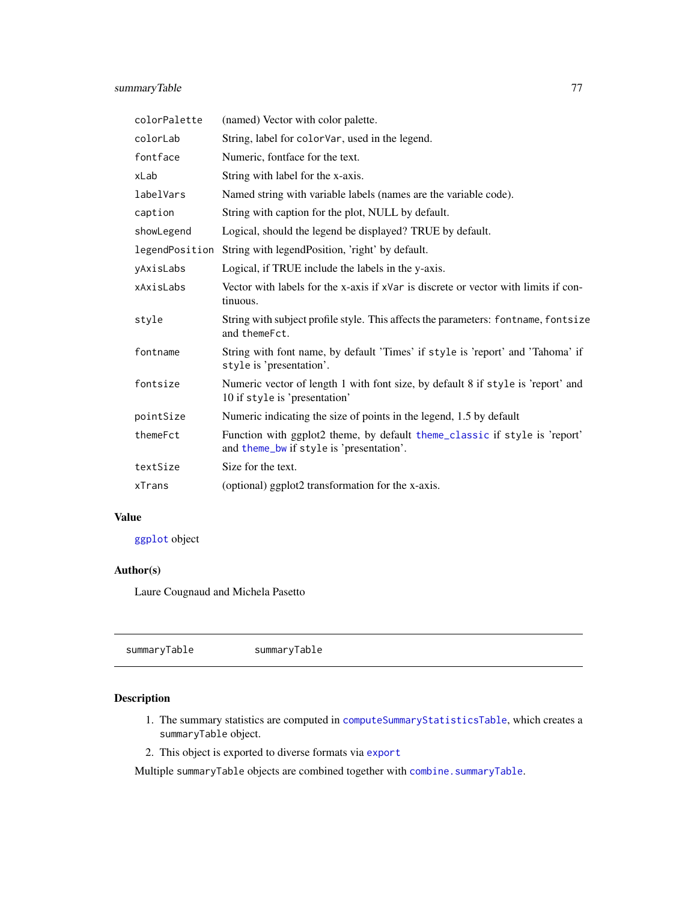<span id="page-76-1"></span>

| colorPalette | (named) Vector with color palette.                                                                                     |  |
|--------------|------------------------------------------------------------------------------------------------------------------------|--|
| colorLab     | String, label for colorVar, used in the legend.                                                                        |  |
| fontface     | Numeric, fontface for the text.                                                                                        |  |
| xLab         | String with label for the x-axis.                                                                                      |  |
| labelVars    | Named string with variable labels (names are the variable code).                                                       |  |
| caption      | String with caption for the plot, NULL by default.                                                                     |  |
| showLegend   | Logical, should the legend be displayed? TRUE by default.                                                              |  |
|              | legendPosition String with legendPosition, 'right' by default.                                                         |  |
| yAxisLabs    | Logical, if TRUE include the labels in the y-axis.                                                                     |  |
| xAxisLabs    | Vector with labels for the x-axis if xVar is discrete or vector with limits if con-<br>tinuous.                        |  |
| style        | String with subject profile style. This affects the parameters: fontname, fontsize<br>and themeFct.                    |  |
| fontname     | String with font name, by default 'Times' if style is 'report' and 'Tahoma' if<br>style is 'presentation'.             |  |
| fontsize     | Numeric vector of length 1 with font size, by default 8 if style is 'report' and<br>10 if style is 'presentation'      |  |
| pointSize    | Numeric indicating the size of points in the legend, 1.5 by default                                                    |  |
| themeFct     | Function with ggplot2 theme, by default theme_classic if style is 'report'<br>and theme_bw if style is 'presentation'. |  |
| textSize     | Size for the text.                                                                                                     |  |
| xTrans       | (optional) ggplot2 transformation for the x-axis.                                                                      |  |

## Value

[ggplot](#page-0-0) object

# Author(s)

Laure Cougnaud and Michela Pasetto

<span id="page-76-0"></span>

| summaryTable |  |
|--------------|--|
|--------------|--|

# Description

- 1. The summary statistics are computed in [computeSummaryStatisticsTable](#page-9-0), which creates a summaryTable object.
- 2. This object is exported to diverse formats via [export](#page-21-0)

Multiple summaryTable objects are combined together with [combine.summaryTable](#page-4-0).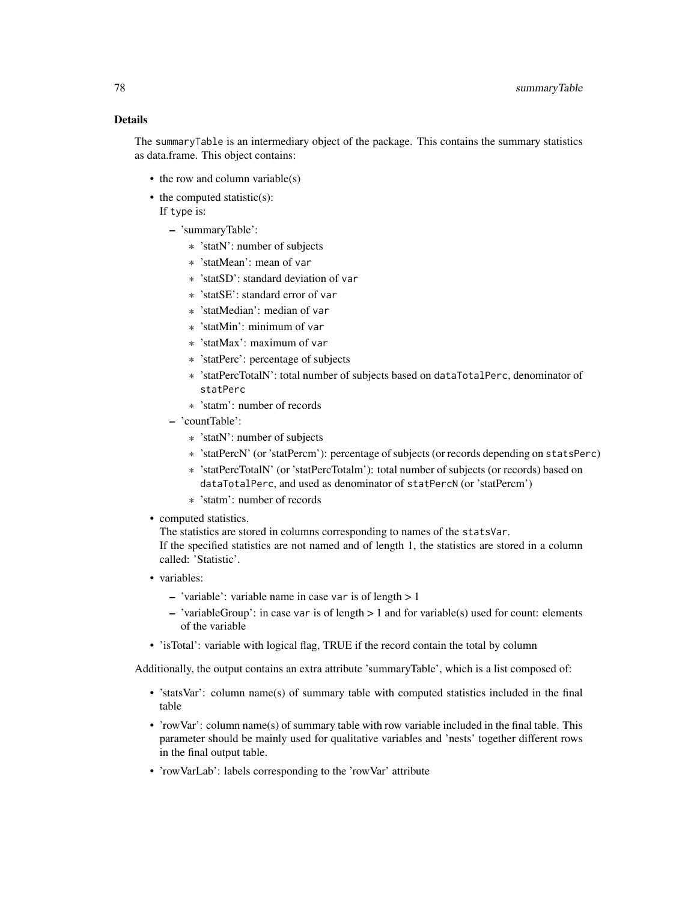# Details

The summaryTable is an intermediary object of the package. This contains the summary statistics as data.frame. This object contains:

- the row and column variable(s)
- the computed statistic(s): If type is:
	- 'summaryTable':
		- \* 'statN': number of subjects
		- \* 'statMean': mean of var
		- \* 'statSD': standard deviation of var
		- \* 'statSE': standard error of var
		- \* 'statMedian': median of var
		- \* 'statMin': minimum of var
		- \* 'statMax': maximum of var
		- \* 'statPerc': percentage of subjects
		- \* 'statPercTotalN': total number of subjects based on dataTotalPerc, denominator of statPerc
		- \* 'statm': number of records
	- 'countTable':
		- \* 'statN': number of subjects
		- \* 'statPercN' (or 'statPercm'): percentage of subjects (or records depending on statsPerc)
		- \* 'statPercTotalN' (or 'statPercTotalm'): total number of subjects (or records) based on dataTotalPerc, and used as denominator of statPercN (or 'statPercm')
		- \* 'statm': number of records
- computed statistics.

The statistics are stored in columns corresponding to names of the statsVar. If the specified statistics are not named and of length 1, the statistics are stored in a column called: 'Statistic'.

- variables:
	- 'variable': variable name in case var is of length  $> 1$
	- 'variableGroup': in case var is of length > 1 and for variable(s) used for count: elements of the variable
- 'isTotal': variable with logical flag, TRUE if the record contain the total by column

Additionally, the output contains an extra attribute 'summaryTable', which is a list composed of:

- 'statsVar': column name(s) of summary table with computed statistics included in the final table
- 'rowVar': column name(s) of summary table with row variable included in the final table. This parameter should be mainly used for qualitative variables and 'nests' together different rows in the final output table.
- 'rowVarLab': labels corresponding to the 'rowVar' attribute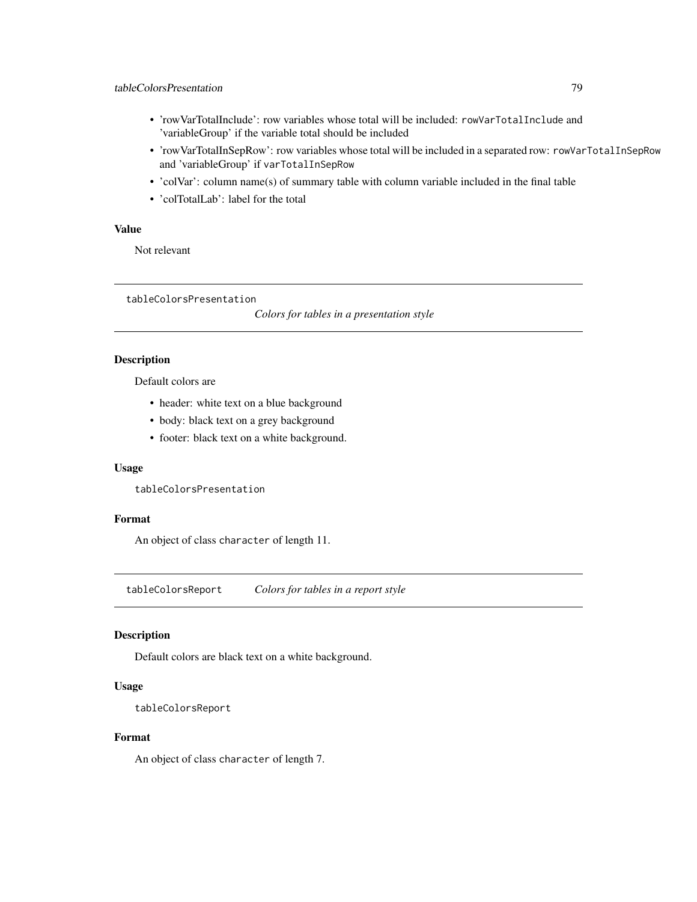- <span id="page-78-0"></span>• 'rowVarTotalInclude': row variables whose total will be included: rowVarTotalInclude and 'variableGroup' if the variable total should be included
- 'rowVarTotalInSepRow': row variables whose total will be included in a separated row: rowVarTotalInSepRow and 'variableGroup' if varTotalInSepRow
- 'colVar': column name(s) of summary table with column variable included in the final table
- 'colTotalLab': label for the total

# Value

Not relevant

tableColorsPresentation

*Colors for tables in a presentation style*

#### Description

Default colors are

- header: white text on a blue background
- body: black text on a grey background
- footer: black text on a white background.

#### Usage

tableColorsPresentation

## Format

An object of class character of length 11.

tableColorsReport *Colors for tables in a report style*

## Description

Default colors are black text on a white background.

## Usage

```
tableColorsReport
```
#### Format

An object of class character of length 7.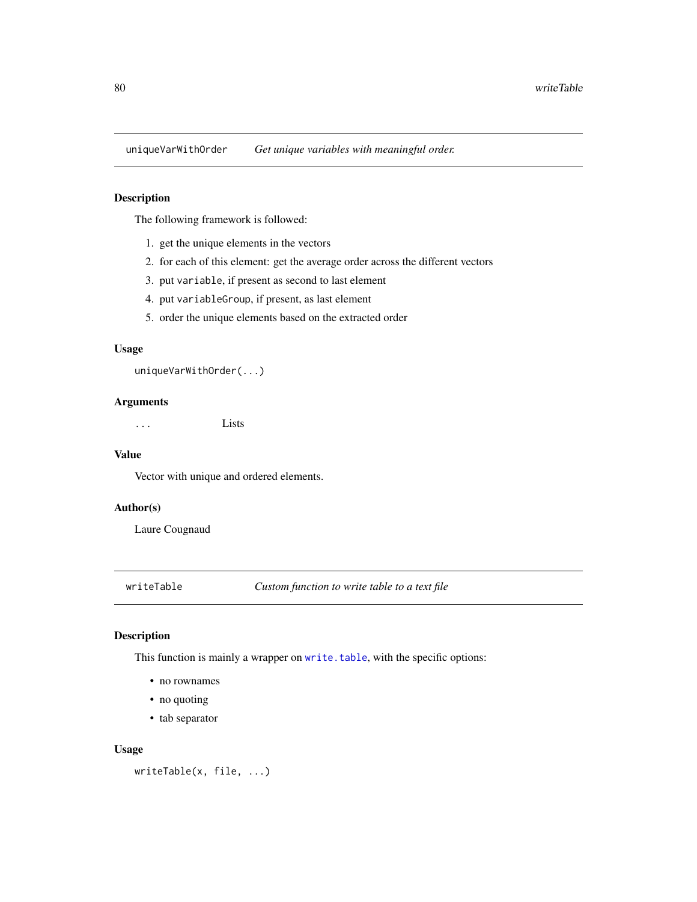<span id="page-79-0"></span>

## Description

The following framework is followed:

- 1. get the unique elements in the vectors
- 2. for each of this element: get the average order across the different vectors
- 3. put variable, if present as second to last element
- 4. put variableGroup, if present, as last element
- 5. order the unique elements based on the extracted order

#### Usage

uniqueVarWithOrder(...)

#### Arguments

... Lists

## Value

Vector with unique and ordered elements.

# Author(s)

Laure Cougnaud

writeTable *Custom function to write table to a text file*

# Description

This function is mainly a wrapper on [write.table](#page-0-0), with the specific options:

- no rownames
- no quoting
- tab separator

#### Usage

```
writeTable(x, file, ...)
```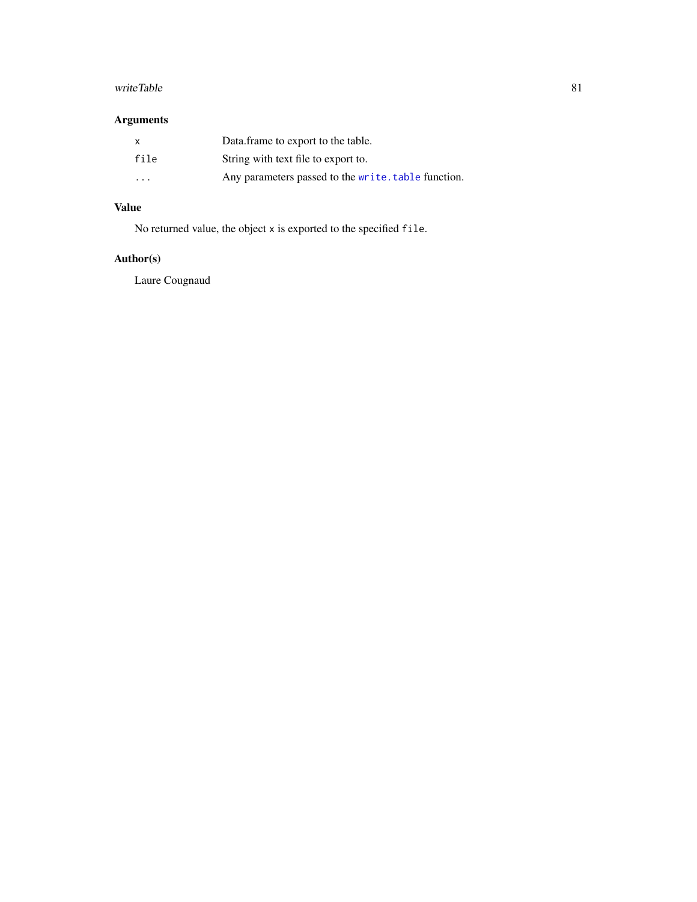#### <span id="page-80-0"></span>writeTable 81

# Arguments

| X                    | Data frame to export to the table.                  |
|----------------------|-----------------------------------------------------|
| file                 | String with text file to export to.                 |
| $\ddot{\phantom{0}}$ | Any parameters passed to the write. table function. |

# Value

No returned value, the object x is exported to the specified file.

# Author(s)

Laure Cougnaud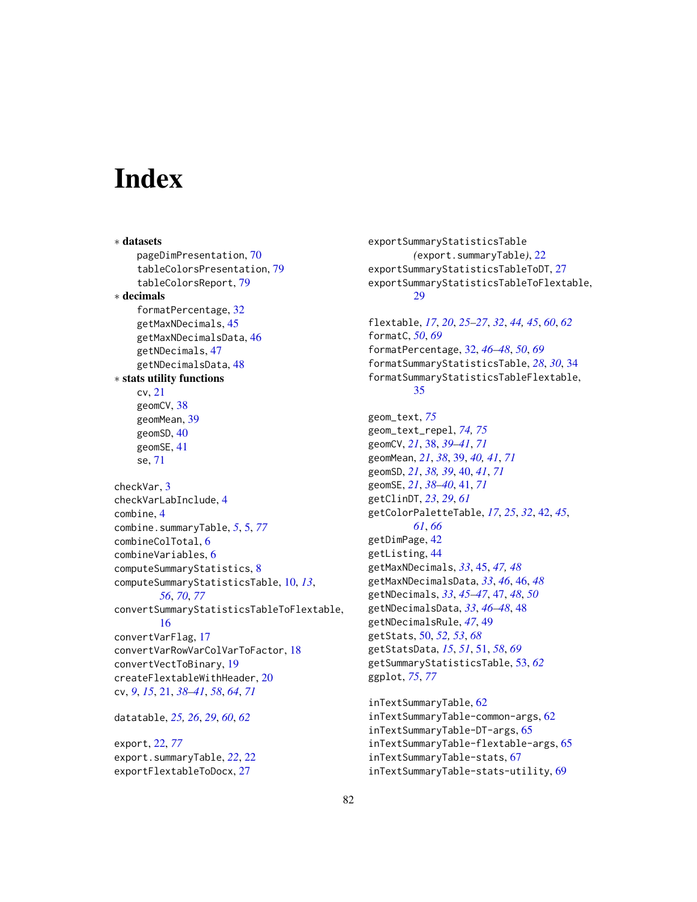# **Index**

∗ datasets pageDimPresentation, [70](#page-69-0) tableColorsPresentation, [79](#page-78-0) tableColorsReport, [79](#page-78-0) ∗ decimals formatPercentage, [32](#page-31-0) getMaxNDecimals, [45](#page-44-0) getMaxNDecimalsData, [46](#page-45-0) getNDecimals, [47](#page-46-0) getNDecimalsData, [48](#page-47-0) ∗ stats utility functions cv, [21](#page-20-0) geomCV, [38](#page-37-0) geomMean, [39](#page-38-0) geomSD, [40](#page-39-0) geomSE, [41](#page-40-0) se, [71](#page-70-0) checkVar, [3](#page-2-0) checkVarLabInclude, [4](#page-3-0) combine, [4](#page-3-0) combine.summaryTable, *[5](#page-4-1)*, [5,](#page-4-1) *[77](#page-76-1)* combineColTotal, [6](#page-5-0) combineVariables, [6](#page-5-0) computeSummaryStatistics, [8](#page-7-0) computeSummaryStatisticsTable, [10,](#page-9-1) *[13](#page-12-0)*, *[56](#page-55-0)*, *[70](#page-69-0)*, *[77](#page-76-1)* convertSummaryStatisticsTableToFlextable, [16](#page-15-0) convertVarFlag, [17](#page-16-0) convertVarRowVarColVarToFactor, [18](#page-17-0) convertVectToBinary, [19](#page-18-0) createFlextableWithHeader, [20](#page-19-0) cv, *[9](#page-8-0)*, *[15](#page-14-0)*, [21,](#page-20-0) *[38](#page-37-0)[–41](#page-40-0)*, *[58](#page-57-0)*, *[64](#page-63-0)*, *[71](#page-70-0)* datatable, *[25,](#page-24-0) [26](#page-25-0)*, *[29](#page-28-0)*, *[60](#page-59-0)*, *[62](#page-61-0)*

export, [22,](#page-21-1) *[77](#page-76-1)* export.summaryTable, *[22](#page-21-1)*, [22](#page-21-1) exportFlextableToDocx, [27](#page-26-0)

exportSummaryStatisticsTable *(*export.summaryTable*)*, [22](#page-21-1) exportSummaryStatisticsTableToDT, [27](#page-26-0) exportSummaryStatisticsTableToFlextable, [29](#page-28-0) flextable, *[17](#page-16-0)*, *[20](#page-19-0)*, *[25](#page-24-0)[–27](#page-26-0)*, *[32](#page-31-0)*, *[44,](#page-43-0) [45](#page-44-0)*, *[60](#page-59-0)*, *[62](#page-61-0)* formatC, *[50](#page-49-0)*, *[69](#page-68-0)* formatPercentage, [32,](#page-31-0) *[46](#page-45-0)[–48](#page-47-0)*, *[50](#page-49-0)*, *[69](#page-68-0)*

formatSummaryStatisticsTable, *[28](#page-27-0)*, *[30](#page-29-0)*, [34](#page-33-0) formatSummaryStatisticsTableFlextable, [35](#page-34-0)

geom\_text, *[75](#page-74-0)* geom\_text\_repel, *[74,](#page-73-0) [75](#page-74-0)* geomCV, *[21](#page-20-0)*, [38,](#page-37-0) *[39](#page-38-0)[–41](#page-40-0)*, *[71](#page-70-0)* geomMean, *[21](#page-20-0)*, *[38](#page-37-0)*, [39,](#page-38-0) *[40,](#page-39-0) [41](#page-40-0)*, *[71](#page-70-0)* geomSD, *[21](#page-20-0)*, *[38,](#page-37-0) [39](#page-38-0)*, [40,](#page-39-0) *[41](#page-40-0)*, *[71](#page-70-0)* geomSE, *[21](#page-20-0)*, *[38](#page-37-0)[–40](#page-39-0)*, [41,](#page-40-0) *[71](#page-70-0)* getClinDT, *[23](#page-22-0)*, *[29](#page-28-0)*, *[61](#page-60-0)* getColorPaletteTable, *[17](#page-16-0)*, *[25](#page-24-0)*, *[32](#page-31-0)*, [42,](#page-41-0) *[45](#page-44-0)*, *[61](#page-60-0)*, *[66](#page-65-0)* getDimPage, [42](#page-41-0) getListing, [44](#page-43-0) getMaxNDecimals, *[33](#page-32-0)*, [45,](#page-44-0) *[47,](#page-46-0) [48](#page-47-0)* getMaxNDecimalsData, *[33](#page-32-0)*, *[46](#page-45-0)*, [46,](#page-45-0) *[48](#page-47-0)* getNDecimals, *[33](#page-32-0)*, *[45](#page-44-0)[–47](#page-46-0)*, [47,](#page-46-0) *[48](#page-47-0)*, *[50](#page-49-0)* getNDecimalsData, *[33](#page-32-0)*, *[46](#page-45-0)[–48](#page-47-0)*, [48](#page-47-0) getNDecimalsRule, *[47](#page-46-0)*, [49](#page-48-0) getStats, [50,](#page-49-0) *[52,](#page-51-0) [53](#page-52-0)*, *[68](#page-67-0)* getStatsData, *[15](#page-14-0)*, *[51](#page-50-0)*, [51,](#page-50-0) *[58](#page-57-0)*, *[69](#page-68-0)* getSummaryStatisticsTable, [53,](#page-52-0) *[62](#page-61-0)* ggplot, *[75](#page-74-0)*, *[77](#page-76-1)*

inTextSummaryTable, [62](#page-61-0) inTextSummaryTable-common-args, [62](#page-61-0) inTextSummaryTable-DT-args, [65](#page-64-0) inTextSummaryTable-flextable-args, [65](#page-64-0) inTextSummaryTable-stats, [67](#page-66-0) inTextSummaryTable-stats-utility, [69](#page-68-0)